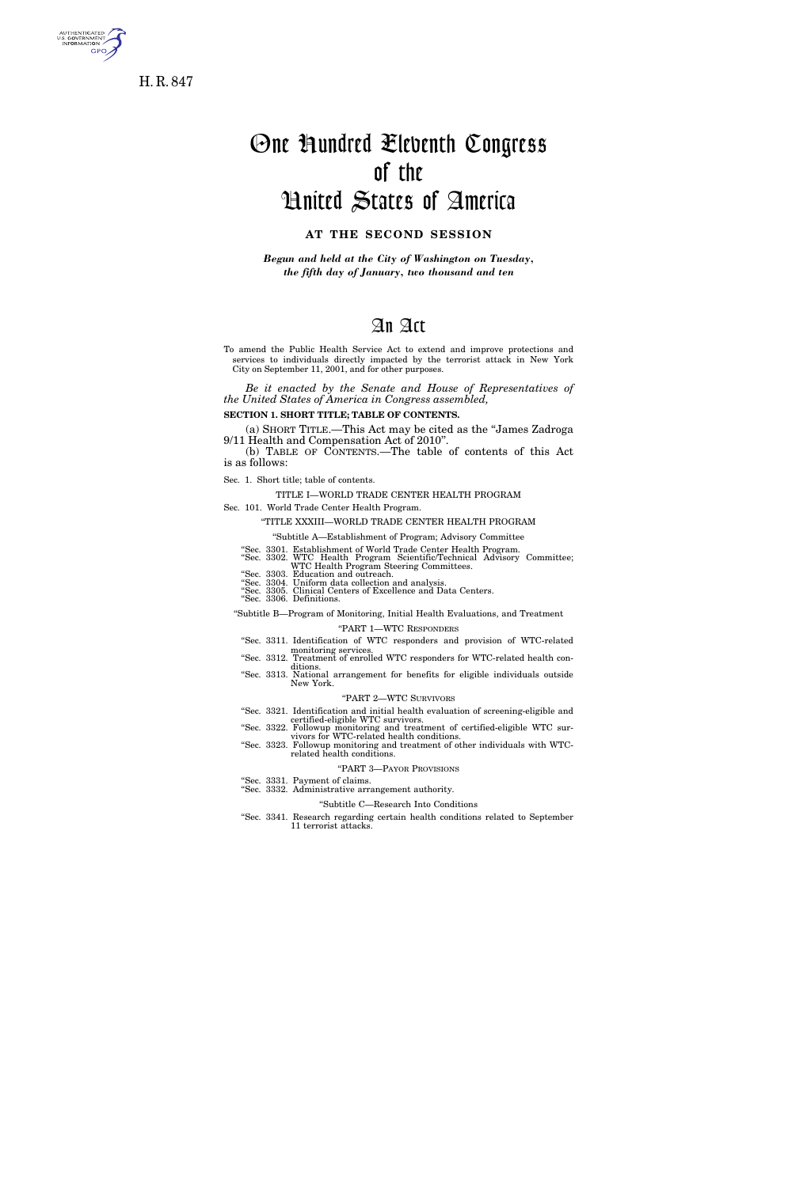

H. R. 847

# One Hundred Eleventh Congress of the United States of America

# **AT THE SECOND SESSION**

*Begun and held at the City of Washington on Tuesday, the fifth day of January, two thousand and ten* 

# An Act

To amend the Public Health Service Act to extend and improve protections and services to individuals directly impacted by the terrorist attack in New York City on September 11, 2001, and for other purposes.

*Be it enacted by the Senate and House of Representatives of the United States of America in Congress assembled,* 

**SECTION 1. SHORT TITLE; TABLE OF CONTENTS.** 

(a) SHORT TITLE.—This Act may be cited as the ''James Zadroga 9/11 Health and Compensation Act of 2010''.

(b) TABLE OF CONTENTS.—The table of contents of this Act is as follows:

Sec. 1. Short title; table of contents.

TITLE I—WORLD TRADE CENTER HEALTH PROGRAM

Sec. 101. World Trade Center Health Program.

#### ''TITLE XXXIII—WORLD TRADE CENTER HEALTH PROGRAM

''Subtitle A—Establishment of Program; Advisory Committee

- 
- ''Sec. 3301. Establishment of World Trade Center Health Program. ''Sec. 3302. WTC Health Program Scientific/Technical Advisory Committee;
- 
- WTC Health Program Steering Committees. ''Sec. 3303. Education and outreach. ''Sec. 3304. Uniform data collection and analysis. ''Sec. 3305. Clinical Centers of Excellence and Data Centers. ''Sec. 3306. Definitions.
- 
- ''Subtitle B—Program of Monitoring, Initial Health Evaluations, and Treatment ''PART 1—WTC RESPONDERS
- ''Sec. 3311. Identification of WTC responders and provision of WTC-related
- monitoring services.<br>
"Sec. 3312. Treatment of enrolled WTC responders for WTC-related health con-
- ditions. ''Sec. 3313. National arrangement for benefits for eligible individuals outside New York.

#### ''PART 2—WTC SURVIVORS

- ''Sec. 3321. Identification and initial health evaluation of screening-eligible and
- certified-eligible WTC survivors. ''Sec. 3322. Followup monitoring and treatment of certified-eligible WTC sur-
- vivors for WTC-related health conditions. ''Sec. 3323. Followup monitoring and treatment of other individuals with WTCrelated health conditions.

#### ''PART 3—PAYOR PROVISIONS

- ''Sec. 3331. Payment of claims. ''Sec. 3332. Administrative arrangement authority.
- - ''Subtitle C—Research Into Conditions
- ''Sec. 3341. Research regarding certain health conditions related to September 11 terrorist attacks.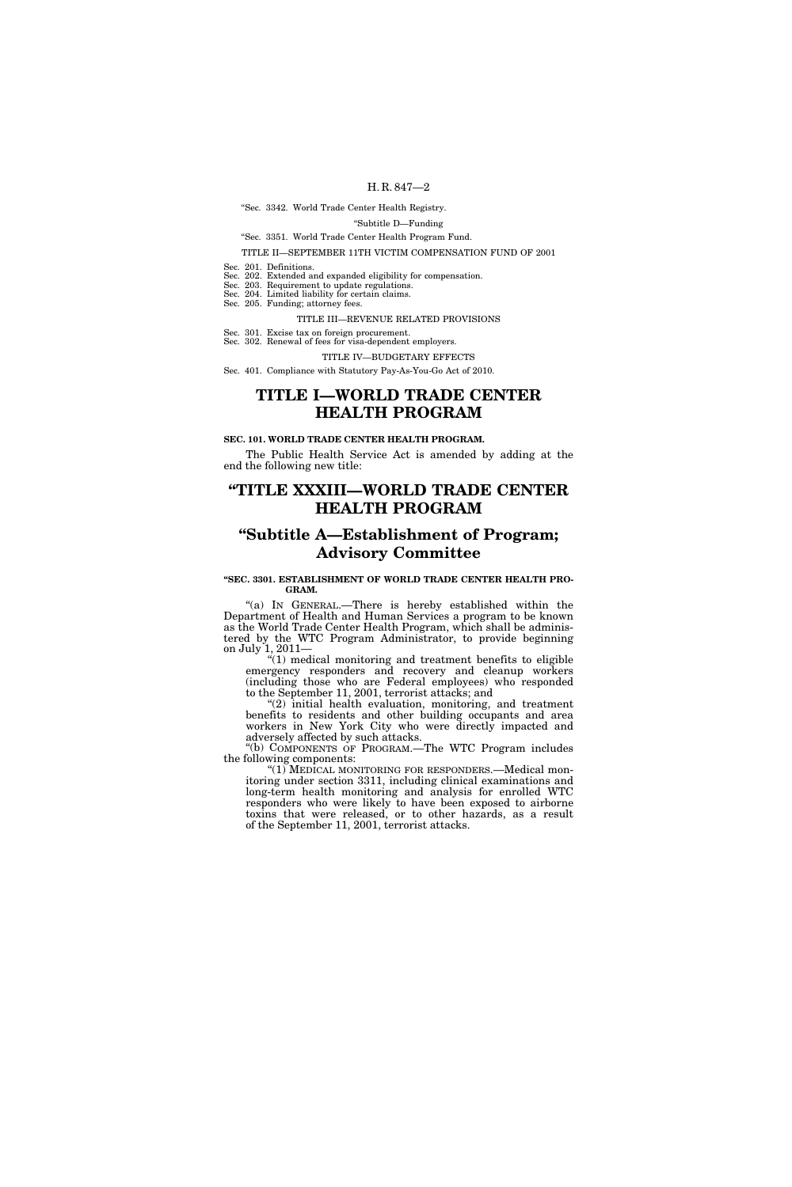#### ''Sec. 3342. World Trade Center Health Registry.

#### ''Subtitle D—Funding

#### ''Sec. 3351. World Trade Center Health Program Fund.

TITLE II—SEPTEMBER 11TH VICTIM COMPENSATION FUND OF 2001

Sec. 201. Definitions.

- Sec. 202. Extended and expanded eligibility for compensation.
- Sec. 203. Requirement to update regulations. Sec. 204. Limited liability for certain claims.
- Sec. 205. Funding; attorney fees.

#### TITLE III—REVENUE RELATED PROVISIONS

Sec. 301. Excise tax on foreign procurement.

Sec. 302. Renewal of fees for visa-dependent employers.

TITLE IV—BUDGETARY EFFECTS

Sec. 401. Compliance with Statutory Pay-As-You-Go Act of 2010.

# **TITLE I—WORLD TRADE CENTER HEALTH PROGRAM**

#### **SEC. 101. WORLD TRADE CENTER HEALTH PROGRAM.**

The Public Health Service Act is amended by adding at the end the following new title:

### **''TITLE XXXIII—WORLD TRADE CENTER HEALTH PROGRAM**

## **''Subtitle A—Establishment of Program; Advisory Committee**

#### **''SEC. 3301. ESTABLISHMENT OF WORLD TRADE CENTER HEALTH PRO-GRAM.**

"(a) IN GENERAL.-There is hereby established within the Department of Health and Human Services a program to be known as the World Trade Center Health Program, which shall be administered by the WTC Program Administrator, to provide beginning on July 1, 2011—

''(1) medical monitoring and treatment benefits to eligible emergency responders and recovery and cleanup workers (including those who are Federal employees) who responded to the September 11, 2001, terrorist attacks; and

''(2) initial health evaluation, monitoring, and treatment benefits to residents and other building occupants and area workers in New York City who were directly impacted and adversely affected by such attacks.

''(b) COMPONENTS OF PROGRAM.—The WTC Program includes the following components:

''(1) MEDICAL MONITORING FOR RESPONDERS.—Medical monitoring under section 3311, including clinical examinations and long-term health monitoring and analysis for enrolled WTC responders who were likely to have been exposed to airborne toxins that were released, or to other hazards, as a result of the September 11, 2001, terrorist attacks.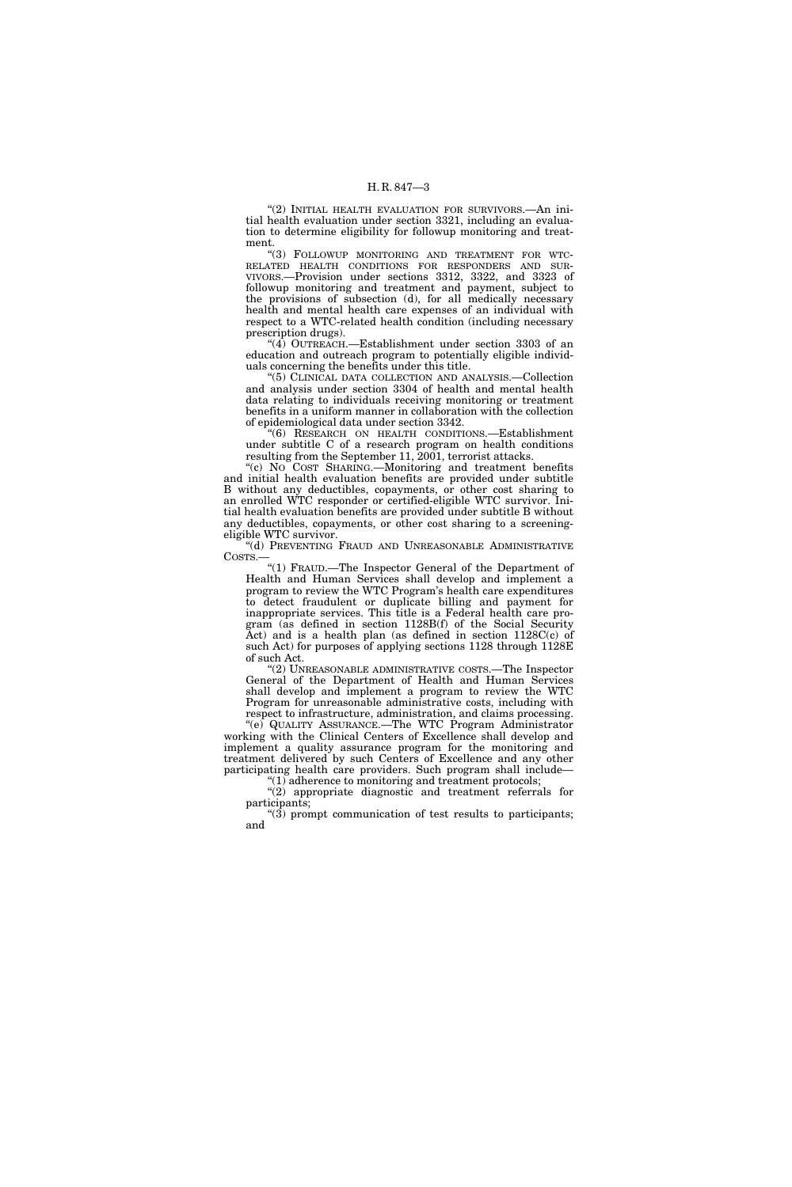"(2) INITIAL HEALTH EVALUATION FOR SURVIVORS.- An initial health evaluation under section 3321, including an evaluation to determine eligibility for followup monitoring and treatment.

''(3) FOLLOWUP MONITORING AND TREATMENT FOR WTC-RELATED HEALTH CONDITIONS FOR RESPONDERS AND SUR-VIVORS.—Provision under sections 3312, 3322, and 3323 of followup monitoring and treatment and payment, subject to the provisions of subsection (d), for all medically necessary health and mental health care expenses of an individual with respect to a WTC-related health condition (including necessary prescription drugs).

" $(4)$  OUTREACH.—Establishment under section 3303 of an education and outreach program to potentially eligible individuals concerning the benefits under this title.

''(5) CLINICAL DATA COLLECTION AND ANALYSIS.—Collection and analysis under section 3304 of health and mental health data relating to individuals receiving monitoring or treatment benefits in a uniform manner in collaboration with the collection of epidemiological data under section 3342.

''(6) RESEARCH ON HEALTH CONDITIONS.—Establishment under subtitle C of a research program on health conditions resulting from the September 11, 2001, terrorist attacks.

''(c) NO COST SHARING.—Monitoring and treatment benefits and initial health evaluation benefits are provided under subtitle B without any deductibles, copayments, or other cost sharing to an enrolled WTC responder or certified-eligible WTC survivor. Initial health evaluation benefits are provided under subtitle B without any deductibles, copayments, or other cost sharing to a screeningeligible WTC survivor.

''(d) PREVENTING FRAUD AND UNREASONABLE ADMINISTRATIVE COSTS.

''(1) FRAUD.—The Inspector General of the Department of Health and Human Services shall develop and implement a program to review the WTC Program's health care expenditures to detect fraudulent or duplicate billing and payment for inappropriate services. This title is a Federal health care program (as defined in section 1128B(f) of the Social Security Act) and is a health plan (as defined in section 1128C(c) of such Act) for purposes of applying sections 1128 through 1128E of such Act.

''(2) UNREASONABLE ADMINISTRATIVE COSTS.—The Inspector General of the Department of Health and Human Services shall develop and implement a program to review the WTC Program for unreasonable administrative costs, including with respect to infrastructure, administration, and claims processing.

''(e) QUALITY ASSURANCE.—The WTC Program Administrator working with the Clinical Centers of Excellence shall develop and implement a quality assurance program for the monitoring and treatment delivered by such Centers of Excellence and any other participating health care providers. Such program shall include—

''(1) adherence to monitoring and treatment protocols;  $''(2)$  appropriate diagnostic and treatment referrals for participants;

 $\degree$ (3) prompt communication of test results to participants; and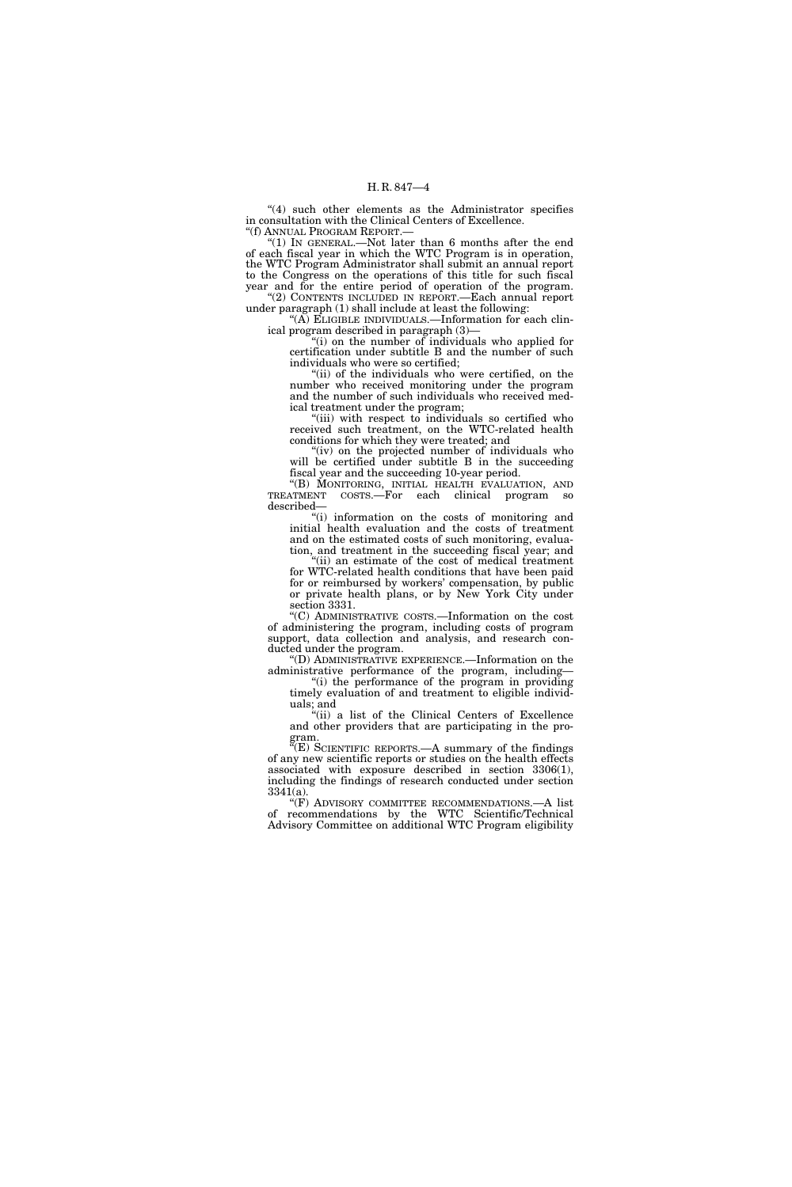"(4) such other elements as the Administrator specifies in consultation with the Clinical Centers of Excellence. ''(f) ANNUAL PROGRAM REPORT.—

" $(1)$  In GENERAL.—Not later than 6 months after the end of each fiscal year in which the WTC Program is in operation, the WTC Program Administrator shall submit an annual report to the Congress on the operations of this title for such fiscal year and for the entire period of operation of the program. ''(2) CONTENTS INCLUDED IN REPORT.—Each annual report

under paragraph (1) shall include at least the following: ''(A) ELIGIBLE INDIVIDUALS.—Information for each clin-

ical program described in paragraph (3)— ''(i) on the number of individuals who applied for certification under subtitle B and the number of such

individuals who were so certified;

''(ii) of the individuals who were certified, on the number who received monitoring under the program and the number of such individuals who received medical treatment under the program;

"(iii) with respect to individuals so certified who received such treatment, on the WTC-related health conditions for which they were treated; and

"(iv) on the projected number of individuals who will be certified under subtitle B in the succeeding fiscal year and the succeeding 10-year period.

"(B) MONITORING, INITIAL HEALTH EVALUATION, AND<br>TREATMENT COSTS.—For each clinical program so COSTS.—For each clinical program so described—

''(i) information on the costs of monitoring and initial health evaluation and the costs of treatment and on the estimated costs of such monitoring, evalua-

tion, and treatment in the succeeding fiscal year; and "(ii) an estimate of the cost of medical treatment for WTC-related health conditions that have been paid for or reimbursed by workers' compensation, by public

or private health plans, or by New York City under section 3331. ''(C) ADMINISTRATIVE COSTS.—Information on the cost

of administering the program, including costs of program support, data collection and analysis, and research conducted under the program.

''(D) ADMINISTRATIVE EXPERIENCE.—Information on the administrative performance of the program, including—

"(i) the performance of the program in providing timely evaluation of and treatment to eligible individuals; and

''(ii) a list of the Clinical Centers of Excellence and other providers that are participating in the program.

''(E) SCIENTIFIC REPORTS.—A summary of the findings of any new scientific reports or studies on the health effects associated with exposure described in section 3306(1), including the findings of research conducted under section 3341(a).

''(F) ADVISORY COMMITTEE RECOMMENDATIONS.—A list of recommendations by the WTC Scientific/Technical Advisory Committee on additional WTC Program eligibility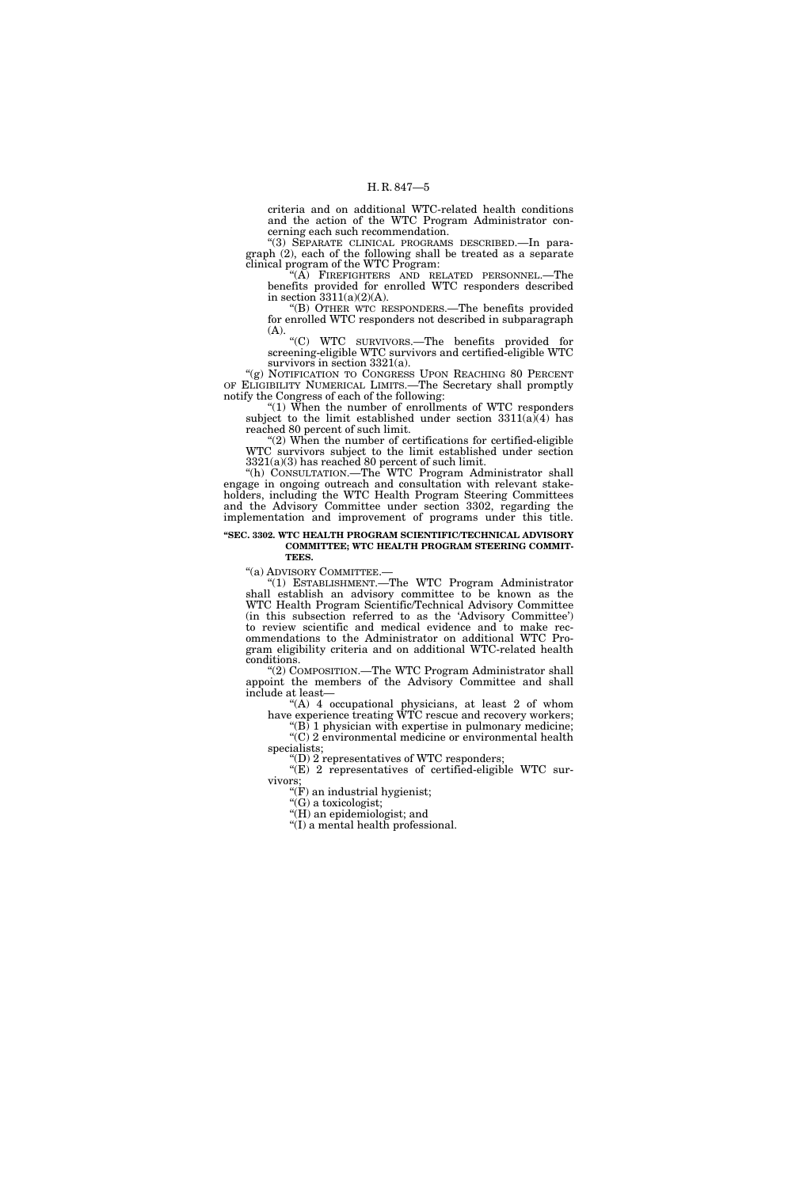criteria and on additional WTC-related health conditions and the action of the WTC Program Administrator concerning each such recommendation.

''(3) SEPARATE CLINICAL PROGRAMS DESCRIBED.—In paragraph (2), each of the following shall be treated as a separate clinical program of the WTC Program:

''(A) FIREFIGHTERS AND RELATED PERSONNEL.—The benefits provided for enrolled WTC responders described in section  $3311(a)(2)(A)$ .

''(B) OTHER WTC RESPONDERS.—The benefits provided for enrolled WTC responders not described in subparagraph (A).

''(C) WTC SURVIVORS.—The benefits provided for screening-eligible WTC survivors and certified-eligible WTC survivors in section 3321(a).

''(g) NOTIFICATION TO CONGRESS UPON REACHING 80 PERCENT OF ELIGIBILITY NUMERICAL LIMITS.—The Secretary shall promptly notify the Congress of each of the following:

"(1) When the number of enrollments of WTC responders subject to the limit established under section  $3311(a)(4)$  has reached 80 percent of such limit.

 $(2)$  When the number of certifications for certified-eligible WTC survivors subject to the limit established under section 3321(a)(3) has reached 80 percent of such limit.

''(h) CONSULTATION.—The WTC Program Administrator shall engage in ongoing outreach and consultation with relevant stakeholders, including the WTC Health Program Steering Committees and the Advisory Committee under section 3302, regarding the implementation and improvement of programs under this title.

#### **''SEC. 3302. WTC HEALTH PROGRAM SCIENTIFIC/TECHNICAL ADVISORY COMMITTEE; WTC HEALTH PROGRAM STEERING COMMIT-TEES.**

''(a) ADVISORY COMMITTEE.— ''(1) ESTABLISHMENT.—The WTC Program Administrator shall establish an advisory committee to be known as the WTC Health Program Scientific/Technical Advisory Committee (in this subsection referred to as the 'Advisory Committee') to review scientific and medical evidence and to make recommendations to the Administrator on additional WTC Program eligibility criteria and on additional WTC-related health conditions.

"(2) COMPOSITION.—The WTC Program Administrator shall appoint the members of the Advisory Committee and shall include at least—

''(A) 4 occupational physicians, at least 2 of whom have experience treating WTC rescue and recovery workers;

" $(B)$  1 physician with expertise in pulmonary medicine;  $\widetilde{C}(C)$  2 environmental medicine or environmental health specialists;

"(D) 2 representatives of WTC responders;

''(E) 2 representatives of certified-eligible WTC survivors;

 $\mathcal{F}(F)$  an industrial hygienist;

 $\mathbf{``(G)}$  a toxicologist;

''(H) an epidemiologist; and

''(I) a mental health professional.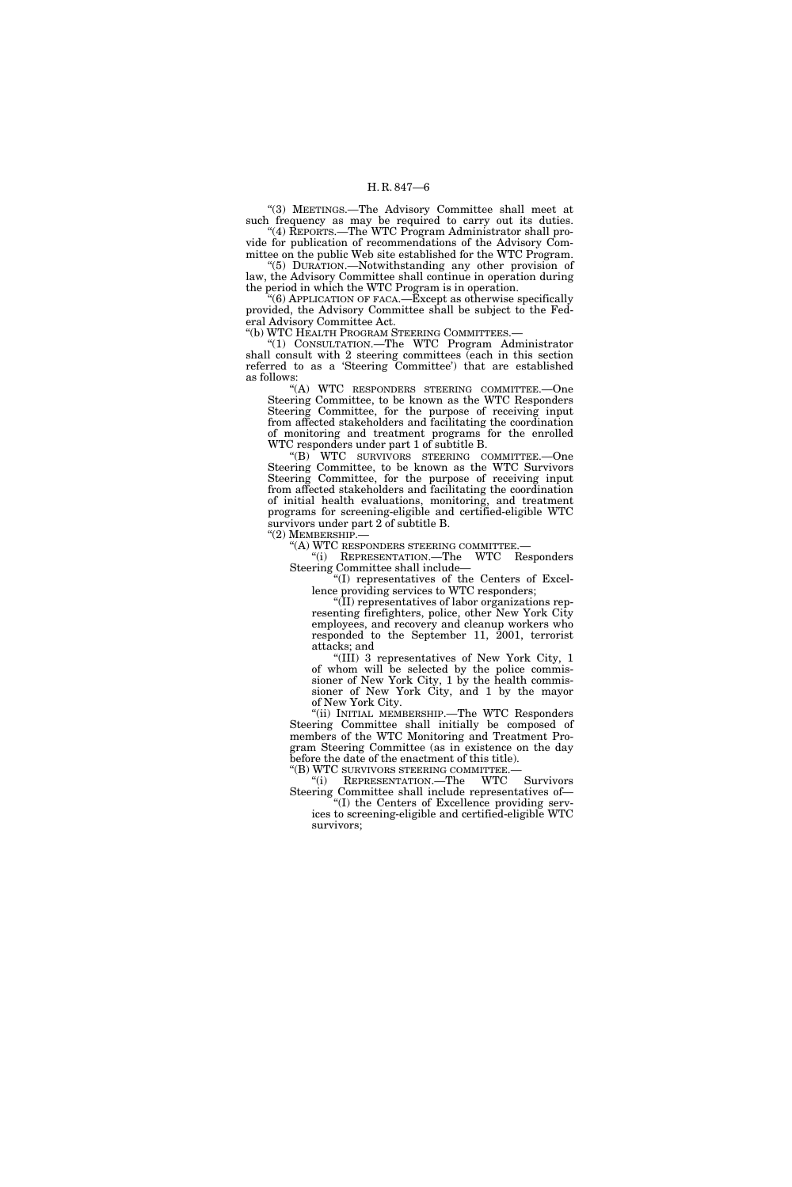''(3) MEETINGS.—The Advisory Committee shall meet at such frequency as may be required to carry out its duties. "(4) REPORTS.—The WTC Program Administrator shall pro-

vide for publication of recommendations of the Advisory Committee on the public Web site established for the WTC Program.

''(5) DURATION.—Notwithstanding any other provision of law, the Advisory Committee shall continue in operation during the period in which the WTC Program is in operation.

"(6) APPLICATION OF FACA.— $\bar{E}$ xcept as otherwise specifically provided, the Advisory Committee shall be subject to the Federal Advisory Committee Act.

''(b) WTC HEALTH PROGRAM STEERING COMMITTEES.—

''(1) CONSULTATION.—The WTC Program Administrator shall consult with 2 steering committees (each in this section referred to as a 'Steering Committee') that are established as follows:

''(A) WTC RESPONDERS STEERING COMMITTEE.—One Steering Committee, to be known as the WTC Responders Steering Committee, for the purpose of receiving input from affected stakeholders and facilitating the coordination of monitoring and treatment programs for the enrolled WTC responders under part 1 of subtitle B.

"(B) WTC SURVIVORS STEERING COMMITTEE.—One Steering Committee, to be known as the WTC Survivors Steering Committee, for the purpose of receiving input from affected stakeholders and facilitating the coordination of initial health evaluations, monitoring, and treatment programs for screening-eligible and certified-eligible WTC survivors under part 2 of subtitle B.

''(2) MEMBERSHIP.—

''(A) WTC RESPONDERS STEERING COMMITTEE.—

''(i) REPRESENTATION.—The WTC Responders Steering Committee shall include—

''(I) representatives of the Centers of Excellence providing services to WTC responders;

''(II) representatives of labor organizations representing firefighters, police, other New York City employees, and recovery and cleanup workers who responded to the September 11, 2001, terrorist attacks; and

''(III) 3 representatives of New York City, 1 of whom will be selected by the police commissioner of New York City, 1 by the health commissioner of New York City, and 1 by the mayor of New York City.

''(ii) INITIAL MEMBERSHIP.—The WTC Responders Steering Committee shall initially be composed of members of the WTC Monitoring and Treatment Program Steering Committee (as in existence on the day before the date of the enactment of this title).

"(B) WTC SURVIVORS STEERING COMMITTEE.—<br>"(i) REPRESENTATION.—The WTC Survivors "(i) REPRESENTATION.—The WTC Steering Committee shall include representatives of—

''(I) the Centers of Excellence providing services to screening-eligible and certified-eligible WTC survivors;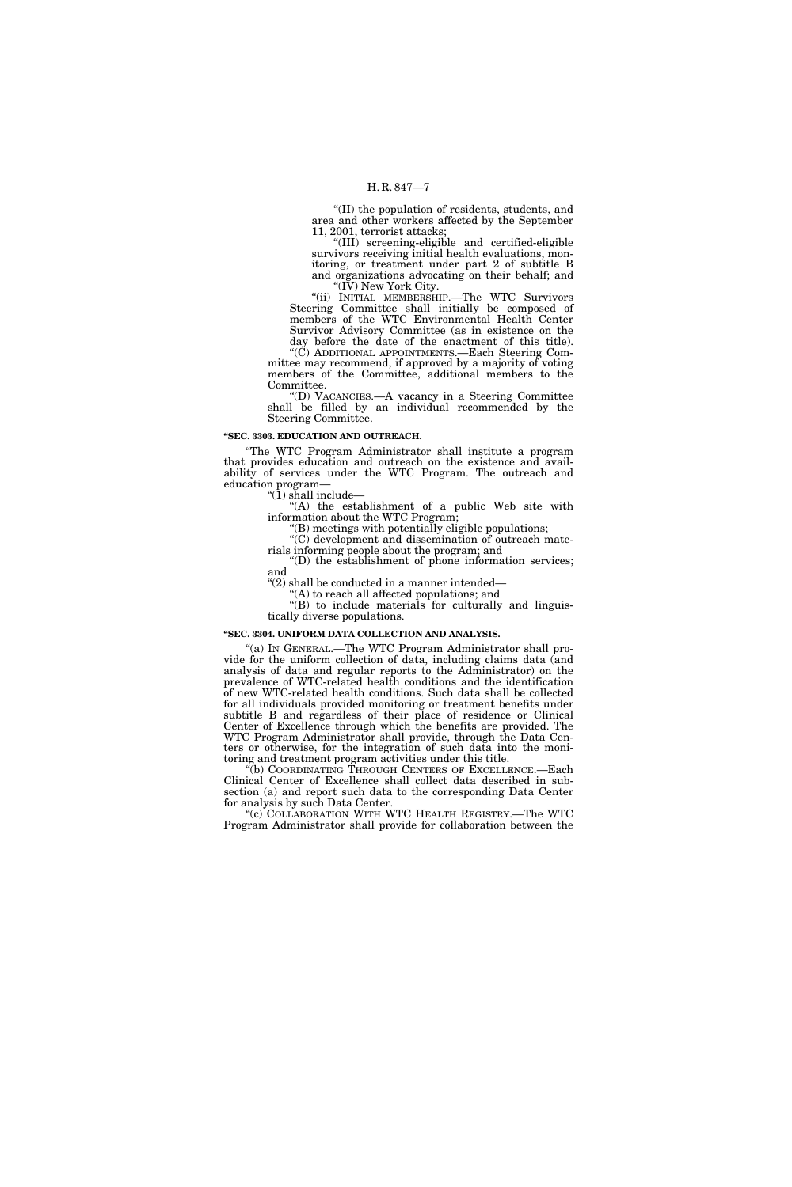''(II) the population of residents, students, and area and other workers affected by the September 11, 2001, terrorist attacks;

''(III) screening-eligible and certified-eligible survivors receiving initial health evaluations, monitoring, or treatment under part 2 of subtitle B and organizations advocating on their behalf; and ''(IV) New York City.

''(ii) INITIAL MEMBERSHIP.—The WTC Survivors Steering Committee shall initially be composed of members of the WTC Environmental Health Center Survivor Advisory Committee (as in existence on the day before the date of the enactment of this title).

''(C) ADDITIONAL APPOINTMENTS.—Each Steering Committee may recommend, if approved by a majority of voting members of the Committee, additional members to the Committee.

''(D) VACANCIES.—A vacancy in a Steering Committee shall be filled by an individual recommended by the Steering Committee.

#### **''SEC. 3303. EDUCATION AND OUTREACH.**

''The WTC Program Administrator shall institute a program that provides education and outreach on the existence and availability of services under the WTC Program. The outreach and education program—

" $(1)$  shall include—

''(A) the establishment of a public Web site with information about the WTC Program;

''(B) meetings with potentially eligible populations; ''(C) development and dissemination of outreach mate-

rials informing people about the program; and ''(D) the establishment of phone information services; and

''(2) shall be conducted in a manner intended—

''(A) to reach all affected populations; and

 $\sqrt{\text{B}}$  to include materials for culturally and linguistically diverse populations.

### **''SEC. 3304. UNIFORM DATA COLLECTION AND ANALYSIS.**

"(a) IN GENERAL.—The WTC Program Administrator shall provide for the uniform collection of data, including claims data (and analysis of data and regular reports to the Administrator) on the prevalence of WTC-related health conditions and the identification of new WTC-related health conditions. Such data shall be collected for all individuals provided monitoring or treatment benefits under subtitle B and regardless of their place of residence or Clinical Center of Excellence through which the benefits are provided. The WTC Program Administrator shall provide, through the Data Centers or otherwise, for the integration of such data into the monitoring and treatment program activities under this title.

(b) COORDINATING THROUGH CENTERS OF EXCELLENCE.—Each Clinical Center of Excellence shall collect data described in subsection (a) and report such data to the corresponding Data Center for analysis by such Data Center.

''(c) COLLABORATION WITH WTC HEALTH REGISTRY.—The WTC Program Administrator shall provide for collaboration between the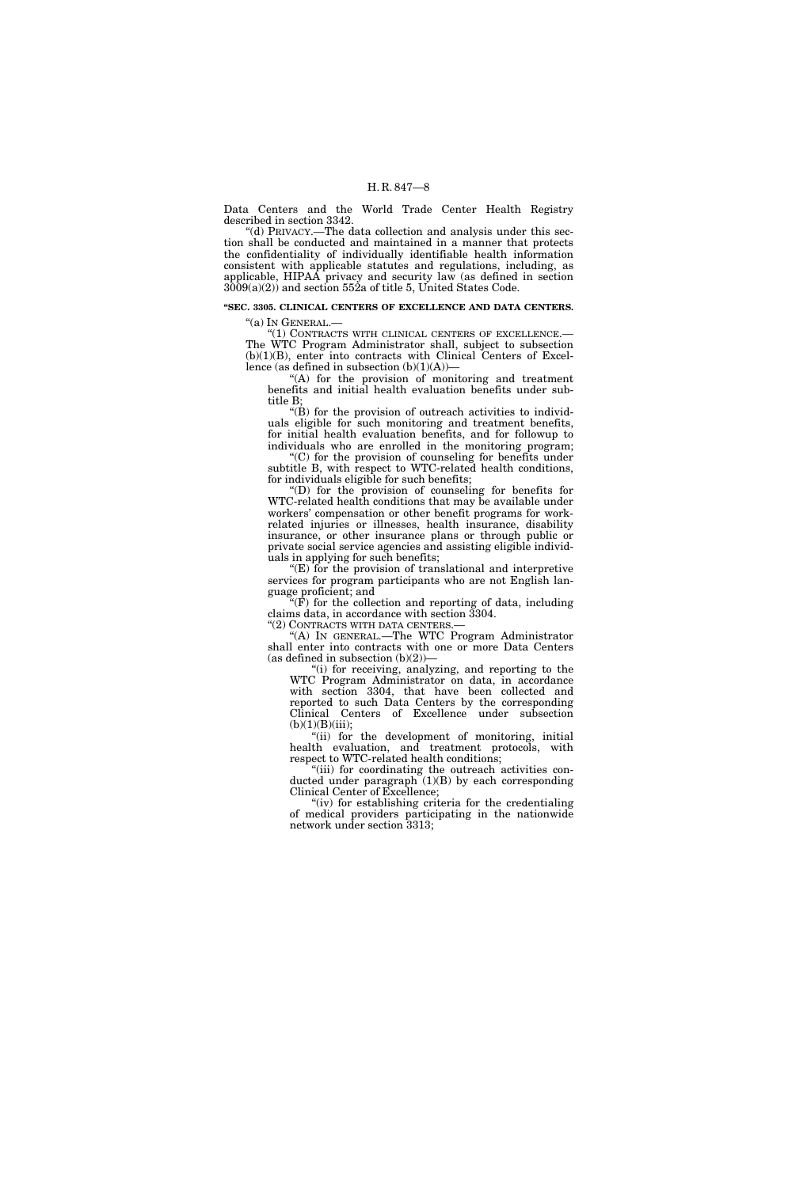Data Centers and the World Trade Center Health Registry described in section 3342.

''(d) PRIVACY.—The data collection and analysis under this section shall be conducted and maintained in a manner that protects the confidentiality of individually identifiable health information consistent with applicable statutes and regulations, including, as applicable, HIPAA privacy and security law (as defined in section  $3009(a)(2))$  and section  $552a$  of title 5, United States Code.

# **''SEC. 3305. CLINICAL CENTERS OF EXCELLENCE AND DATA CENTERS.**

''(a) IN GENERAL.—

''(1) CONTRACTS WITH CLINICAL CENTERS OF EXCELLENCE.— The WTC Program Administrator shall, subject to subsection  $(b)(1)(B)$ , enter into contracts with Clinical Centers of Excellence (as defined in subsection  $(b)(1)(A)$ )–

"(A) for the provision of monitoring and treatment benefits and initial health evaluation benefits under subtitle B;

''(B) for the provision of outreach activities to individuals eligible for such monitoring and treatment benefits, for initial health evaluation benefits, and for followup to individuals who are enrolled in the monitoring program;

''(C) for the provision of counseling for benefits under subtitle B, with respect to WTC-related health conditions, for individuals eligible for such benefits;

''(D) for the provision of counseling for benefits for WTC-related health conditions that may be available under workers' compensation or other benefit programs for workrelated injuries or illnesses, health insurance, disability insurance, or other insurance plans or through public or private social service agencies and assisting eligible individuals in applying for such benefits;

 $E$ ) for the provision of translational and interpretive services for program participants who are not English language proficient; and

 $F(F)$  for the collection and reporting of data, including claims data, in accordance with section 3304.

''(2) CONTRACTS WITH DATA CENTERS.—

''(A) IN GENERAL.—The WTC Program Administrator shall enter into contracts with one or more Data Centers (as defined in subsection  $(b)(2)$ )-

''(i) for receiving, analyzing, and reporting to the WTC Program Administrator on data, in accordance with section 3304, that have been collected and reported to such Data Centers by the corresponding Clinical Centers of Excellence under subsection  $(b)(1)(B)(iii);$ 

''(ii) for the development of monitoring, initial health evaluation, and treatment protocols, with respect to WTC-related health conditions;

"(iii) for coordinating the outreach activities conducted under paragraph  $(1)(B)$  by each corresponding Clinical Center of Excellence;

"(iv) for establishing criteria for the credentialing of medical providers participating in the nationwide network under section 3313;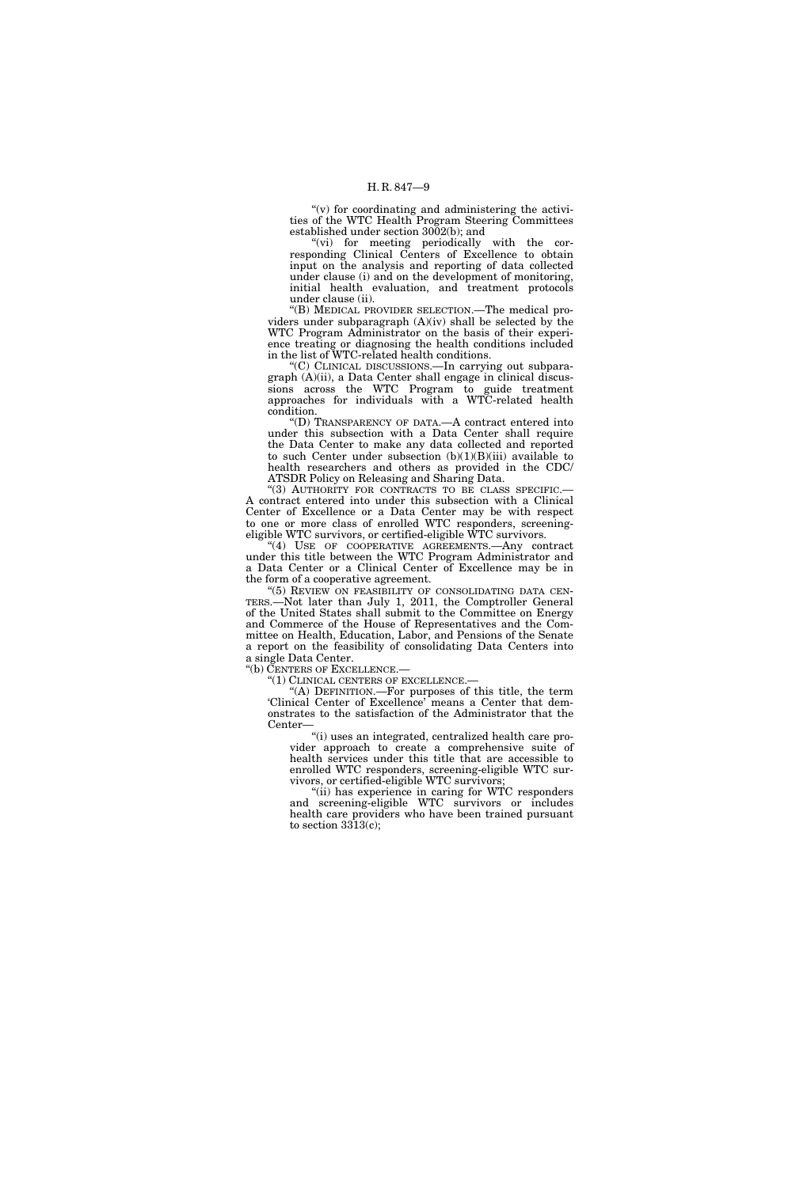"(v) for coordinating and administering the activities of the WTC Health Program Steering Committees established under section 3002(b); and

"(vi) for meeting periodically with the corresponding Clinical Centers of Excellence to obtain input on the analysis and reporting of data collected under clause (i) and on the development of monitoring, initial health evaluation, and treatment protocols under clause (ii).

''(B) MEDICAL PROVIDER SELECTION.—The medical providers under subparagraph  $(A)(iv)$  shall be selected by the WTC Program Administrator on the basis of their experience treating or diagnosing the health conditions included in the list of WTC-related health conditions.

''(C) CLINICAL DISCUSSIONS.—In carrying out subparagraph (A)(ii), a Data Center shall engage in clinical discussions across the WTC Program to guide treatment approaches for individuals with a WTC-related health condition.

''(D) TRANSPARENCY OF DATA.—A contract entered into under this subsection with a Data Center shall require the Data Center to make any data collected and reported to such Center under subsection (b)(1)(B)(iii) available to health researchers and others as provided in the CDC/ ATSDR Policy on Releasing and Sharing Data.

"(3) AUTHORITY FOR CONTRACTS TO BE CLASS SPECIFIC.— A contract entered into under this subsection with a Clinical Center of Excellence or a Data Center may be with respect to one or more class of enrolled WTC responders, screeningeligible WTC survivors, or certified-eligible WTC survivors.

"(4) USE OF COOPERATIVE AGREEMENTS.—Any contract under this title between the WTC Program Administrator and a Data Center or a Clinical Center of Excellence may be in the form of a cooperative agreement.

"(5) REVIEW ON FEASIBILITY OF CONSOLIDATING DATA CEN-TERS.—Not later than July 1, 2011, the Comptroller General of the United States shall submit to the Committee on Energy and Commerce of the House of Representatives and the Committee on Health, Education, Labor, and Pensions of the Senate a report on the feasibility of consolidating Data Centers into a single Data Center.

''(b) CENTERS OF EXCELLENCE.—

"(1) CLINICAL CENTERS OF EXCELLENCE.-

''(A) DEFINITION.—For purposes of this title, the term 'Clinical Center of Excellence' means a Center that demonstrates to the satisfaction of the Administrator that the Center

''(i) uses an integrated, centralized health care provider approach to create a comprehensive suite of health services under this title that are accessible to enrolled WTC responders, screening-eligible WTC survivors, or certified-eligible WTC survivors;

"(ii) has experience in caring for WTC responders and screening-eligible WTC survivors or includes health care providers who have been trained pursuant to section  $33\overline{1}3(c)$ ;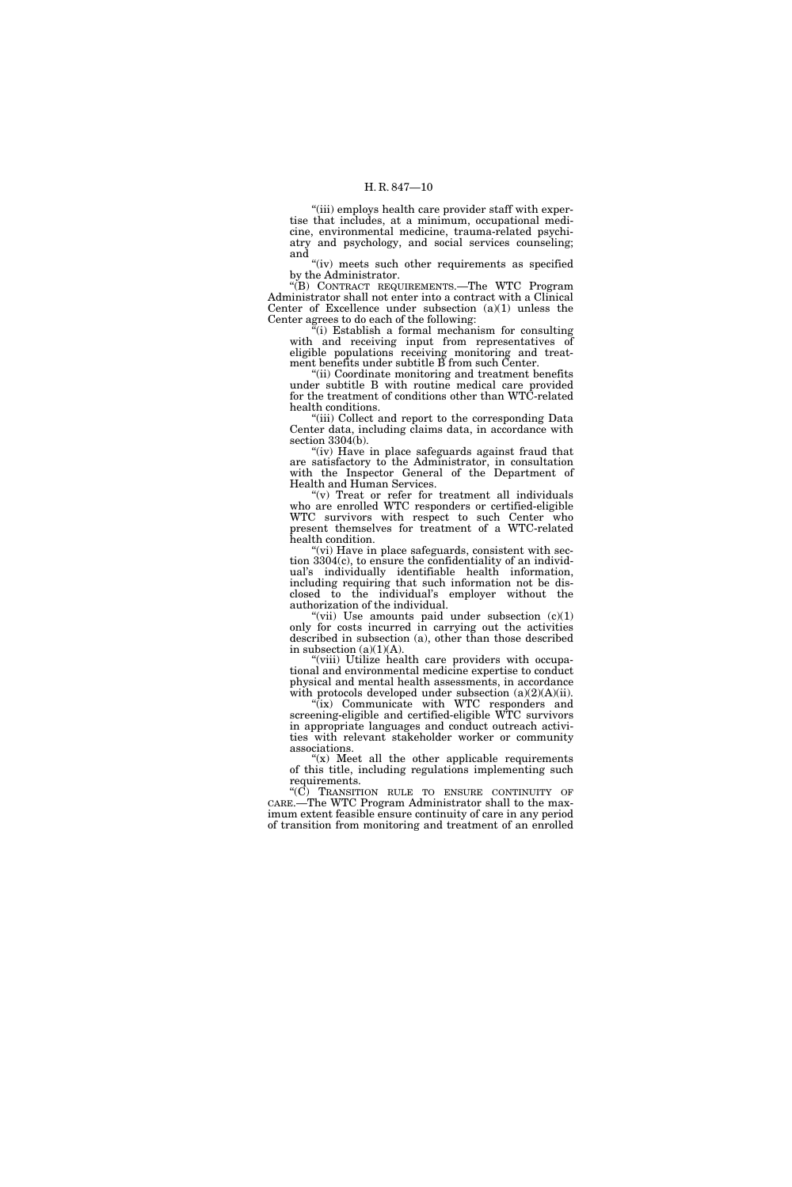''(iii) employs health care provider staff with expertise that includes, at a minimum, occupational medicine, environmental medicine, trauma-related psychiatry and psychology, and social services counseling; and

"(iv) meets such other requirements as specified by the Administrator.

''(B) CONTRACT REQUIREMENTS.—The WTC Program Administrator shall not enter into a contract with a Clinical Center of Excellence under subsection (a)(1) unless the Center agrees to do each of the following:

 $\epsilon$ <sup>(i)</sup> Establish a formal mechanism for consulting with and receiving input from representatives of eligible populations receiving monitoring and treatment benefits under subtitle B from such Center.

''(ii) Coordinate monitoring and treatment benefits under subtitle B with routine medical care provided for the treatment of conditions other than WTC-related health conditions.

"(iii) Collect and report to the corresponding Data Center data, including claims data, in accordance with section 3304(b).

"(iv) Have in place safeguards against fraud that are satisfactory to the Administrator, in consultation with the Inspector General of the Department of Health and Human Services.

"(v) Treat or refer for treatment all individuals who are enrolled WTC responders or certified-eligible WTC survivors with respect to such Center who present themselves for treatment of a WTC-related health condition.

"(vi) Have in place safeguards, consistent with section 3304(c), to ensure the confidentiality of an individual's individually identifiable health information, including requiring that such information not be disclosed to the individual's employer without the authorization of the individual.

"(vii) Use amounts paid under subsection  $(c)(1)$ only for costs incurred in carrying out the activities described in subsection (a), other than those described in subsection  $(a)(1)(A)$ .

"(viii) Utilize health care providers with occupational and environmental medicine expertise to conduct physical and mental health assessments, in accordance with protocols developed under subsection  $(a)(2)(A)(ii)$ .

'(ix) Communicate with WTC responders and screening-eligible and certified-eligible WTC survivors in appropriate languages and conduct outreach activities with relevant stakeholder worker or community associations.

 $(x)$  Meet all the other applicable requirements of this title, including regulations implementing such requirements.

''(C) TRANSITION RULE TO ENSURE CONTINUITY OF CARE.—The WTC Program Administrator shall to the maximum extent feasible ensure continuity of care in any period of transition from monitoring and treatment of an enrolled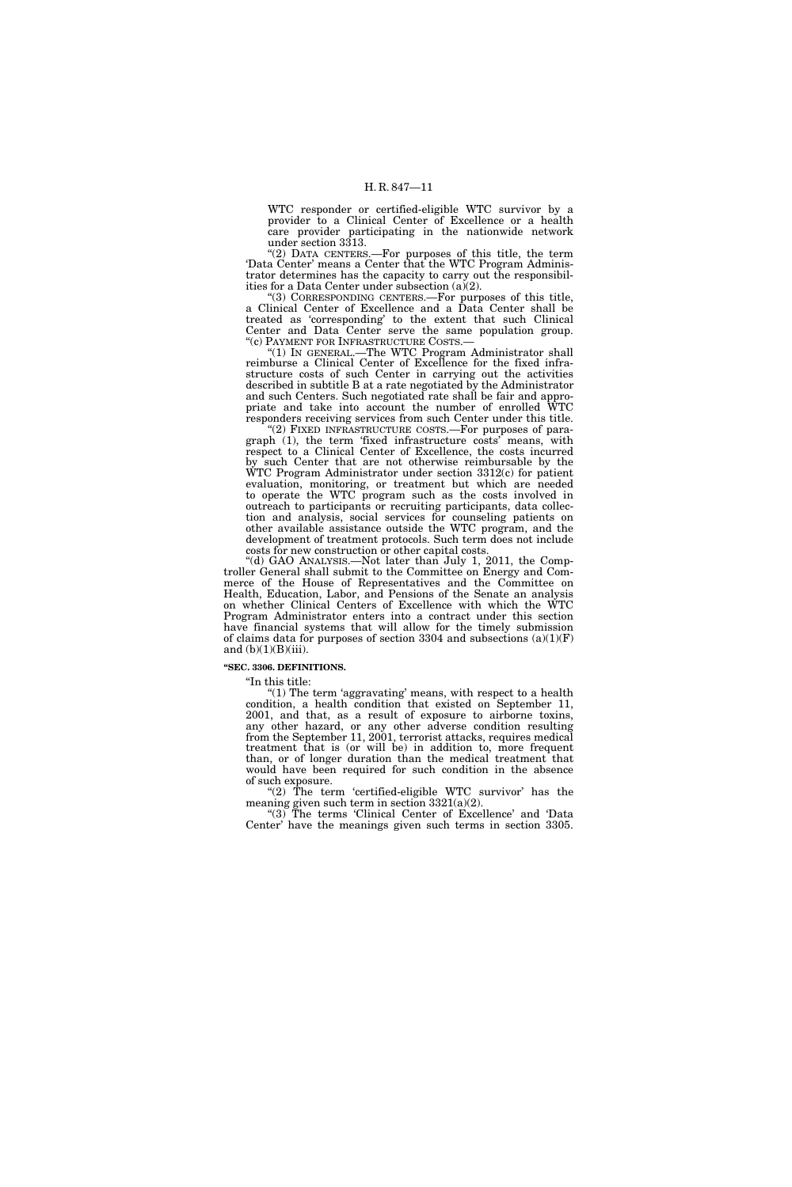WTC responder or certified-eligible WTC survivor by a provider to a Clinical Center of Excellence or a health care provider participating in the nationwide network under section 3313.

" $(2)$  DATA CENTERS.—For purposes of this title, the term 'Data Center' means a Center that the WTC Program Administrator determines has the capacity to carry out the responsibilities for a Data Center under subsection (a)(2).

''(3) CORRESPONDING CENTERS.—For purposes of this title, a Clinical Center of Excellence and a Data Center shall be treated as 'corresponding' to the extent that such Clinical Center and Data Center serve the same population group. ''(c) PAYMENT FOR INFRASTRUCTURE COSTS.—

''(1) IN GENERAL.—The WTC Program Administrator shall reimburse a Clinical Center of Excellence for the fixed infrastructure costs of such Center in carrying out the activities described in subtitle B at a rate negotiated by the Administrator and such Centers. Such negotiated rate shall be fair and appropriate and take into account the number of enrolled WTC responders receiving services from such Center under this title.

" $(2)$  FIXED INFRASTRUCTURE COSTS.—For purposes of paragraph (1), the term 'fixed infrastructure costs' means, with respect to a Clinical Center of Excellence, the costs incurred by such Center that are not otherwise reimbursable by the WTC Program Administrator under section 3312(c) for patient evaluation, monitoring, or treatment but which are needed to operate the WTC program such as the costs involved in outreach to participants or recruiting participants, data collection and analysis, social services for counseling patients on other available assistance outside the WTC program, and the development of treatment protocols. Such term does not include costs for new construction or other capital costs.

''(d) GAO ANALYSIS.—Not later than July 1, 2011, the Comptroller General shall submit to the Committee on Energy and Commerce of the House of Representatives and the Committee on Health, Education, Labor, and Pensions of the Senate an analysis on whether Clinical Centers of Excellence with which the WTC Program Administrator enters into a contract under this section have financial systems that will allow for the timely submission of claims data for purposes of section 3304 and subsections  $(a)(1)(F)$ and  $(b)(1)(B)(iii)$ .

#### **''SEC. 3306. DEFINITIONS.**

''In this title:

" $(1)$  The term 'aggravating' means, with respect to a health condition, a health condition that existed on September 11, 2001, and that, as a result of exposure to airborne toxins, any other hazard, or any other adverse condition resulting from the September 11, 2001, terrorist attacks, requires medical treatment that is (or will be) in addition to, more frequent than, or of longer duration than the medical treatment that would have been required for such condition in the absence of such exposure.

" $(2)$  The term 'certified-eligible WTC survivor' has the meaning given such term in section 3321(a)(2).

"(3) The terms 'Clinical Center of Excellence' and 'Data Center' have the meanings given such terms in section 3305.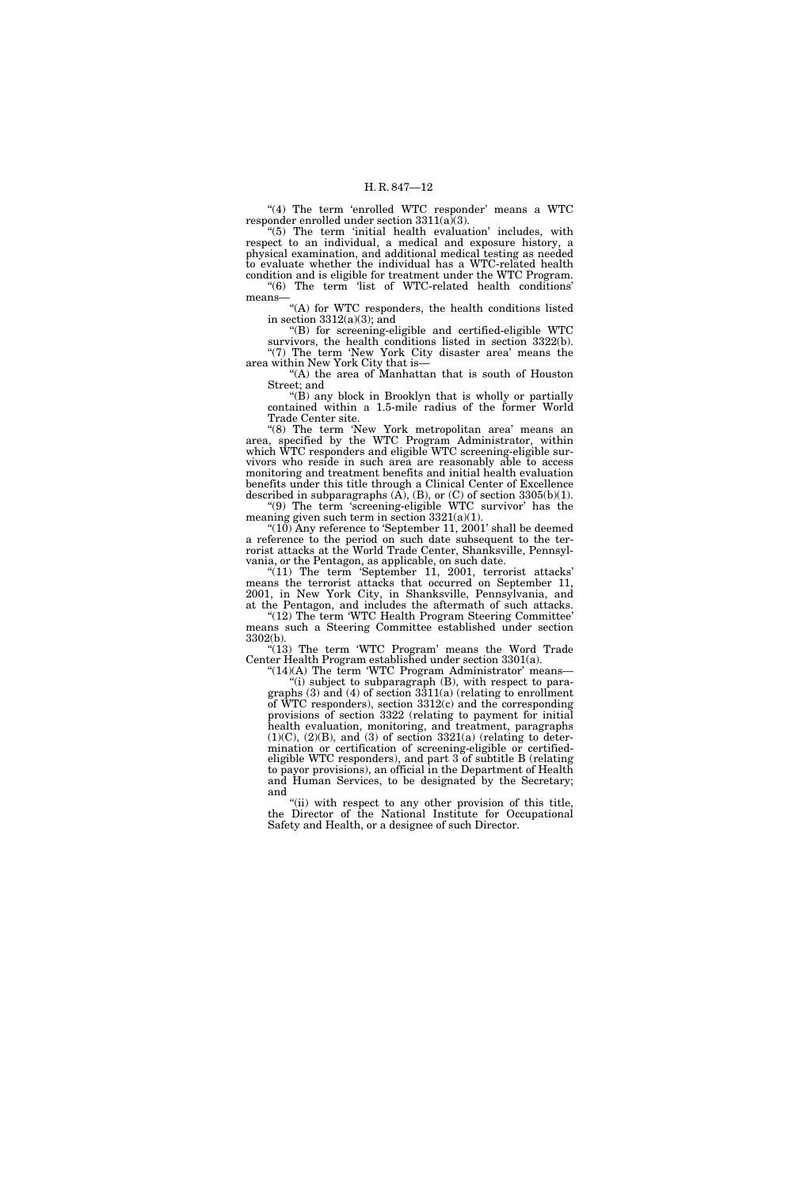"(4) The term 'enrolled WTC responder' means a WTC responder enrolled under section  $3311(a)(3)$ .

"(5) The term 'initial health evaluation' includes, with respect to an individual, a medical and exposure history, a physical examination, and additional medical testing as needed to evaluate whether the individual has a WTC-related health condition and is eligible for treatment under the WTC Program. "(6) The term 'list of WTC-related health conditions' means—

"(A) for WTC responders, the health conditions listed in section  $3312(a)(3)$ ; and

''(B) for screening-eligible and certified-eligible WTC survivors, the health conditions listed in section 3322(b). "(7) The term 'New York City disaster area' means the area within New York City that is—

''(A) the area of Manhattan that is south of Houston Street; and

''(B) any block in Brooklyn that is wholly or partially contained within a 1.5-mile radius of the former World Trade Center site.

''(8) The term 'New York metropolitan area' means an area, specified by the WTC Program Administrator, within which WTC responders and eligible WTC screening-eligible survivors who reside in such area are reasonably able to access monitoring and treatment benefits and initial health evaluation benefits under this title through a Clinical Center of Excellence described in subparagraphs  $(\overline{A})$ ,  $(\overline{B})$ , or  $(\overline{C})$  of section 3305(b)(1). "(9) The term 'screening-eligible WTC survivor' has the

meaning given such term in section  $3321(a)(1)$ . " $(10)$  Any reference to 'September 11, 2001' shall be deemed

a reference to the period on such date subsequent to the terrorist attacks at the World Trade Center, Shanksville, Pennsylvania, or the Pentagon, as applicable, on such date.

"(11) The term 'September 11, 2001, terrorist attacks' means the terrorist attacks that occurred on September 11, 2001, in New York City, in Shanksville, Pennsylvania, and at the Pentagon, and includes the aftermath of such attacks. "(12) The term 'WTC Health Program Steering Committee' means such a Steering Committee established under section 3302(b).

" $(13)$  The term 'WTC Program' means the Word Trade Center Health Program established under section 3301(a).

" $(14)(A)$  The term 'WTC Program Administrator' means-"(i) subject to subparagraph (B), with respect to paragraphs (3) and (4) of section 3311(a) (relating to enrollment of WTC responders), section 3312(c) and the corresponding provisions of section 3322 (relating to payment for initial health evaluation, monitoring, and treatment, paragraphs  $(1)(C)$ ,  $(2)(B)$ , and  $(3)$  of section 3321(a) (relating to determination or certification of screening-eligible or certifiedeligible WTC responders), and part 3 of subtitle B (relating to payor provisions), an official in the Department of Health and Human Services, to be designated by the Secretary; and

"(ii) with respect to any other provision of this title, the Director of the National Institute for Occupational Safety and Health, or a designee of such Director.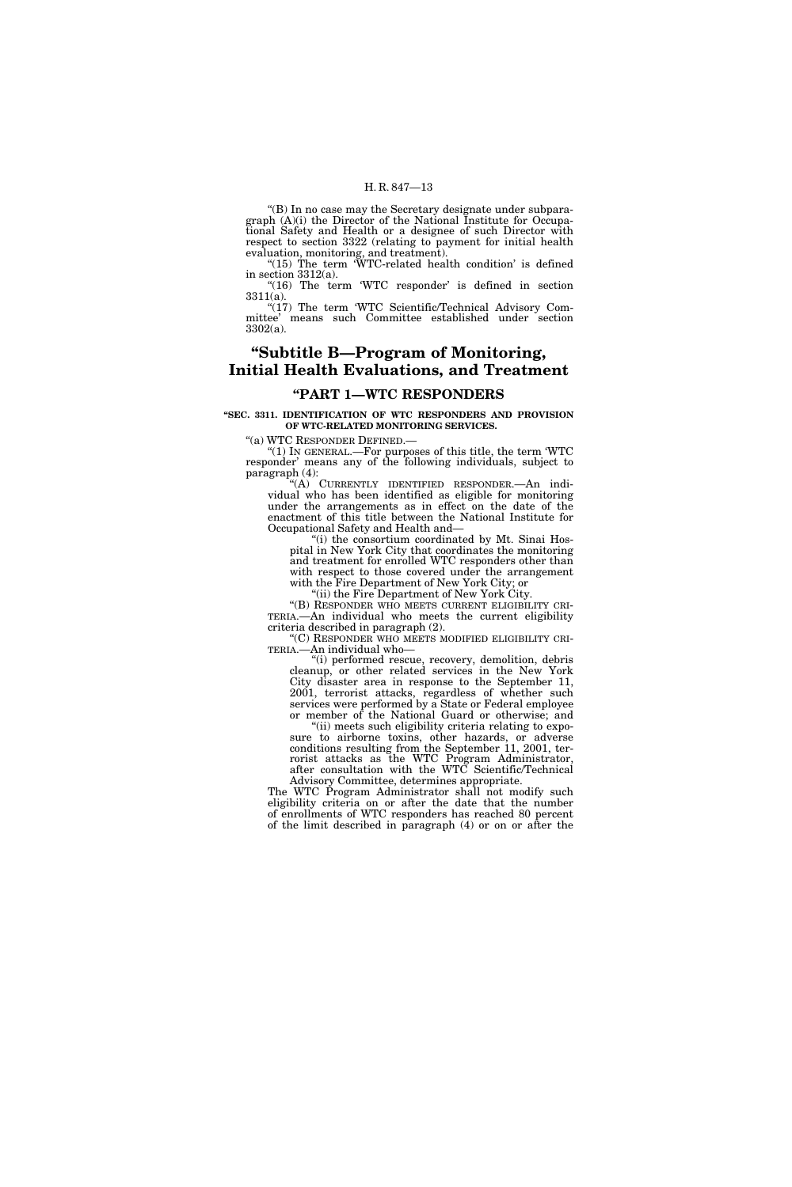''(B) In no case may the Secretary designate under subparagraph (A)(i) the Director of the National Institute for Occupational Safety and Health or a designee of such Director with respect to section 3322 (relating to payment for initial health evaluation, monitoring, and treatment).

" $(15)$  The term 'WTC-related health condition' is defined in section 3312(a).

"(16) The term 'WTC responder' is defined in section 3311(a).

 $\sqrt{17}$ ) The term 'WTC Scientific/Technical Advisory Committee' means such Committee established under section 3302(a).

# **''Subtitle B—Program of Monitoring, Initial Health Evaluations, and Treatment**

### **''PART 1—WTC RESPONDERS**

**''SEC. 3311. IDENTIFICATION OF WTC RESPONDERS AND PROVISION OF WTC-RELATED MONITORING SERVICES.** 

''(a) WTC RESPONDER DEFINED.— ''(1) IN GENERAL.—For purposes of this title, the term 'WTC responder' means any of the following individuals, subject to paragraph (4):

''(A) CURRENTLY IDENTIFIED RESPONDER.—An individual who has been identified as eligible for monitoring under the arrangements as in effect on the date of the enactment of this title between the National Institute for Occupational Safety and Health and—

''(i) the consortium coordinated by Mt. Sinai Hospital in New York City that coordinates the monitoring and treatment for enrolled WTC responders other than with respect to those covered under the arrangement with the Fire Department of New York City; or

''(ii) the Fire Department of New York City.

''(B) RESPONDER WHO MEETS CURRENT ELIGIBILITY CRI-TERIA.—An individual who meets the current eligibility criteria described in paragraph (2).

''(C) RESPONDER WHO MEETS MODIFIED ELIGIBILITY CRI-TERIA.—An individual who—

"(i) performed rescue, recovery, demolition, debris cleanup, or other related services in the New York City disaster area in response to the September 11, 2001, terrorist attacks, regardless of whether such services were performed by a State or Federal employee or member of the National Guard or otherwise; and

"(ii) meets such eligibility criteria relating to exposure to airborne toxins, other hazards, or adverse conditions resulting from the September 11, 2001, terrorist attacks as the WTC Program Administrator, after consultation with the WTC Scientific/Technical

Advisory Committee, determines appropriate. The WTC Program Administrator shall not modify such eligibility criteria on or after the date that the number of enrollments of WTC responders has reached 80 percent of the limit described in paragraph (4) or on or after the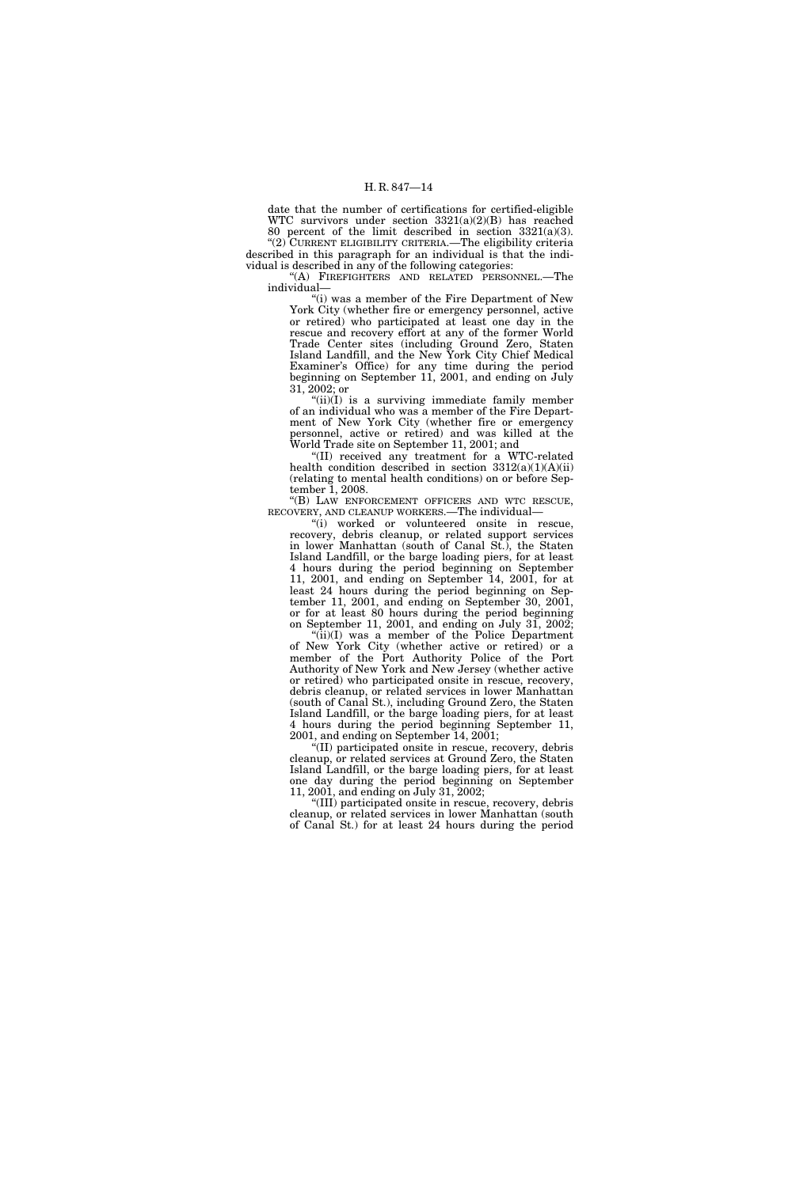date that the number of certifications for certified-eligible WTC survivors under section 3321(a)(2)(B) has reached 80 percent of the limit described in section 3321(a)(3). ''(2) CURRENT ELIGIBILITY CRITERIA.—The eligibility criteria described in this paragraph for an individual is that the individual is described in any of the following categories:

'(A) FIREFIGHTERS AND RELATED PERSONNEL.—The individual—

"(i) was a member of the Fire Department of New York City (whether fire or emergency personnel, active or retired) who participated at least one day in the rescue and recovery effort at any of the former World Trade Center sites (including Ground Zero, Staten Island Landfill, and the New York City Chief Medical Examiner's Office) for any time during the period beginning on September 11, 2001, and ending on July 31, 2002; or

 $(ii)(I)$  is a surviving immediate family member of an individual who was a member of the Fire Department of New York City (whether fire or emergency personnel, active or retired) and was killed at the World Trade site on September 11, 2001; and

''(II) received any treatment for a WTC-related health condition described in section 3312(a)(1)(A)(ii) (relating to mental health conditions) on or before September 1, 2008.

''(B) LAW ENFORCEMENT OFFICERS AND WTC RESCUE, RECOVERY, AND CLEANUP WORKERS.—The individual—

''(i) worked or volunteered onsite in rescue, recovery, debris cleanup, or related support services in lower Manhattan (south of Canal St.), the Staten Island Landfill, or the barge loading piers, for at least 4 hours during the period beginning on September 11, 2001, and ending on September 14, 2001, for at least 24 hours during the period beginning on September 11, 2001, and ending on September 30, 2001, or for at least 80 hours during the period beginning on September 11, 2001, and ending on July 31, 2002;

"(ii)(I) was a member of the Police Department of New York City (whether active or retired) or a member of the Port Authority Police of the Port Authority of New York and New Jersey (whether active or retired) who participated onsite in rescue, recovery, debris cleanup, or related services in lower Manhattan (south of Canal St.), including Ground Zero, the Staten Island Landfill, or the barge loading piers, for at least 4 hours during the period beginning September 11, 2001, and ending on September 14, 2001;

''(II) participated onsite in rescue, recovery, debris cleanup, or related services at Ground Zero, the Staten Island Landfill, or the barge loading piers, for at least one day during the period beginning on September 11, 2001, and ending on July 31, 2002;

''(III) participated onsite in rescue, recovery, debris cleanup, or related services in lower Manhattan (south of Canal St.) for at least 24 hours during the period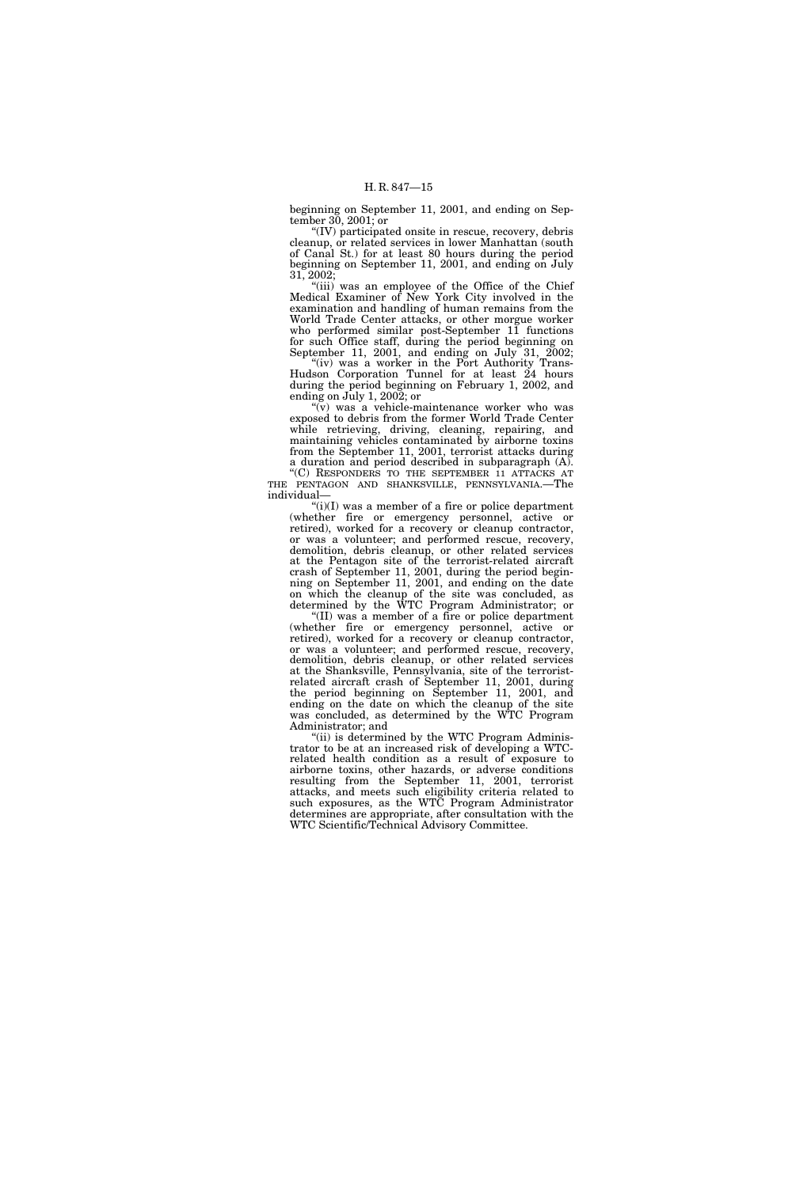beginning on September 11, 2001, and ending on September 30, 2001; or

''(IV) participated onsite in rescue, recovery, debris cleanup, or related services in lower Manhattan (south of Canal St.) for at least 80 hours during the period beginning on September 11, 2001, and ending on July 31, 2002;

"(iii) was an employee of the Office of the Chief Medical Examiner of New York City involved in the examination and handling of human remains from the World Trade Center attacks, or other morgue worker who performed similar post-September 11 functions for such Office staff, during the period beginning on September 11, 2001, and ending on July 31, 2002;

"(iv) was a worker in the Port Authority Trans-Hudson Corporation Tunnel for at least 24 hours during the period beginning on February 1, 2002, and ending on July 1, 2002; or

''(v) was a vehicle-maintenance worker who was exposed to debris from the former World Trade Center while retrieving, driving, cleaning, repairing, and maintaining vehicles contaminated by airborne toxins from the September 11, 2001, terrorist attacks during a duration and period described in subparagraph (A). ''(C) RESPONDERS TO THE SEPTEMBER 11 ATTACKS AT

THE PENTAGON AND SHANKSVILLE, PENNSYLVANIA.—The individual—

 $(i)(I)$  was a member of a fire or police department (whether fire or emergency personnel, active or retired), worked for a recovery or cleanup contractor, or was a volunteer; and performed rescue, recovery, demolition, debris cleanup, or other related services at the Pentagon site of the terrorist-related aircraft crash of September 11, 2001, during the period beginning on September 11, 2001, and ending on the date on which the cleanup of the site was concluded, as determined by the WTC Program Administrator; or

''(II) was a member of a fire or police department (whether fire or emergency personnel, active or retired), worked for a recovery or cleanup contractor, or was a volunteer; and performed rescue, recovery, demolition, debris cleanup, or other related services at the Shanksville, Pennsylvania, site of the terroristrelated aircraft crash of September 11, 2001, during the period beginning on September 11, 2001, and ending on the date on which the cleanup of the site was concluded, as determined by the WTC Program Administrator; and

"(ii) is determined by the WTC Program Administrator to be at an increased risk of developing a WTCrelated health condition as a result of exposure to airborne toxins, other hazards, or adverse conditions resulting from the September 11, 2001, terrorist attacks, and meets such eligibility criteria related to such exposures, as the WTC Program Administrator determines are appropriate, after consultation with the WTC Scientific/Technical Advisory Committee.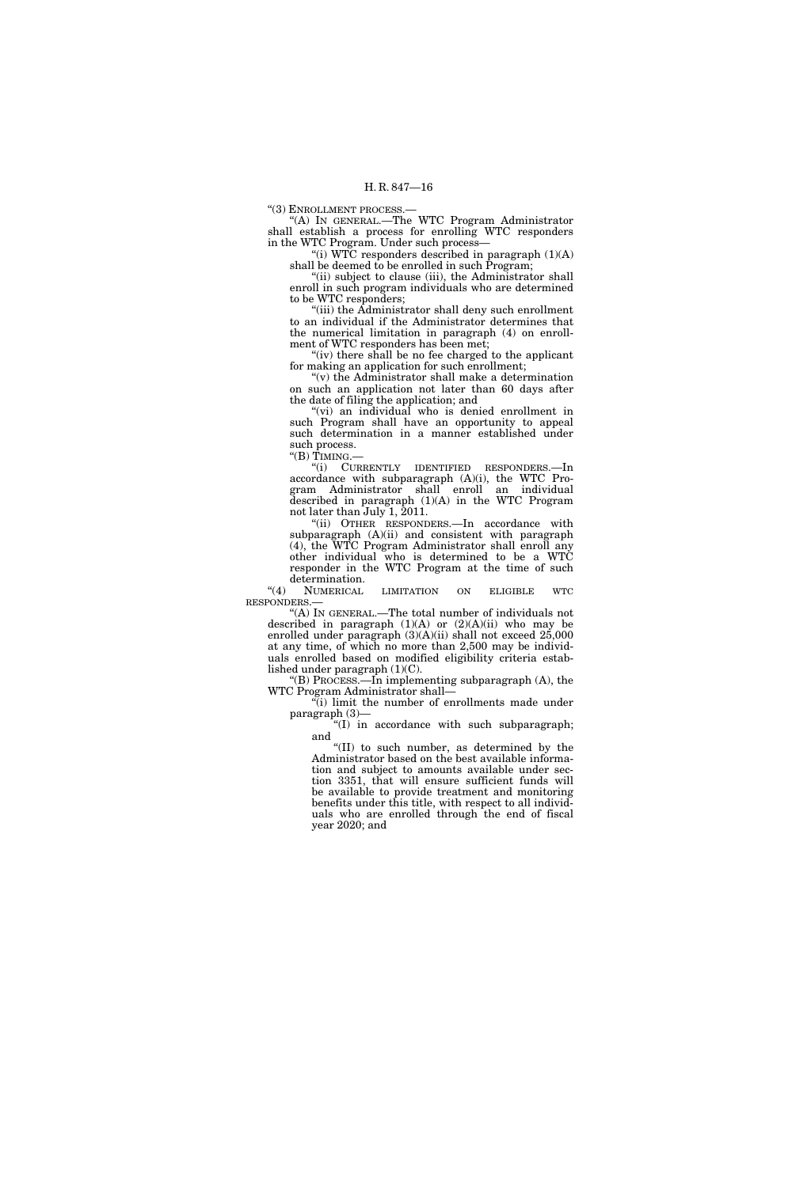''(3) ENROLLMENT PROCESS.—

''(A) IN GENERAL.—The WTC Program Administrator shall establish a process for enrolling WTC responders in the WTC Program. Under such process—

"(i) WTC responders described in paragraph  $(1)(A)$ shall be deemed to be enrolled in such Program;

"(ii) subject to clause (iii), the Administrator shall enroll in such program individuals who are determined to be WTC responders;

''(iii) the Administrator shall deny such enrollment to an individual if the Administrator determines that the numerical limitation in paragraph (4) on enrollment of WTC responders has been met;

"(iv) there shall be no fee charged to the applicant for making an application for such enrollment;

''(v) the Administrator shall make a determination on such an application not later than 60 days after the date of filing the application; and

''(vi) an individual who is denied enrollment in such Program shall have an opportunity to appeal such determination in a manner established under such process.

''(B) TIMING.—

''(i) CURRENTLY IDENTIFIED RESPONDERS.—In accordance with subparagraph (A)(i), the WTC Program Administrator shall enroll an individual described in paragraph  $(1)(A)$  in the WTC Program not later than July 1, 2011.

"(ii) OTHER RESPONDERS. - In accordance with subparagraph (A)(ii) and consistent with paragraph (4), the WTC Program Administrator shall enroll any other individual who is determined to be a WTC responder in the WTC Program at the time of such determination.<br>NUMERICAL

''(4) NUMERICAL LIMITATION ON ELIGIBLE WTC RESPONDERS.—

''(A) IN GENERAL.—The total number of individuals not described in paragraph  $(1)(A)$  or  $(2)(A)(ii)$  who may be enrolled under paragraph  $(3)(A)(ii)$  shall not exceed 25,000 at any time, of which no more than 2,500 may be individuals enrolled based on modified eligibility criteria established under paragraph (1)(C).

''(B) PROCESS.—In implementing subparagraph (A), the WTC Program Administrator shall—

 $\tilde{f}(i)$  limit the number of enrollments made under paragraph (3)—

''(I) in accordance with such subparagraph; and

''(II) to such number, as determined by the Administrator based on the best available information and subject to amounts available under section 3351, that will ensure sufficient funds will be available to provide treatment and monitoring benefits under this title, with respect to all individuals who are enrolled through the end of fiscal year 2020; and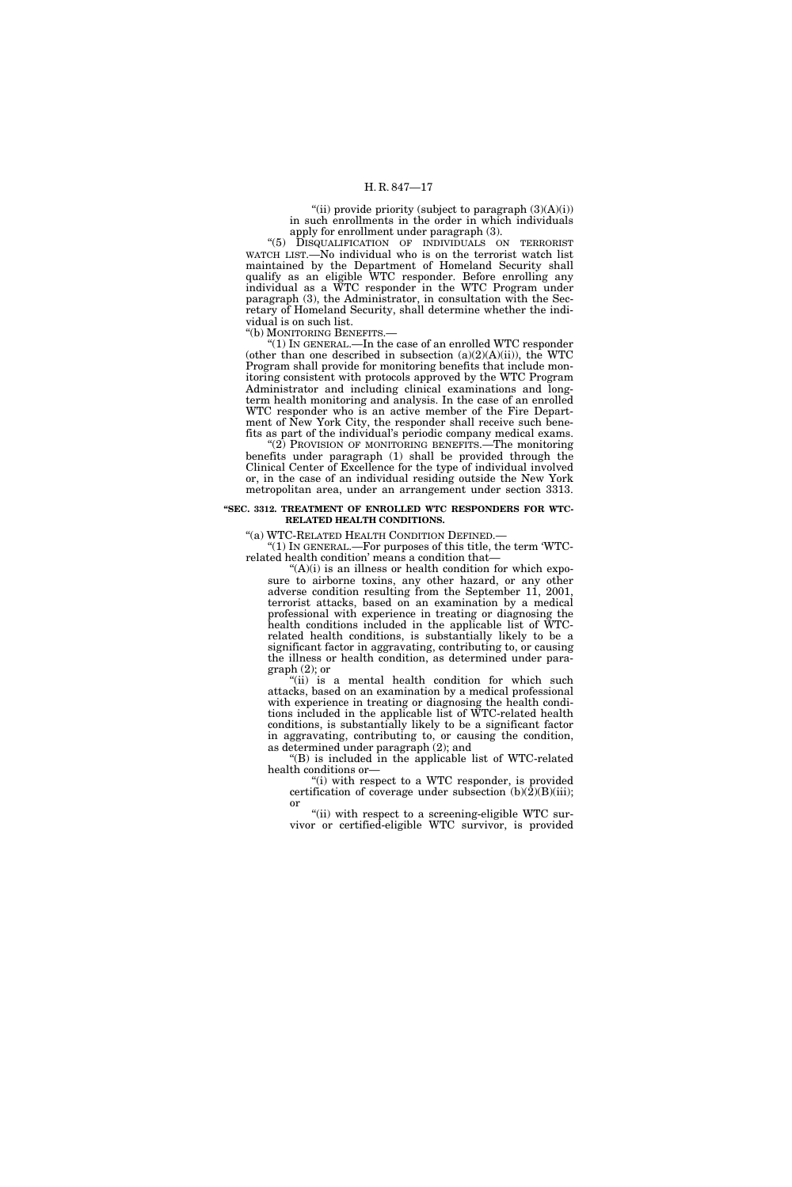"(ii) provide priority (subject to paragraph  $(3)(A)(i)$ ) in such enrollments in the order in which individuals apply for enrollment under paragraph (3).

''(5) DISQUALIFICATION OF INDIVIDUALS ON TERRORIST WATCH LIST.—No individual who is on the terrorist watch list maintained by the Department of Homeland Security shall qualify as an eligible WTC responder. Before enrolling any individual as a WTC responder in the WTC Program under paragraph (3), the Administrator, in consultation with the Secretary of Homeland Security, shall determine whether the individual is on such list.

''(b) MONITORING BENEFITS.—

''(1) IN GENERAL.—In the case of an enrolled WTC responder (other than one described in subsection  $(a)(2)(A)(ii)$ ), the WTC Program shall provide for monitoring benefits that include monitoring consistent with protocols approved by the WTC Program Administrator and including clinical examinations and longterm health monitoring and analysis. In the case of an enrolled WTC responder who is an active member of the Fire Department of New York City, the responder shall receive such benefits as part of the individual's periodic company medical exams.

" $(2)$  Provision OF MONITORING BENEFITS.—The monitoring benefits under paragraph (1) shall be provided through the Clinical Center of Excellence for the type of individual involved or, in the case of an individual residing outside the New York metropolitan area, under an arrangement under section 3313.

#### **''SEC. 3312. TREATMENT OF ENROLLED WTC RESPONDERS FOR WTC-RELATED HEALTH CONDITIONS.**

''(a) WTC-RELATED HEALTH CONDITION DEFINED.—

"(1) IN GENERAL.—For purposes of this title, the term  $WTC$ related health condition' means a condition that—

 $(A)(i)$  is an illness or health condition for which exposure to airborne toxins, any other hazard, or any other adverse condition resulting from the September 11, 2001, terrorist attacks, based on an examination by a medical professional with experience in treating or diagnosing the health conditions included in the applicable list of WTCrelated health conditions, is substantially likely to be a significant factor in aggravating, contributing to, or causing the illness or health condition, as determined under paragraph (2); or

"(ii) is a mental health condition for which such attacks, based on an examination by a medical professional with experience in treating or diagnosing the health conditions included in the applicable list of WTC-related health conditions, is substantially likely to be a significant factor in aggravating, contributing to, or causing the condition, as determined under paragraph (2); and

''(B) is included in the applicable list of WTC-related health conditions or—

"(i) with respect to a WTC responder, is provided certification of coverage under subsection  $(b)(2)(B)(iii)$ ; or

"(ii) with respect to a screening-eligible WTC survivor or certified-eligible WTC survivor, is provided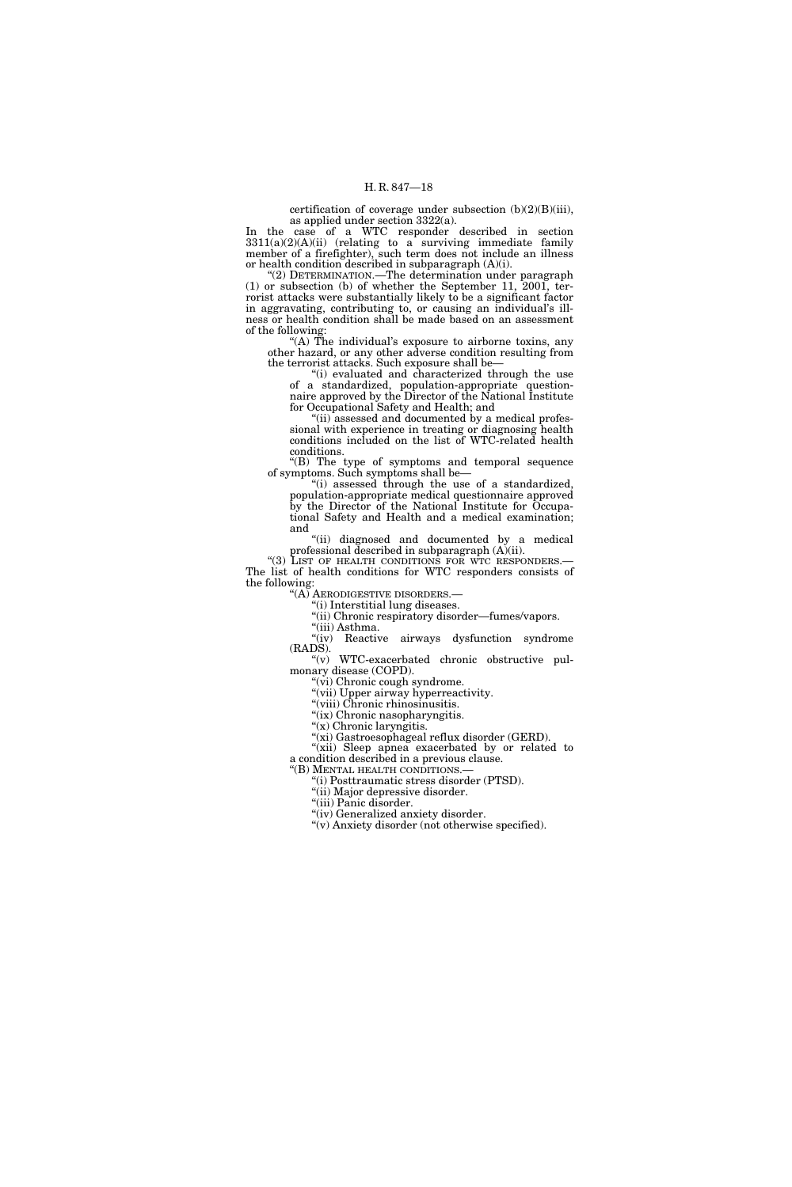certification of coverage under subsection (b)(2)(B)(iii), as applied under section 3322(a).

In the case of a WTC responder described in section  $3311(a)(2)(A)(ii)$  (relating to a surviving immediate family member of a firefighter), such term does not include an illness or health condition described in subparagraph (A)(i).

''(2) DETERMINATION.—The determination under paragraph  $(1)$  or subsection  $(b)$  of whether the September 11, 2001, terrorist attacks were substantially likely to be a significant factor in aggravating, contributing to, or causing an individual's illness or health condition shall be made based on an assessment of the following:

"(A) The individual's exposure to airborne toxins, any other hazard, or any other adverse condition resulting from the terrorist attacks. Such exposure shall be—

''(i) evaluated and characterized through the use of a standardized, population-appropriate questionnaire approved by the Director of the National Institute for Occupational Safety and Health; and

"(ii) assessed and documented by a medical professional with experience in treating or diagnosing health conditions included on the list of WTC-related health conditions.

''(B) The type of symptoms and temporal sequence of symptoms. Such symptoms shall be—

''(i) assessed through the use of a standardized, population-appropriate medical questionnaire approved by the Director of the National Institute for Occupational Safety and Health and a medical examination; and

''(ii) diagnosed and documented by a medical

professional described in subparagraph  $(A)(ii)$ .<br>"(3) LIST OF HEALTH CONDITIONS FOR WTC RESPONDERS.— The list of health conditions for WTC responders consists of

the following:<br>"(A) AERODIGESTIVE DISORDERS.—

"(i) Interstitial lung diseases.

''(ii) Chronic respiratory disorder—fumes/vapors.

''(iii) Asthma.

"(iv) Reactive airways dysfunction syndrome (RADS).  $\sqrt[n]{v}$  WTC-exacerbated chronic obstructive pul-

monary disease (COPD).

''(vi) Chronic cough syndrome.

"(vii) Upper airway hyperreactivity.

''(viii) Chronic rhinosinusitis. "(ix) Chronic nasopharyngitis.

"(x) Chronic laryngitis.

"(xi) Gastroesophageal reflux disorder (GERD).

"(xii) Sleep apnea exacerbated by or related to a condition described in a previous clause.

"(i) Posttraumatic stress disorder (PTSD).

"(ii) Major depressive disorder.

"(iii) Panic disorder.

"(iv) Generalized anxiety disorder. ''(v) Anxiety disorder (not otherwise specified).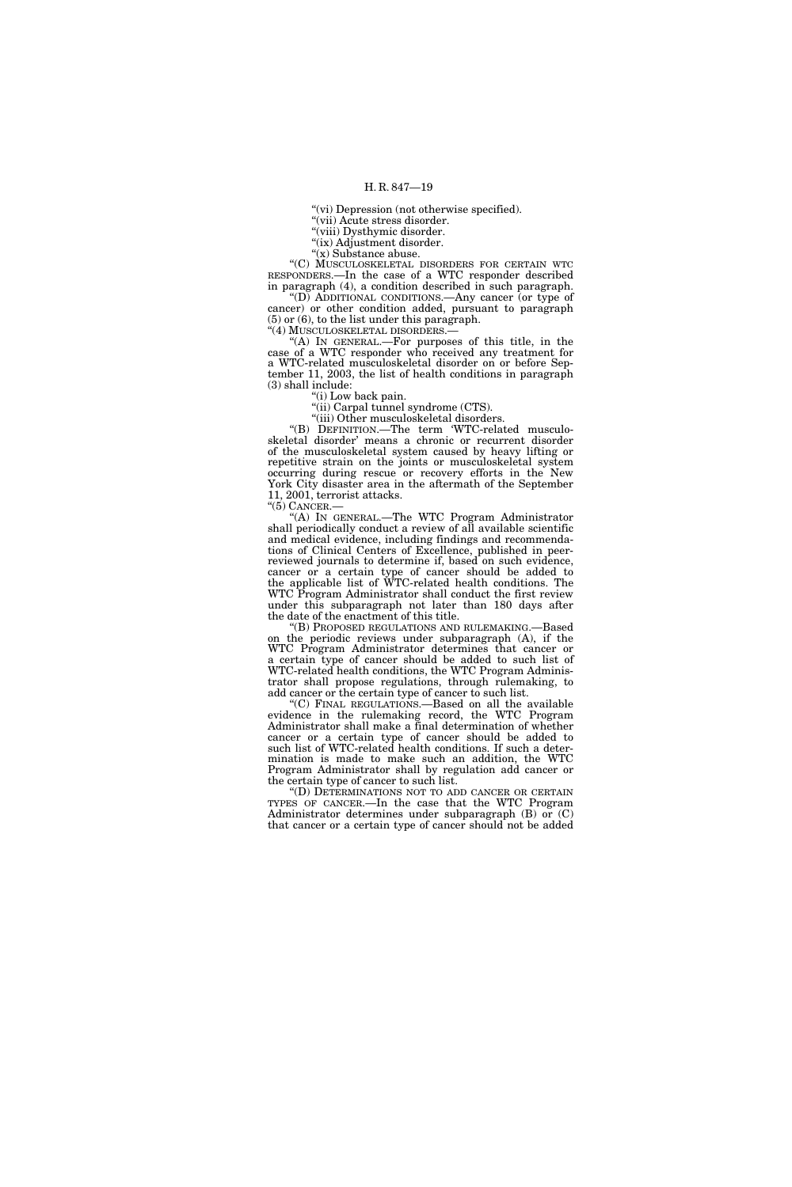"(vi) Depression (not otherwise specified).

''(vii) Acute stress disorder.

''(viii) Dysthymic disorder.

''(ix) Adjustment disorder. "(x) Substance abuse.

''(C) MUSCULOSKELETAL DISORDERS FOR CERTAIN WTC RESPONDERS.—In the case of a WTC responder described in paragraph (4), a condition described in such paragraph.

''(D) ADDITIONAL CONDITIONS.—Any cancer (or type of cancer) or other condition added, pursuant to paragraph (5) or (6), to the list under this paragraph. ''(4) MUSCULOSKELETAL DISORDERS.—

"(A) IN GENERAL.—For purposes of this title, in the case of a WTC responder who received any treatment for a WTC-related musculoskeletal disorder on or before September 11, 2003, the list of health conditions in paragraph (3) shall include:

''(i) Low back pain.

''(ii) Carpal tunnel syndrome (CTS). ''(iii) Other musculoskeletal disorders.

''(B) DEFINITION.—The term 'WTC-related musculoskeletal disorder' means a chronic or recurrent disorder of the musculoskeletal system caused by heavy lifting or repetitive strain on the joints or musculoskeletal system occurring during rescue or recovery efforts in the New York City disaster area in the aftermath of the September 11, 2001, terrorist attacks.<br>" $(5)$  CANCER.—

"(A) In GENERAL.— The WTC Program Administrator shall periodically conduct a review of all available scientific and medical evidence, including findings and recommendations of Clinical Centers of Excellence, published in peerreviewed journals to determine if, based on such evidence, cancer or a certain type of cancer should be added to the applicable list of WTC-related health conditions. The WTC Program Administrator shall conduct the first review under this subparagraph not later than 180 days after the date of the enactment of this title.

''(B) PROPOSED REGULATIONS AND RULEMAKING.—Based on the periodic reviews under subparagraph (A), if the WTC Program Administrator determines that cancer or a certain type of cancer should be added to such list of WTC-related health conditions, the WTC Program Administrator shall propose regulations, through rulemaking, to add cancer or the certain type of cancer to such list.

''(C) FINAL REGULATIONS.—Based on all the available evidence in the rulemaking record, the WTC Program Administrator shall make a final determination of whether cancer or a certain type of cancer should be added to such list of WTC-related health conditions. If such a determination is made to make such an addition, the WTC Program Administrator shall by regulation add cancer or the certain type of cancer to such list.

''(D) DETERMINATIONS NOT TO ADD CANCER OR CERTAIN TYPES OF CANCER.—In the case that the WTC Program Administrator determines under subparagraph (B) or (C) that cancer or a certain type of cancer should not be added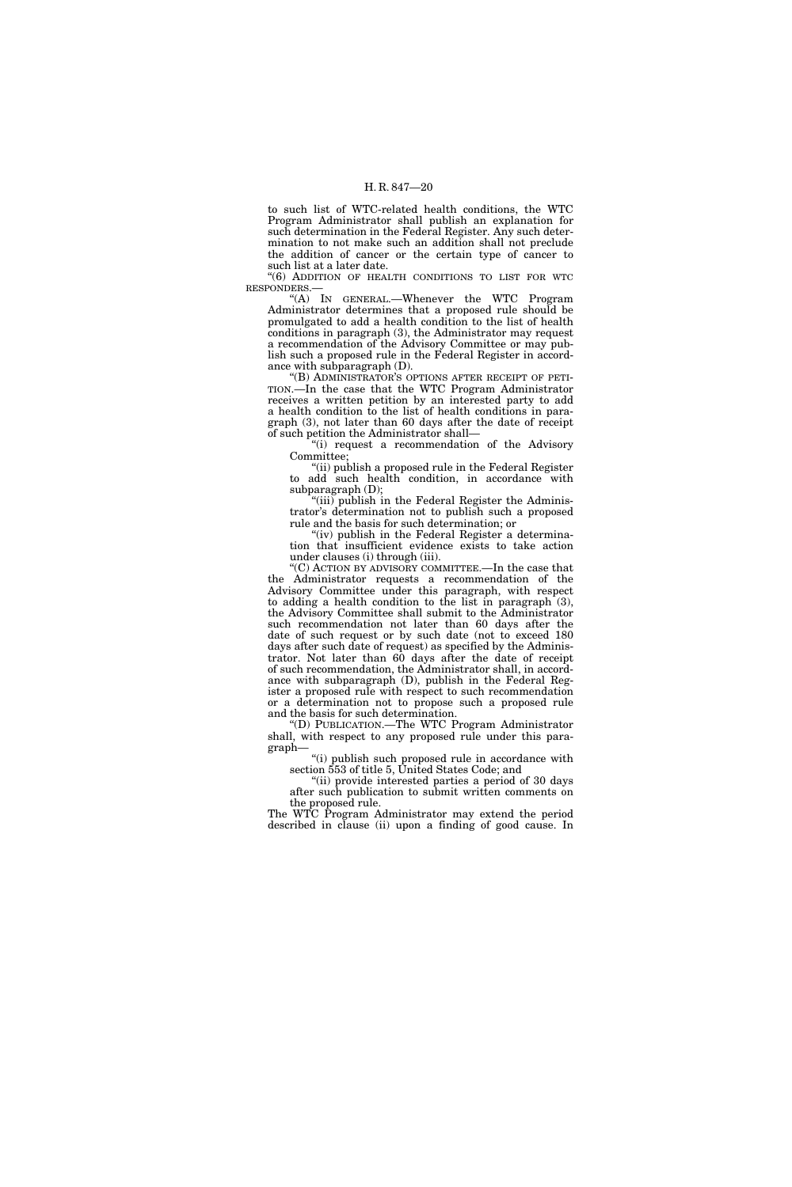to such list of WTC-related health conditions, the WTC Program Administrator shall publish an explanation for such determination in the Federal Register. Any such determination to not make such an addition shall not preclude the addition of cancer or the certain type of cancer to such list at a later date.

''(6) ADDITION OF HEALTH CONDITIONS TO LIST FOR WTC RESPONDERS.—

''(A) IN GENERAL.—Whenever the WTC Program Administrator determines that a proposed rule should be promulgated to add a health condition to the list of health conditions in paragraph (3), the Administrator may request a recommendation of the Advisory Committee or may publish such a proposed rule in the Federal Register in accordance with subparagraph (D).

''(B) ADMINISTRATOR'S OPTIONS AFTER RECEIPT OF PETI-TION.—In the case that the WTC Program Administrator receives a written petition by an interested party to add a health condition to the list of health conditions in paragraph (3), not later than 60 days after the date of receipt of such petition the Administrator shall—

''(i) request a recommendation of the Advisory Committee;

''(ii) publish a proposed rule in the Federal Register to add such health condition, in accordance with subparagraph (D);

 $'$ (iii) publish in the Federal Register the Administrator's determination not to publish such a proposed rule and the basis for such determination; or

 $(iv)$  publish in the Federal Register a determination that insufficient evidence exists to take action under clauses (i) through (iii).

''(C) ACTION BY ADVISORY COMMITTEE.—In the case that the Administrator requests a recommendation of the Advisory Committee under this paragraph, with respect to adding a health condition to the list in paragraph (3), the Advisory Committee shall submit to the Administrator such recommendation not later than 60 days after the date of such request or by such date (not to exceed 180 days after such date of request) as specified by the Administrator. Not later than 60 days after the date of receipt of such recommendation, the Administrator shall, in accordance with subparagraph (D), publish in the Federal Register a proposed rule with respect to such recommendation or a determination not to propose such a proposed rule and the basis for such determination.

''(D) PUBLICATION.—The WTC Program Administrator shall, with respect to any proposed rule under this paragraph—

''(i) publish such proposed rule in accordance with section 553 of title 5, United States Code; and

"(ii) provide interested parties a period of 30 days after such publication to submit written comments on the proposed rule.

The WTC Program Administrator may extend the period described in clause (ii) upon a finding of good cause. In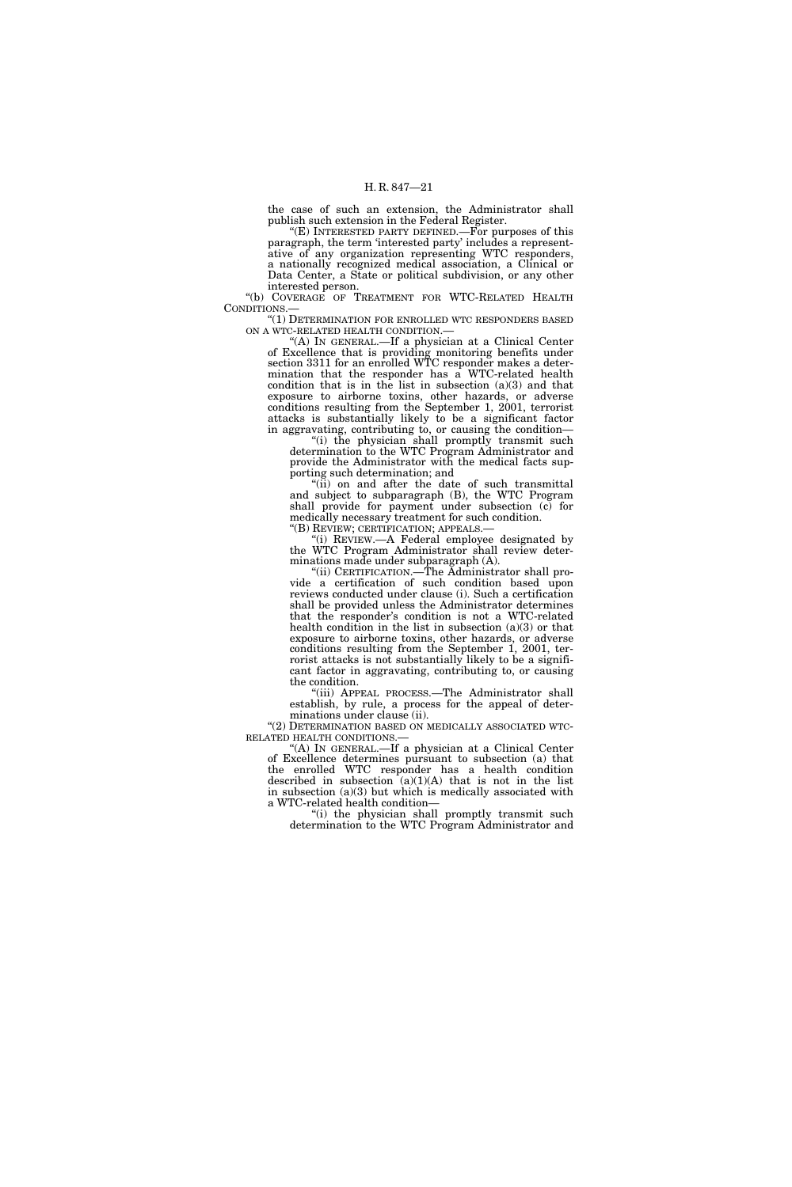the case of such an extension, the Administrator shall publish such extension in the Federal Register.

"(E) INTERESTED PARTY DEFINED.—For purposes of this paragraph, the term 'interested party' includes a representative of any organization representing WTC responders, a nationally recognized medical association, a Clinical or Data Center, a State or political subdivision, or any other interested person.

''(b) COVERAGE OF TREATMENT FOR WTC-RELATED HEALTH CONDITIONS.— ''(1) DETERMINATION FOR ENROLLED WTC RESPONDERS BASED

ON A WTC-RELATED HEALTH CONDITION.—

''(A) IN GENERAL.—If a physician at a Clinical Center of Excellence that is providing monitoring benefits under section 3311 for an enrolled WTC responder makes a determination that the responder has a WTC-related health condition that is in the list in subsection (a)(3) and that exposure to airborne toxins, other hazards, or adverse conditions resulting from the September 1, 2001, terrorist attacks is substantially likely to be a significant factor in aggravating, contributing to, or causing the condition—

''(i) the physician shall promptly transmit such determination to the WTC Program Administrator and provide the Administrator with the medical facts supporting such determination; and

"(ii) on and after the date of such transmittal and subject to subparagraph (B), the WTC Program shall provide for payment under subsection (c) for medically necessary treatment for such condition.<br>"(B) REVIEW: CERTIFICATION: APPEALS.—

"(i)  $REVIEW. \rightarrow A$  Federal employee designated by

the WTC Program Administrator shall review determinations made under subparagraph (A).

''(ii) CERTIFICATION.—The Administrator shall provide a certification of such condition based upon reviews conducted under clause (i). Such a certification shall be provided unless the Administrator determines that the responder's condition is not a WTC-related health condition in the list in subsection  $(a)(3)$  or that exposure to airborne toxins, other hazards, or adverse conditions resulting from the September 1, 2001, terrorist attacks is not substantially likely to be a significant factor in aggravating, contributing to, or causing the condition.

'(iii) APPEAL PROCESS.—The Administrator shall establish, by rule, a process for the appeal of determinations under clause (ii).

''(2) DETERMINATION BASED ON MEDICALLY ASSOCIATED WTC- RELATED HEALTH CONDITIONS.— ''(A) IN GENERAL.—If a physician at a Clinical Center

of Excellence determines pursuant to subsection (a) that the enrolled WTC responder has a health condition described in subsection  $(a)(1)(A)$  that is not in the list in subsection (a)(3) but which is medically associated with a WTC-related health condition—

''(i) the physician shall promptly transmit such determination to the WTC Program Administrator and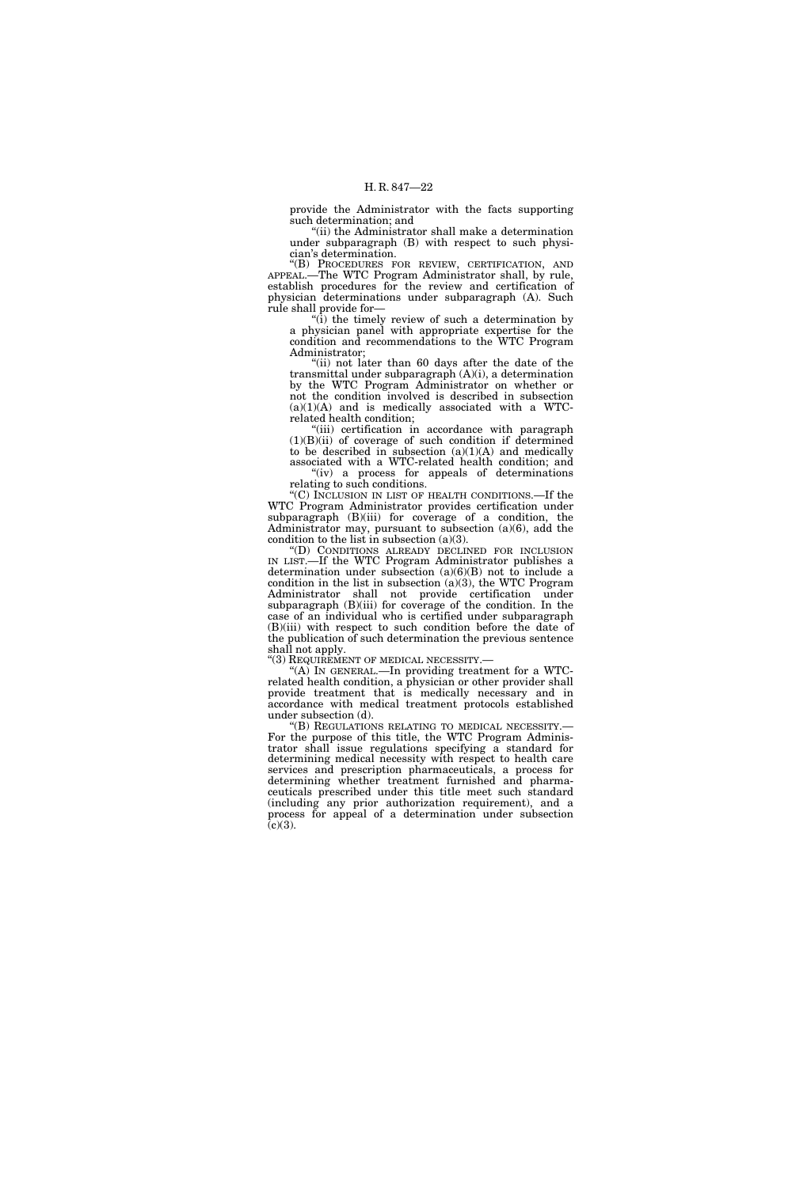provide the Administrator with the facts supporting such determination; and

"(ii) the Administrator shall make a determination under subparagraph (B) with respect to such physician's determination.

''(B) PROCEDURES FOR REVIEW, CERTIFICATION, AND APPEAL.—The WTC Program Administrator shall, by rule, establish procedures for the review and certification of physician determinations under subparagraph (A). Such rule shall provide for—

 $\sqrt[4]{i}$  the timely review of such a determination by a physician panel with appropriate expertise for the condition and recommendations to the WTC Program Administrator;

"(ii) not later than 60 days after the date of the transmittal under subparagraph (A)(i), a determination by the WTC Program Administrator on whether or not the condition involved is described in subsection  $(a)(1)(A)$  and is medically associated with a WTCrelated health condition;

''(iii) certification in accordance with paragraph  $(1)(B)(ii)$  of coverage of such condition if determined to be described in subsection  $(a)(1)(A)$  and medically associated with a WTC-related health condition; and "(iv) a process for appeals of determinations

relating to such conditions. ''(C) INCLUSION IN LIST OF HEALTH CONDITIONS.—If the WTC Program Administrator provides certification under subparagraph (B)(iii) for coverage of a condition, the Administrator may, pursuant to subsection (a)(6), add the condition to the list in subsection (a)(3).

''(D) CONDITIONS ALREADY DECLINED FOR INCLUSION IN LIST.—If the WTC Program Administrator publishes a determination under subsection  $(a)(6)(B)$  not to include a condition in the list in subsection  $(a)(3)$ , the WTC Program Administrator shall not provide certification under subparagraph (B)(iii) for coverage of the condition. In the case of an individual who is certified under subparagraph (B)(iii) with respect to such condition before the date of the publication of such determination the previous sentence shall not apply.

''(3) REQUIREMENT OF MEDICAL NECESSITY.—

''(A) IN GENERAL.—In providing treatment for a WTCrelated health condition, a physician or other provider shall provide treatment that is medically necessary and in accordance with medical treatment protocols established under subsection (d).<br>
"(B) REGULATIONS RELATING TO MEDICAL NECESSITY.—

For the purpose of this title, the WTC Program Administrator shall issue regulations specifying a standard for determining medical necessity with respect to health care services and prescription pharmaceuticals, a process for determining whether treatment furnished and pharmaceuticals prescribed under this title meet such standard (including any prior authorization requirement), and a process for appeal of a determination under subsection  $(c)(3)$ .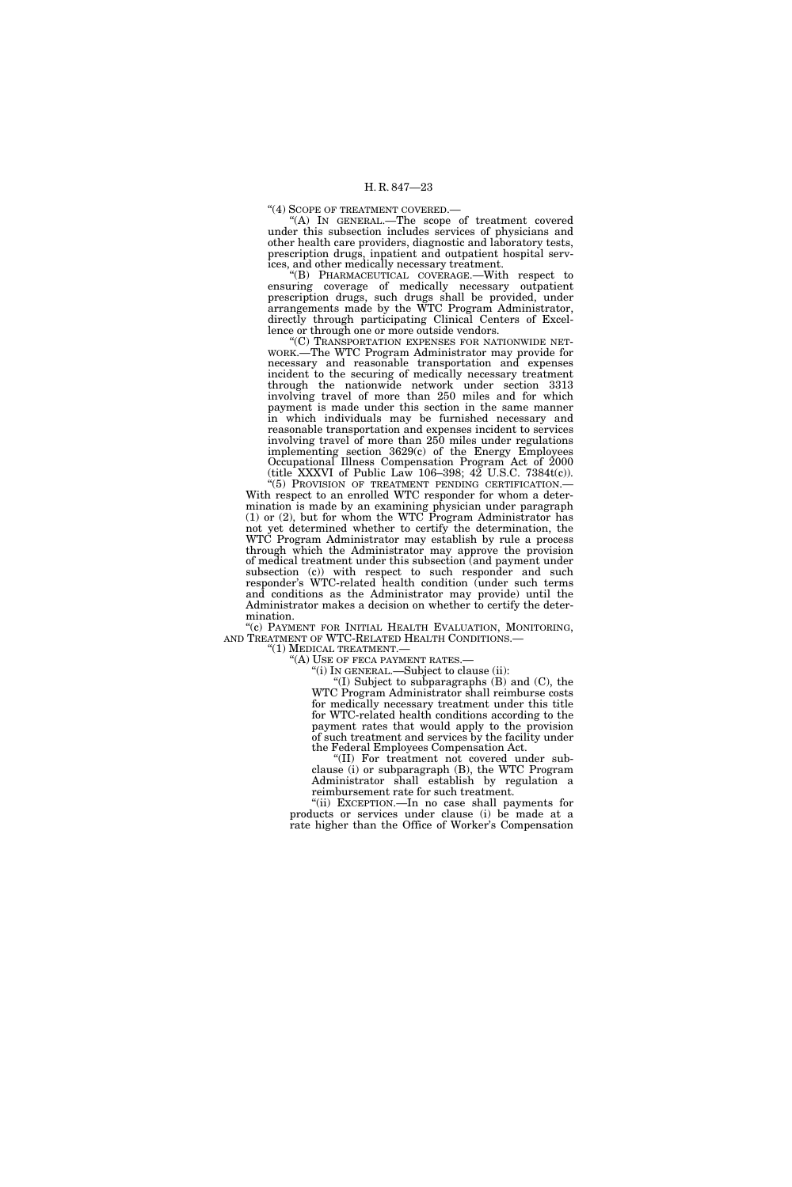"(4) SCOPE OF TREATMENT COVERED.—

''(A) IN GENERAL.—The scope of treatment covered under this subsection includes services of physicians and other health care providers, diagnostic and laboratory tests, prescription drugs, inpatient and outpatient hospital services, and other medically necessary treatment.

''(B) PHARMACEUTICAL COVERAGE.—With respect to ensuring coverage of medically necessary outpatient prescription drugs, such drugs shall be provided, under arrangements made by the WTC Program Administrator, directly through participating Clinical Centers of Excellence or through one or more outside vendors.

''(C) TRANSPORTATION EXPENSES FOR NATIONWIDE NET-WORK.—The WTC Program Administrator may provide for necessary and reasonable transportation and expenses incident to the securing of medically necessary treatment through the nationwide network under section 3313 involving travel of more than 250 miles and for which payment is made under this section in the same manner in which individuals may be furnished necessary and reasonable transportation and expenses incident to services involving travel of more than 250 miles under regulations implementing section 3629(c) of the Energy Employees Occupational Illness Compensation Program Act of 2000 (title XXXVI of Public Law 106–398; 42 U.S.C. 7384t(c)).

"(5) PROVISION OF TREATMENT PENDING CERTIFICATION.-With respect to an enrolled WTC responder for whom a determination is made by an examining physician under paragraph (1) or (2), but for whom the WTC Program Administrator has not yet determined whether to certify the determination, the WTC Program Administrator may establish by rule a process through which the Administrator may approve the provision of medical treatment under this subsection (and payment under subsection (c)) with respect to such responder and such responder's WTC-related health condition (under such terms and conditions as the Administrator may provide) until the Administrator makes a decision on whether to certify the deter-

mination.<br>"(c) Payment for Initial Health Evaluation, Monitoring, AND TREATMENT OF WTC-RELATED HEALTH CONDITIONS.— ''(1) MEDICAL TREATMENT.—

''(A) USE OF FECA PAYMENT RATES.—

''(i) IN GENERAL.—Subject to clause (ii):

"(I) Subject to subparagraphs  $(B)$  and  $(C)$ , the WTC Program Administrator shall reimburse costs for medically necessary treatment under this title for WTC-related health conditions according to the payment rates that would apply to the provision of such treatment and services by the facility under the Federal Employees Compensation Act.

''(II) For treatment not covered under subclause (i) or subparagraph (B), the WTC Program Administrator shall establish by regulation a reimbursement rate for such treatment.

''(ii) EXCEPTION.—In no case shall payments for products or services under clause (i) be made at a rate higher than the Office of Worker's Compensation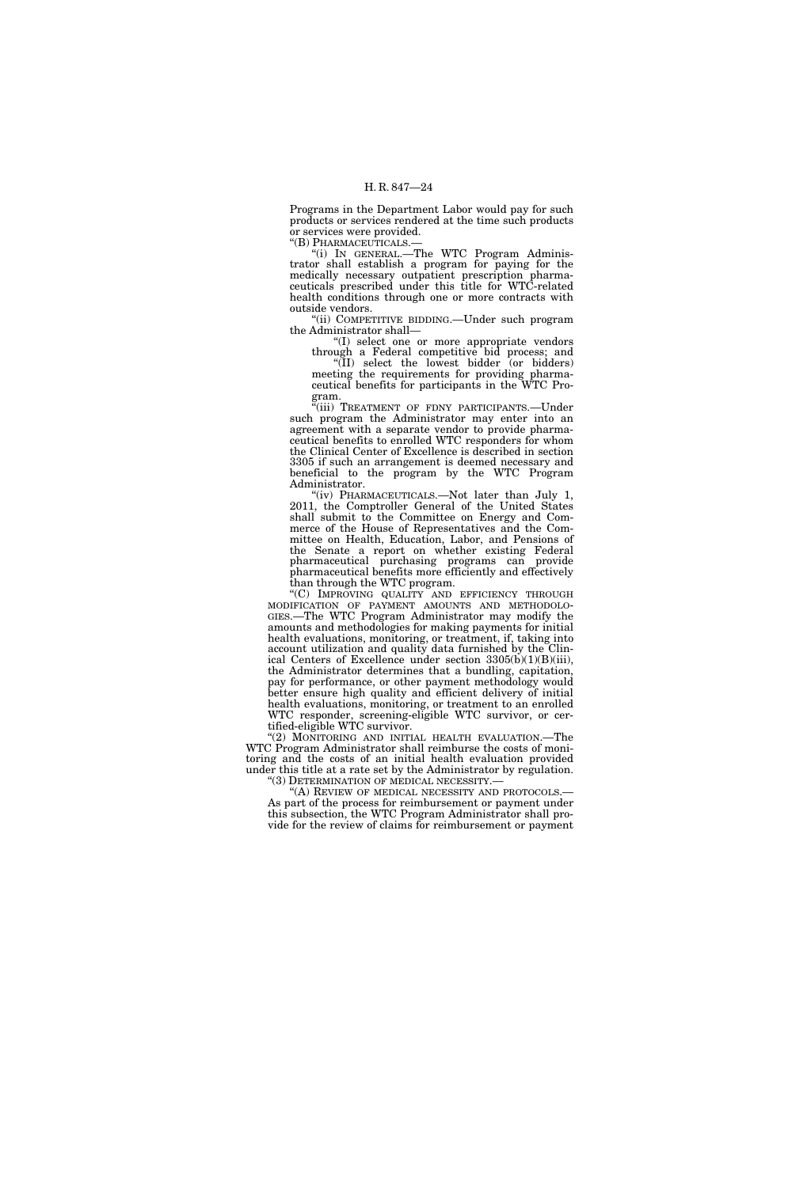Programs in the Department Labor would pay for such products or services rendered at the time such products or services were provided.

''(B) PHARMACEUTICALS.—

''(i) IN GENERAL.—The WTC Program Administrator shall establish a program for paying for the medically necessary outpatient prescription pharmaceuticals prescribed under this title for WTC-related health conditions through one or more contracts with outside vendors.

''(ii) COMPETITIVE BIDDING.—Under such program the Administrator shall—

''(I) select one or more appropriate vendors through a Federal competitive bid process; and ''(II) select the lowest bidder (or bidders)

meeting the requirements for providing pharmaceutical benefits for participants in the WTC Program.

"(iii) TREATMENT OF FDNY PARTICIPANTS.—Under such program the Administrator may enter into an agreement with a separate vendor to provide pharmaceutical benefits to enrolled WTC responders for whom the Clinical Center of Excellence is described in section 3305 if such an arrangement is deemed necessary and beneficial to the program by the WTC Program Administrator.

''(iv) PHARMACEUTICALS.—Not later than July 1, 2011, the Comptroller General of the United States shall submit to the Committee on Energy and Commerce of the House of Representatives and the Committee on Health, Education, Labor, and Pensions of the Senate a report on whether existing Federal pharmaceutical purchasing programs can provide pharmaceutical benefits more efficiently and effectively than through the WTC program.

''(C) IMPROVING QUALITY AND EFFICIENCY THROUGH MODIFICATION OF PAYMENT AMOUNTS AND METHODOLO- GIES.—The WTC Program Administrator may modify the amounts and methodologies for making payments for initial health evaluations, monitoring, or treatment, if, taking into account utilization and quality data furnished by the Clinical Centers of Excellence under section 3305(b)(1)(B)(iii), the Administrator determines that a bundling, capitation, pay for performance, or other payment methodology would better ensure high quality and efficient delivery of initial health evaluations, monitoring, or treatment to an enrolled WTC responder, screening-eligible WTC survivor, or certified-eligible WTC survivor.

"(2) MONITORING AND INITIAL HEALTH EVALUATION.—The WTC Program Administrator shall reimburse the costs of monitoring and the costs of an initial health evaluation provided under this title at a rate set by the Administrator by regulation.

"(3) DETERMINATION OF MEDICAL NECESSITY.—<br>"(A) REVIEW OF MEDICAL NECESSITY AND PROTOCOLS.— As part of the process for reimbursement or payment under this subsection, the WTC Program Administrator shall provide for the review of claims for reimbursement or payment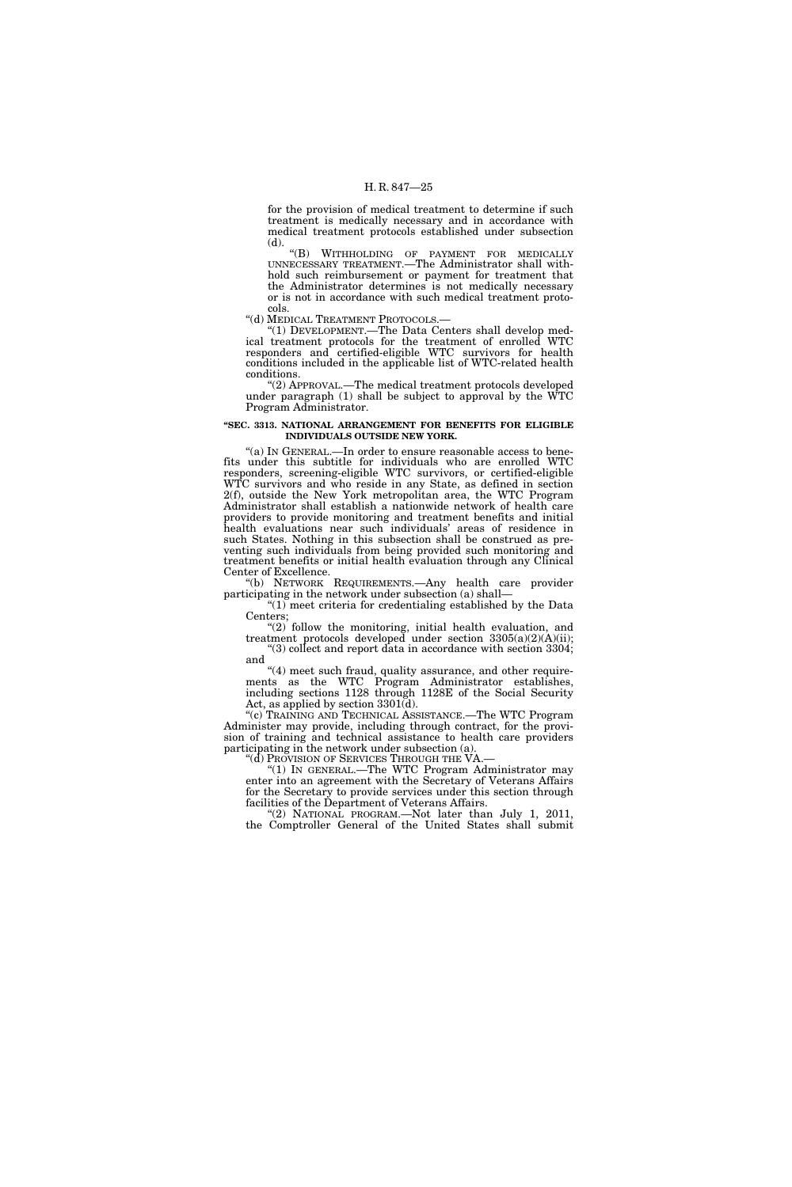for the provision of medical treatment to determine if such treatment is medically necessary and in accordance with medical treatment protocols established under subsection (d).

"(B) WITHHOLDING OF PAYMENT FOR MEDICALLY UNNECESSARY TREATMENT.—The Administrator shall withhold such reimbursement or payment for treatment that the Administrator determines is not medically necessary or is not in accordance with such medical treatment proto-

cols.<br>"(d) MEDICAL TREATMENT PROTOCOLS.—

'(1) DEVELOPMENT.—The Data Centers shall develop medical treatment protocols for the treatment of enrolled WTC responders and certified-eligible WTC survivors for health conditions included in the applicable list of WTC-related health conditions.

''(2) APPROVAL.—The medical treatment protocols developed under paragraph  $(1)$  shall be subject to approval by the WTC Program Administrator.

#### **''SEC. 3313. NATIONAL ARRANGEMENT FOR BENEFITS FOR ELIGIBLE INDIVIDUALS OUTSIDE NEW YORK.**

"(a) IN GENERAL.—In order to ensure reasonable access to benefits under this subtitle for individuals who are enrolled WTC responders, screening-eligible WTC survivors, or certified-eligible WTC survivors and who reside in any State, as defined in section 2(f), outside the New York metropolitan area, the WTC Program Administrator shall establish a nationwide network of health care providers to provide monitoring and treatment benefits and initial health evaluations near such individuals' areas of residence in such States. Nothing in this subsection shall be construed as preventing such individuals from being provided such monitoring and treatment benefits or initial health evaluation through any Clinical Center of Excellence.

''(b) NETWORK REQUIREMENTS.—Any health care provider participating in the network under subsection (a) shall—

" $(1)$  meet criteria for credentialing established by the Data Centers;

"(2) follow the monitoring, initial health evaluation, and treatment protocols developed under section 3305(a)(2)(A)(ii); ''(3) collect and report data in accordance with section 3304;

and "(4) meet such fraud, quality assurance, and other requirements as the WTC Program Administrator establishes, including sections 1128 through 1128E of the Social Security Act, as applied by section 3301(d).

''(c) TRAINING AND TECHNICAL ASSISTANCE.—The WTC Program Administer may provide, including through contract, for the provision of training and technical assistance to health care providers participating in the network under subsection (a).

"(d) Provision of Services Through the VA.—

''(1) IN GENERAL.—The WTC Program Administrator may enter into an agreement with the Secretary of Veterans Affairs for the Secretary to provide services under this section through facilities of the Department of Veterans Affairs.

''(2) NATIONAL PROGRAM.—Not later than July 1, 2011, the Comptroller General of the United States shall submit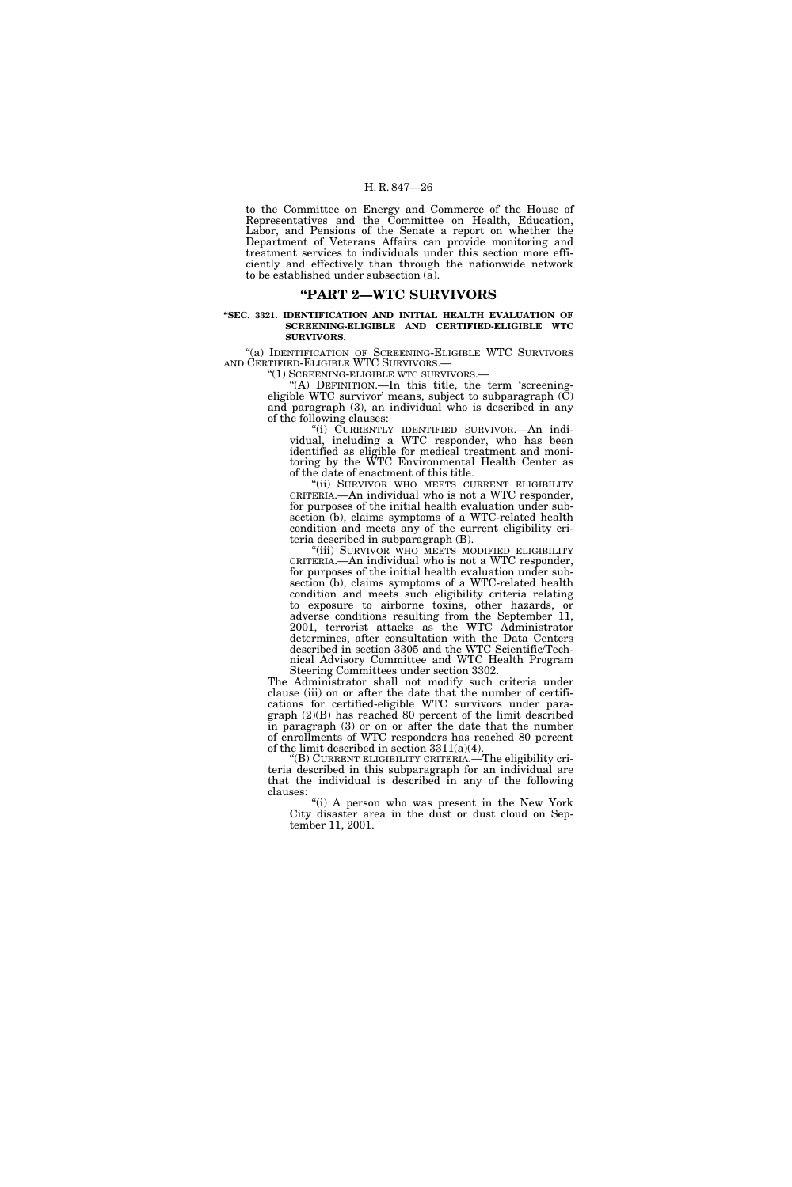to the Committee on Energy and Commerce of the House of Representatives and the Committee on Health, Education, Labor, and Pensions of the Senate a report on whether the Department of Veterans Affairs can provide monitoring and treatment services to individuals under this section more efficiently and effectively than through the nationwide network to be established under subsection (a).

### **''PART 2—WTC SURVIVORS**

#### **''SEC. 3321. IDENTIFICATION AND INITIAL HEALTH EVALUATION OF SCREENING-ELIGIBLE AND CERTIFIED-ELIGIBLE WTC SURVIVORS.**

"(a) IDENTIFICATION OF SCREENING-ELIGIBLE WTC SURVIVORS AND CERTIFIED-ELIGIBLE WTC SURVIVORS.—

''(1) SCREENING-ELIGIBLE WTC SURVIVORS.—

"(A) DEFINITION.—In this title, the term 'screeningeligible WTC survivor' means, subject to subparagraph  $(\check{C})$ and paragraph (3), an individual who is described in any of the following clauses:

''(i) CURRENTLY IDENTIFIED SURVIVOR.—An individual, including a WTC responder, who has been identified as eligible for medical treatment and monitoring by the WTC Environmental Health Center as of the date of enactment of this title.

''(ii) SURVIVOR WHO MEETS CURRENT ELIGIBILITY CRITERIA.—An individual who is not a WTC responder, for purposes of the initial health evaluation under subsection (b), claims symptoms of a WTC-related health condition and meets any of the current eligibility criteria described in subparagraph (B).

"(iii) SURVIVOR WHO MEETS MODIFIED ELIGIBILITY CRITERIA.—An individual who is not a WTC responder, for purposes of the initial health evaluation under subsection (b), claims symptoms of a WTC-related health condition and meets such eligibility criteria relating to exposure to airborne toxins, other hazards, or adverse conditions resulting from the September 11, 2001, terrorist attacks as the WTC Administrator determines, after consultation with the Data Centers described in section 3305 and the WTC Scientific/Technical Advisory Committee and WTC Health Program Steering Committees under section 3302.

The Administrator shall not modify such criteria under clause (iii) on or after the date that the number of certifications for certified-eligible WTC survivors under paragraph (2)(B) has reached 80 percent of the limit described in paragraph (3) or on or after the date that the number of enrollments of WTC responders has reached 80 percent of the limit described in section 3311(a)(4).

''(B) CURRENT ELIGIBILITY CRITERIA.—The eligibility criteria described in this subparagraph for an individual are that the individual is described in any of the following clauses:

''(i) A person who was present in the New York City disaster area in the dust or dust cloud on September 11, 2001.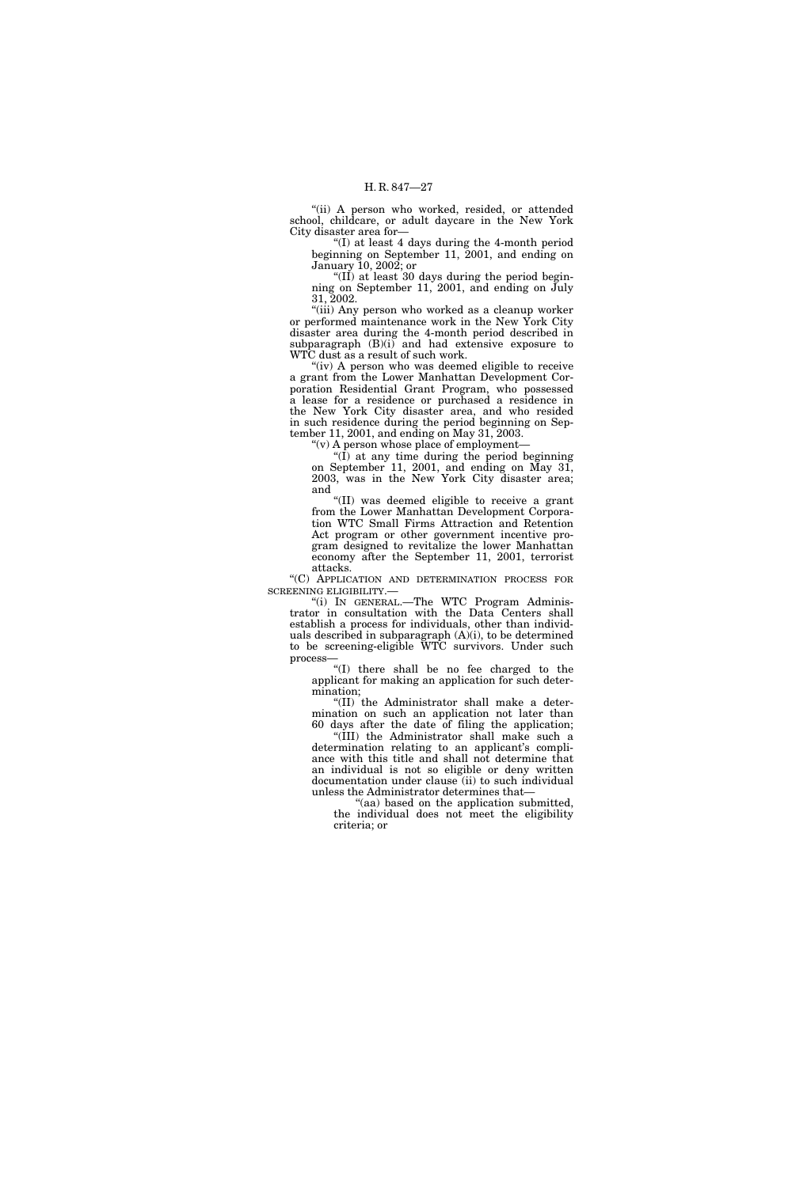"(ii) A person who worked, resided, or attended school, childcare, or adult daycare in the New York City disaster area for—

''(I) at least 4 days during the 4-month period beginning on September 11, 2001, and ending on January 10, 2002; or

"(II) at least 30 days during the period beginning on September 11, 2001, and ending on July 31, 2002.

"(iii) Any person who worked as a cleanup worker or performed maintenance work in the New York City disaster area during the 4-month period described in subparagraph (B)(i) and had extensive exposure to WTC dust as a result of such work.

"(iv) A person who was deemed eligible to receive a grant from the Lower Manhattan Development Corporation Residential Grant Program, who possessed a lease for a residence or purchased a residence in the New York City disaster area, and who resided in such residence during the period beginning on September 11, 2001, and ending on May 31, 2003.

''(v) A person whose place of employment—

''(I) at any time during the period beginning on September 11, 2001, and ending on May 31, 2003, was in the New York City disaster area; and

''(II) was deemed eligible to receive a grant from the Lower Manhattan Development Corporation WTC Small Firms Attraction and Retention Act program or other government incentive program designed to revitalize the lower Manhattan economy after the September 11, 2001, terrorist attacks.

''(C) APPLICATION AND DETERMINATION PROCESS FOR SCREENING ELIGIBILITY.—

"(i) IN GENERAL.-The WTC Program Administrator in consultation with the Data Centers shall establish a process for individuals, other than individuals described in subparagraph  $(A)(i)$ , to be determined to be screening-eligible WTC survivors. Under such process—

''(I) there shall be no fee charged to the applicant for making an application for such determination;

''(II) the Administrator shall make a determination on such an application not later than 60 days after the date of filing the application;

''(III) the Administrator shall make such a determination relating to an applicant's compliance with this title and shall not determine that an individual is not so eligible or deny written documentation under clause (ii) to such individual unless the Administrator determines that—

"(aa) based on the application submitted, the individual does not meet the eligibility criteria; or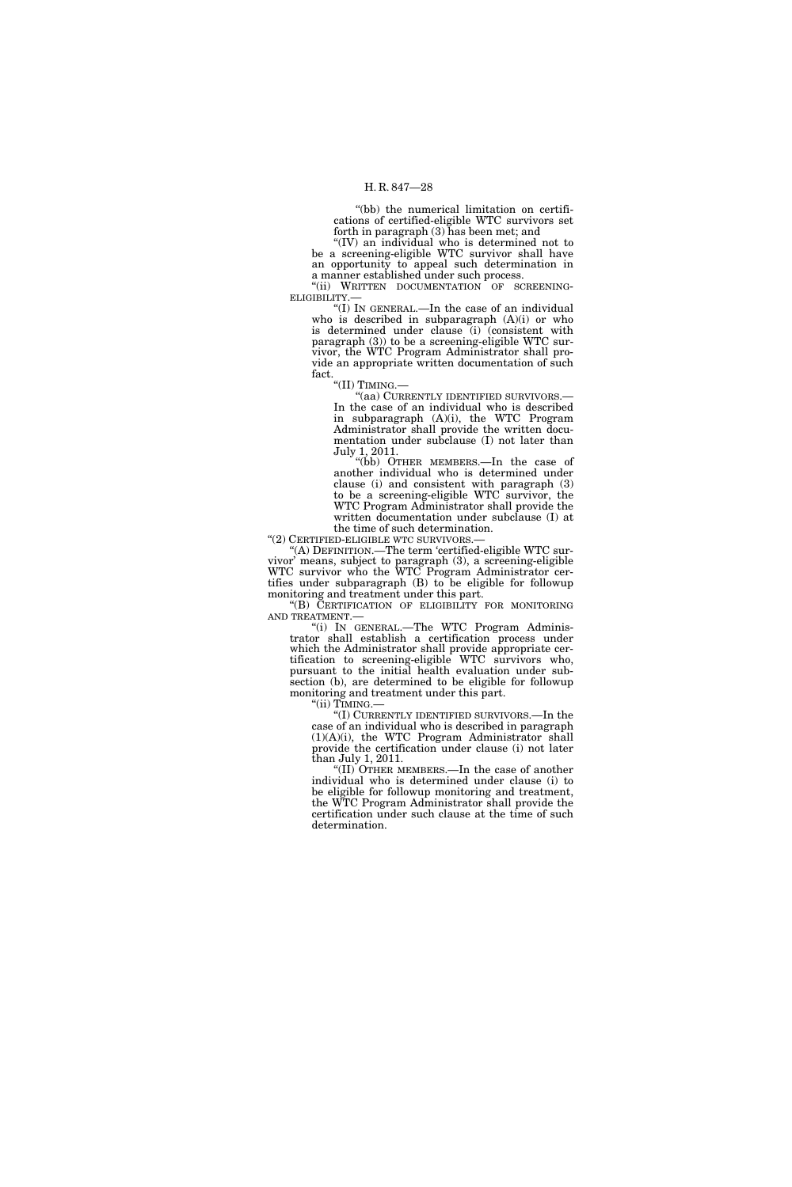''(bb) the numerical limitation on certifications of certified-eligible WTC survivors set forth in paragraph (3) has been met; and

''(IV) an individual who is determined not to be a screening-eligible WTC survivor shall have an opportunity to appeal such determination in a manner established under such process.

"(ii) WRITTEN DOCUMENTATION OF SCREENING-ELIGIBILITY.—

''(I) IN GENERAL.—In the case of an individual who is described in subparagraph (A)(i) or who is determined under clause (i) (consistent with paragraph (3)) to be a screening-eligible WTC survivor, the WTC Program Administrator shall provide an appropriate written documentation of such fact.

''(II) TIMING.—

''(aa) CURRENTLY IDENTIFIED SURVIVORS.— In the case of an individual who is described in subparagraph (A)(i), the WTC Program Administrator shall provide the written documentation under subclause (I) not later than July 1, 2011.

''(bb) OTHER MEMBERS.—In the case of another individual who is determined under clause (i) and consistent with paragraph (3) to be a screening-eligible WTC survivor, the WTC Program Administrator shall provide the written documentation under subclause (I) at

the time of such determination.<br>"(2) CERTIFIED-ELIGIBLE WTC SURVIVORS.—

"(A) DEFINITION.—The term 'certified-eligible WTC survivor' means, subject to paragraph (3), a screening-eligible WTC survivor who the WTC Program Administrator certifies under subparagraph (B) to be eligible for followup monitoring and treatment under this part.

"(B) CERTIFICATION OF ELIGIBILITY FOR MONITORING AND TREATMENT.— AND TREATMENT.—<br>"(i) IN GENERAL.—The WTC Program Adminis-

trator shall establish a certification process under which the Administrator shall provide appropriate certification to screening-eligible WTC survivors who, pursuant to the initial health evaluation under subsection (b), are determined to be eligible for followup monitoring and treatment under this part.

"(ii) TIMING.—<br>"(I) CURRENTLY IDENTIFIED SURVIVORS.—In the case of an individual who is described in paragraph (1)(A)(i), the WTC Program Administrator shall provide the certification under clause (i) not later than July 1, 2011.

"(II) OTHER MEMBERS.—In the case of another individual who is determined under clause (i) to be eligible for followup monitoring and treatment, the WTC Program Administrator shall provide the certification under such clause at the time of such determination.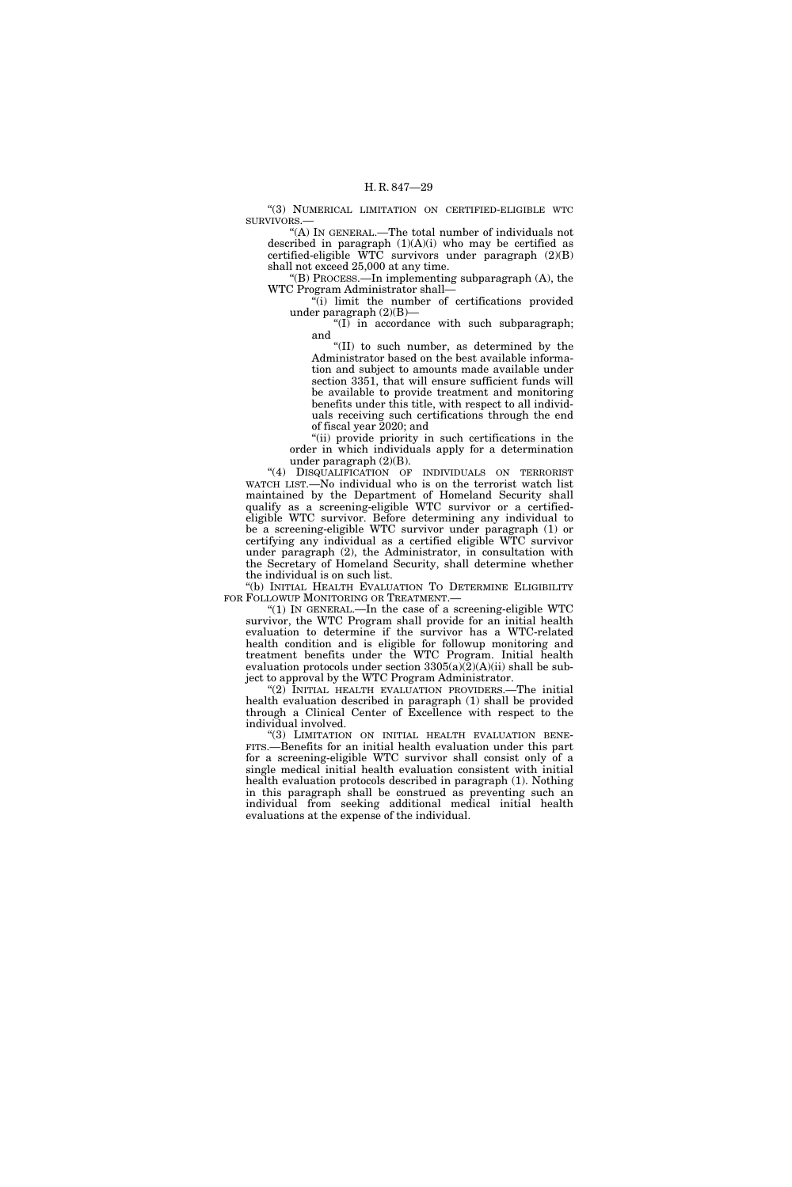''(3) NUMERICAL LIMITATION ON CERTIFIED-ELIGIBLE WTC SURVIVORS.—

''(A) IN GENERAL.—The total number of individuals not described in paragraph  $(1)(A)(i)$  who may be certified as certified-eligible  $\overline{W}T\overline{C}$  survivors under paragraph  $(2)(B)$ shall not exceed 25,000 at any time.

''(B) PROCESS.—In implementing subparagraph (A), the WTC Program Administrator shall—

''(i) limit the number of certifications provided under paragraph (2)(B)—

" $(1)$  in accordance with such subparagraph; and

''(II) to such number, as determined by the Administrator based on the best available information and subject to amounts made available under section 3351, that will ensure sufficient funds will be available to provide treatment and monitoring benefits under this title, with respect to all individuals receiving such certifications through the end of fiscal year 2020; and

"(ii) provide priority in such certifications in the order in which individuals apply for a determination under paragraph (2)(B).

"(4) DISQUALIFICATION OF INDIVIDUALS ON TERRORIST WATCH LIST.—No individual who is on the terrorist watch list maintained by the Department of Homeland Security shall qualify as a screening-eligible WTC survivor or a certifiedeligible WTC survivor. Before determining any individual to be a screening-eligible WTC survivor under paragraph (1) or certifying any individual as a certified eligible WTC survivor under paragraph (2), the Administrator, in consultation with the Secretary of Homeland Security, shall determine whether the individual is on such list.

''(b) INITIAL HEALTH EVALUATION TO DETERMINE ELIGIBILITY FOR FOLLOWUP MONITORING OR TREATMENT.—

" $(1)$  In GENERAL.—In the case of a screening-eligible WTC survivor, the WTC Program shall provide for an initial health evaluation to determine if the survivor has a WTC-related health condition and is eligible for followup monitoring and treatment benefits under the WTC Program. Initial health evaluation protocols under section  $3305(a)(2)(A)(ii)$  shall be subject to approval by the WTC Program Administrator.

"(2) INITIAL HEALTH EVALUATION PROVIDERS.-The initial health evaluation described in paragraph (1) shall be provided through a Clinical Center of Excellence with respect to the individual involved.

"(3) LIMITATION ON INITIAL HEALTH EVALUATION BENE-FITS.—Benefits for an initial health evaluation under this part for a screening-eligible WTC survivor shall consist only of a single medical initial health evaluation consistent with initial health evaluation protocols described in paragraph (1). Nothing in this paragraph shall be construed as preventing such an individual from seeking additional medical initial health evaluations at the expense of the individual.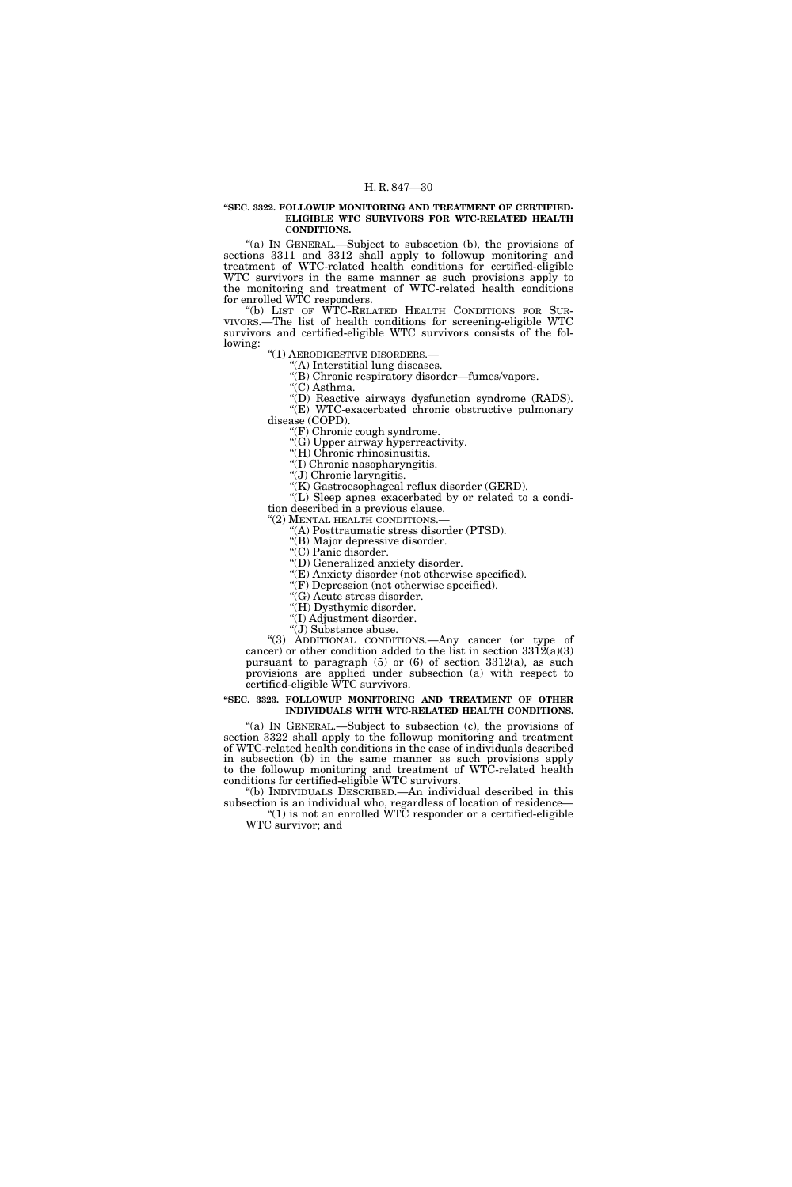#### **''SEC. 3322. FOLLOWUP MONITORING AND TREATMENT OF CERTIFIED-ELIGIBLE WTC SURVIVORS FOR WTC-RELATED HEALTH CONDITIONS.**

"(a) IN GENERAL.—Subject to subsection (b), the provisions of sections 3311 and 3312 shall apply to followup monitoring and treatment of WTC-related health conditions for certified-eligible WTC survivors in the same manner as such provisions apply to the monitoring and treatment of WTC-related health conditions for enrolled WTC responders.

"(b) LIST OF WTC-RELATED HEALTH CONDITIONS FOR SUR-VIVORS.—The list of health conditions for screening-eligible WTC survivors and certified-eligible WTC survivors consists of the following:

''(1) AERODIGESTIVE DISORDERS.—

''(A) Interstitial lung diseases.

''(B) Chronic respiratory disorder—fumes/vapors.

"(C) Asthma.

''(D) Reactive airways dysfunction syndrome (RADS). ''(E) WTC-exacerbated chronic obstructive pulmonary

disease (COPD).

''(F) Chronic cough syndrome.  $\mathcal{C}(G)$  Upper airway hyperreactivity.

''(H) Chronic rhinosinusitis. ''(I) Chronic nasopharyngitis.

"(J) Chronic laryngitis.

''(K) Gastroesophageal reflux disorder (GERD).

''(L) Sleep apnea exacerbated by or related to a condition described in a previous clause.

''(2) MENTAL HEALTH CONDITIONS.—

''(A) Posttraumatic stress disorder (PTSD).

''(B) Major depressive disorder.

"(C) Panic disorder. ''(D) Generalized anxiety disorder.

''(E) Anxiety disorder (not otherwise specified).

 $\sqrt{\text{F}}$ ) Depression (not otherwise specified).

''(G) Acute stress disorder.

"(H) Dysthymic disorder.

''(I) Adjustment disorder.

 $\mathbf{``}(J)$  Substance abuse.

''(3) ADDITIONAL CONDITIONS.—Any cancer (or type of cancer) or other condition added to the list in section  $3312(a)(3)$ pursuant to paragraph  $(5)$  or  $(6)$  of section 3312(a), as such provisions are applied under subsection (a) with respect to certified-eligible WTC survivors.

#### **''SEC. 3323. FOLLOWUP MONITORING AND TREATMENT OF OTHER INDIVIDUALS WITH WTC-RELATED HEALTH CONDITIONS.**

''(a) IN GENERAL.—Subject to subsection (c), the provisions of section 3322 shall apply to the followup monitoring and treatment of WTC-related health conditions in the case of individuals described in subsection (b) in the same manner as such provisions apply to the followup monitoring and treatment of WTC-related health conditions for certified-eligible WTC survivors.

''(b) INDIVIDUALS DESCRIBED.—An individual described in this subsection is an individual who, regardless of location of residence—

" $(1)$  is not an enrolled WTC responder or a certified-eligible WTC survivor; and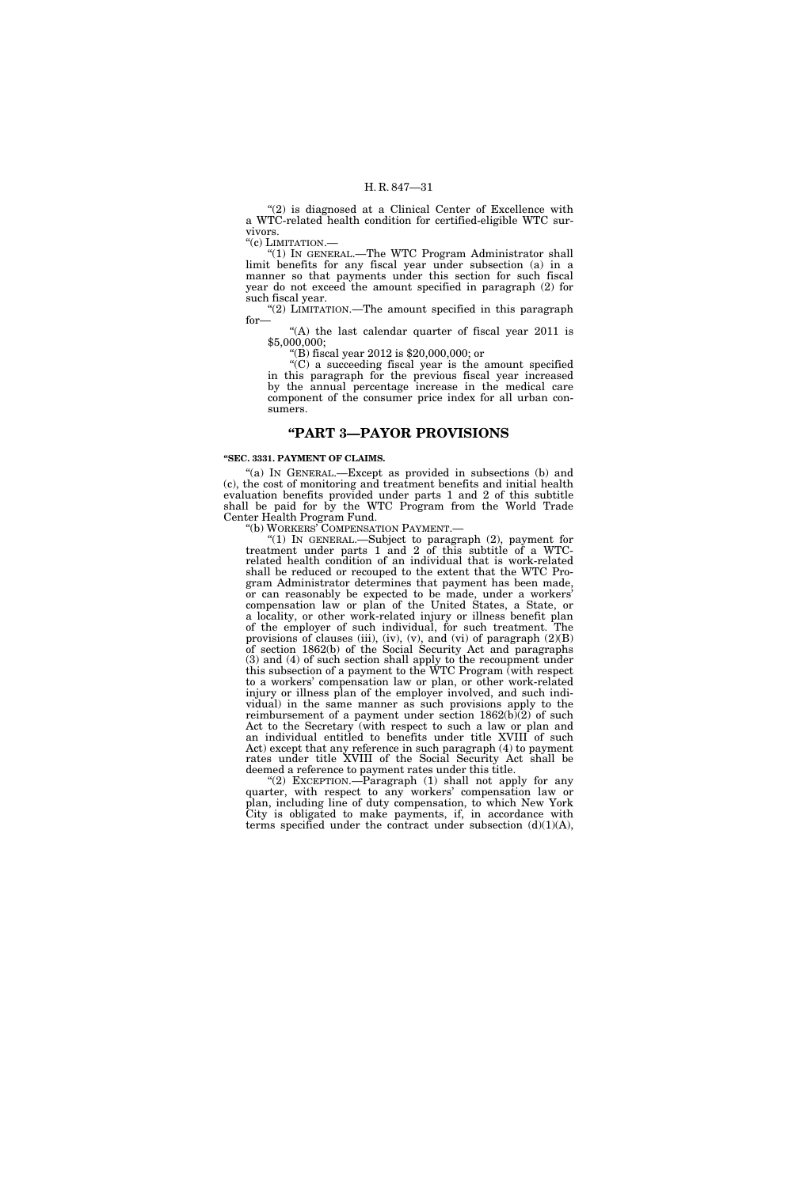"(2) is diagnosed at a Clinical Center of Excellence with a WTC-related health condition for certified-eligible WTC survivors.

''(c) LIMITATION.—

"(1) IN GENERAL.—The WTC Program Administrator shall limit benefits for any fiscal year under subsection (a) in a manner so that payments under this section for such fiscal year do not exceed the amount specified in paragraph (2) for such fiscal year.

"(2) LIMITATION.—The amount specified in this paragraph for-

''(A) the last calendar quarter of fiscal year 2011 is \$5,000,000;

''(B) fiscal year 2012 is \$20,000,000; or

 $(C)$  a succeeding fiscal year is the amount specified in this paragraph for the previous fiscal year increased by the annual percentage increase in the medical care component of the consumer price index for all urban consumers.

### **''PART 3—PAYOR PROVISIONS**

#### **''SEC. 3331. PAYMENT OF CLAIMS.**

''(a) IN GENERAL.—Except as provided in subsections (b) and (c), the cost of monitoring and treatment benefits and initial health evaluation benefits provided under parts 1 and 2 of this subtitle shall be paid for by the WTC Program from the World Trade Center Health Program Fund.

"(1) IN GENERAL.—Subject to paragraph (2), payment for treatment under parts 1 and 2 of this subtitle of a WTCrelated health condition of an individual that is work-related shall be reduced or recouped to the extent that the WTC Program Administrator determines that payment has been made, or can reasonably be expected to be made, under a workers' compensation law or plan of the United States, a State, or a locality, or other work-related injury or illness benefit plan of the employer of such individual, for such treatment. The provisions of clauses (iii), (iv), (v), and (vi) of paragraph (2)(B) of section 1862(b) of the Social Security Act and paragraphs (3) and (4) of such section shall apply to the recoupment under this subsection of a payment to the WTC Program (with respect to a workers' compensation law or plan, or other work-related injury or illness plan of the employer involved, and such individual) in the same manner as such provisions apply to the reimbursement of a payment under section  $1862(b)(2)$  of such Act to the Secretary (with respect to such a law or plan and an individual entitled to benefits under title XVIII of such Act) except that any reference in such paragraph (4) to payment rates under title XVIII of the Social Security Act shall be deemed a reference to payment rates under this title.

"(2) EXCEPTION.—Paragraph (1) shall not apply for any quarter, with respect to any workers' compensation law or plan, including line of duty compensation, to which New York City is obligated to make payments, if, in accordance with terms specified under the contract under subsection  $(d)(1)(A)$ ,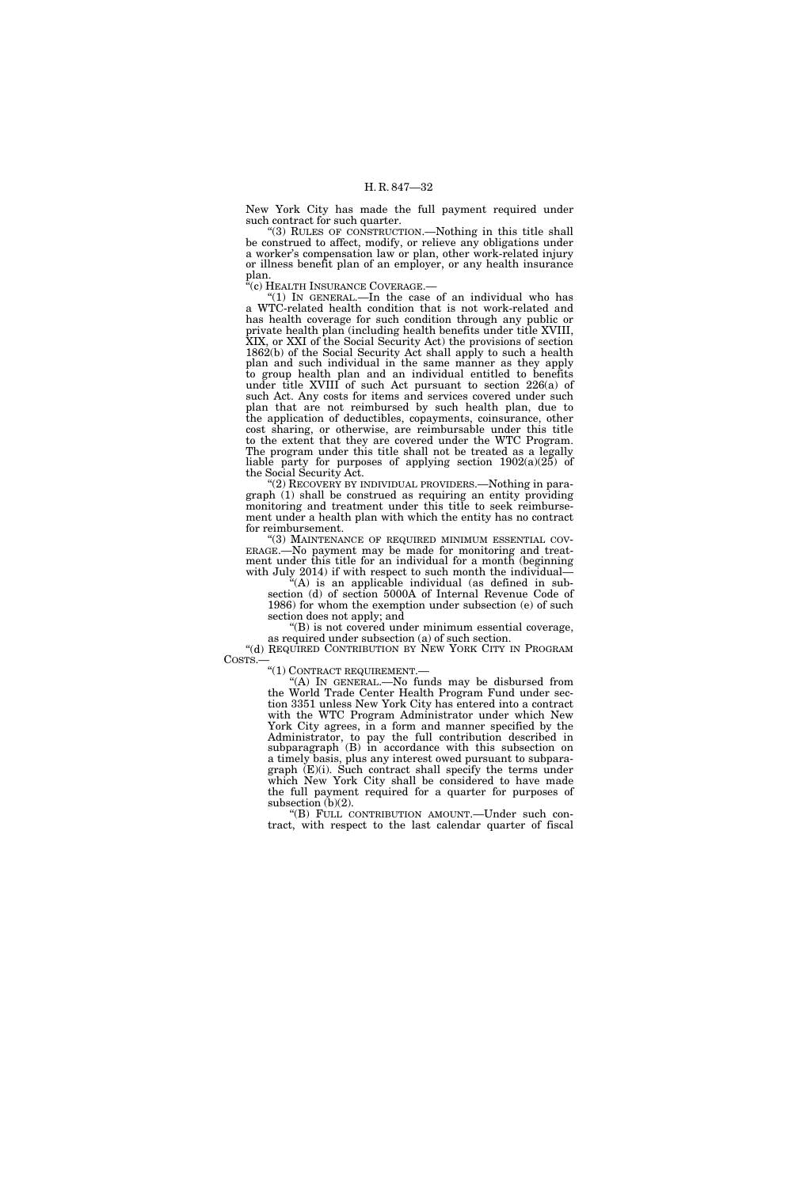New York City has made the full payment required under such contract for such quarter.

''(3) RULES OF CONSTRUCTION.—Nothing in this title shall be construed to affect, modify, or relieve any obligations under a worker's compensation law or plan, other work-related injury or illness benefit plan of an employer, or any health insurance plan.

''(c) HEALTH INSURANCE COVERAGE.—

''(1) IN GENERAL.—In the case of an individual who has a WTC-related health condition that is not work-related and has health coverage for such condition through any public or private health plan (including health benefits under title XVIII, XIX, or XXI of the Social Security Act) the provisions of section 1862(b) of the Social Security Act shall apply to such a health plan and such individual in the same manner as they apply to group health plan and an individual entitled to benefits under title XVIII of such Act pursuant to section 226(a) of such Act. Any costs for items and services covered under such plan that are not reimbursed by such health plan, due to the application of deductibles, copayments, coinsurance, other cost sharing, or otherwise, are reimbursable under this title to the extent that they are covered under the WTC Program. The program under this title shall not be treated as a legally liable party for purposes of applying section  $1902(a)(25)$  of the Social Security Act.

"(2) RECOVERY BY INDIVIDUAL PROVIDERS.—Nothing in paragraph (1) shall be construed as requiring an entity providing monitoring and treatment under this title to seek reimbursement under a health plan with which the entity has no contract for reimbursement.

''(3) MAINTENANCE OF REQUIRED MINIMUM ESSENTIAL COV-ERAGE.—No payment may be made for monitoring and treatment under this title for an individual for a month (beginning with July 2014) if with respect to such month the individual—

''(A) is an applicable individual (as defined in subsection (d) of section 5000A of Internal Revenue Code of 1986) for whom the exemption under subsection (e) of such section does not apply; and

''(B) is not covered under minimum essential coverage, as required under subsection (a) of such section.

"(d) REQUIRED CONTRIBUTION BY NEW YORK CITY IN PROGRAM COSTS.—

''(1) CONTRACT REQUIREMENT.—

''(A) IN GENERAL.—No funds may be disbursed from the World Trade Center Health Program Fund under section 3351 unless New York City has entered into a contract with the WTC Program Administrator under which New York City agrees, in a form and manner specified by the Administrator, to pay the full contribution described in subparagraph (B) in accordance with this subsection on a timely basis, plus any interest owed pursuant to subparagraph  $(E)(i)$ . Such contract shall specify the terms under which New York City shall be considered to have made the full payment required for a quarter for purposes of subsection (b)(2).

''(B) FULL CONTRIBUTION AMOUNT.—Under such contract, with respect to the last calendar quarter of fiscal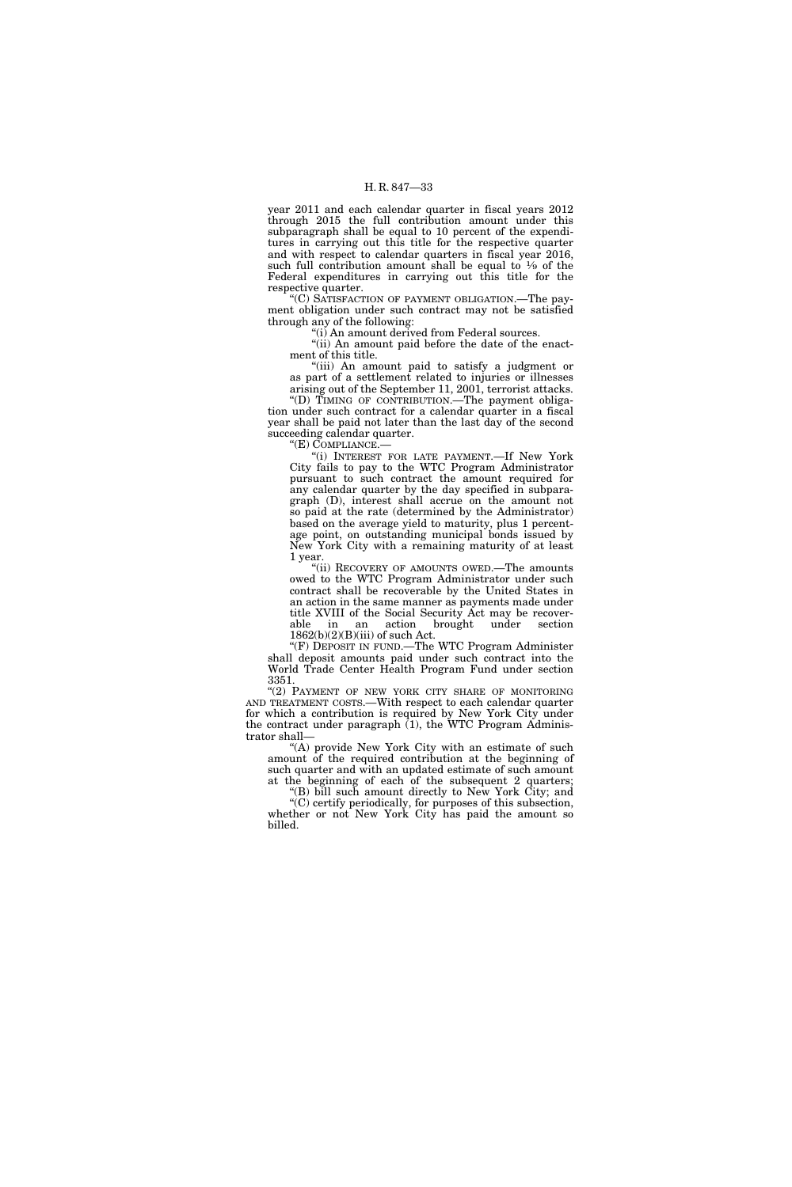year 2011 and each calendar quarter in fiscal years 2012 through 2015 the full contribution amount under this subparagraph shall be equal to 10 percent of the expenditures in carrying out this title for the respective quarter and with respect to calendar quarters in fiscal year 2016, such full contribution amount shall be equal to  $\frac{1}{9}$  of the Federal expenditures in carrying out this title for the respective quarter.

''(C) SATISFACTION OF PAYMENT OBLIGATION.—The payment obligation under such contract may not be satisfied through any of the following:

"(i) An amount derived from Federal sources.

"(ii) An amount paid before the date of the enactment of this title.

"(iii) An amount paid to satisfy a judgment or as part of a settlement related to injuries or illnesses arising out of the September 11, 2001, terrorist attacks.

''(D) TIMING OF CONTRIBUTION.—The payment obligation under such contract for a calendar quarter in a fiscal year shall be paid not later than the last day of the second succeeding calendar quarter.

"(E) COMPLIANCE.-

"(i) INTEREST FOR LATE PAYMENT.—If New York City fails to pay to the WTC Program Administrator pursuant to such contract the amount required for any calendar quarter by the day specified in subparagraph (D), interest shall accrue on the amount not so paid at the rate (determined by the Administrator) based on the average yield to maturity, plus 1 percentage point, on outstanding municipal bonds issued by New York City with a remaining maturity of at least 1 year.

''(ii) RECOVERY OF AMOUNTS OWED.—The amounts owed to the WTC Program Administrator under such contract shall be recoverable by the United States in an action in the same manner as payments made under title XVIII of the Social Security Act may be recover-<br>able in an action brought under section an action brought under section  $1862(b)(2)(B)(iii)$  of such Act.

''(F) DEPOSIT IN FUND.—The WTC Program Administer shall deposit amounts paid under such contract into the World Trade Center Health Program Fund under section 3351.

"(2) PAYMENT OF NEW YORK CITY SHARE OF MONITORING AND TREATMENT COSTS.—With respect to each calendar quarter for which a contribution is required by New York City under the contract under paragraph (1), the WTC Program Administrator shall—

''(A) provide New York City with an estimate of such amount of the required contribution at the beginning of such quarter and with an updated estimate of such amount at the beginning of each of the subsequent 2 quarters;

''(B) bill such amount directly to New York City; and

''(C) certify periodically, for purposes of this subsection, whether or not New York City has paid the amount so billed.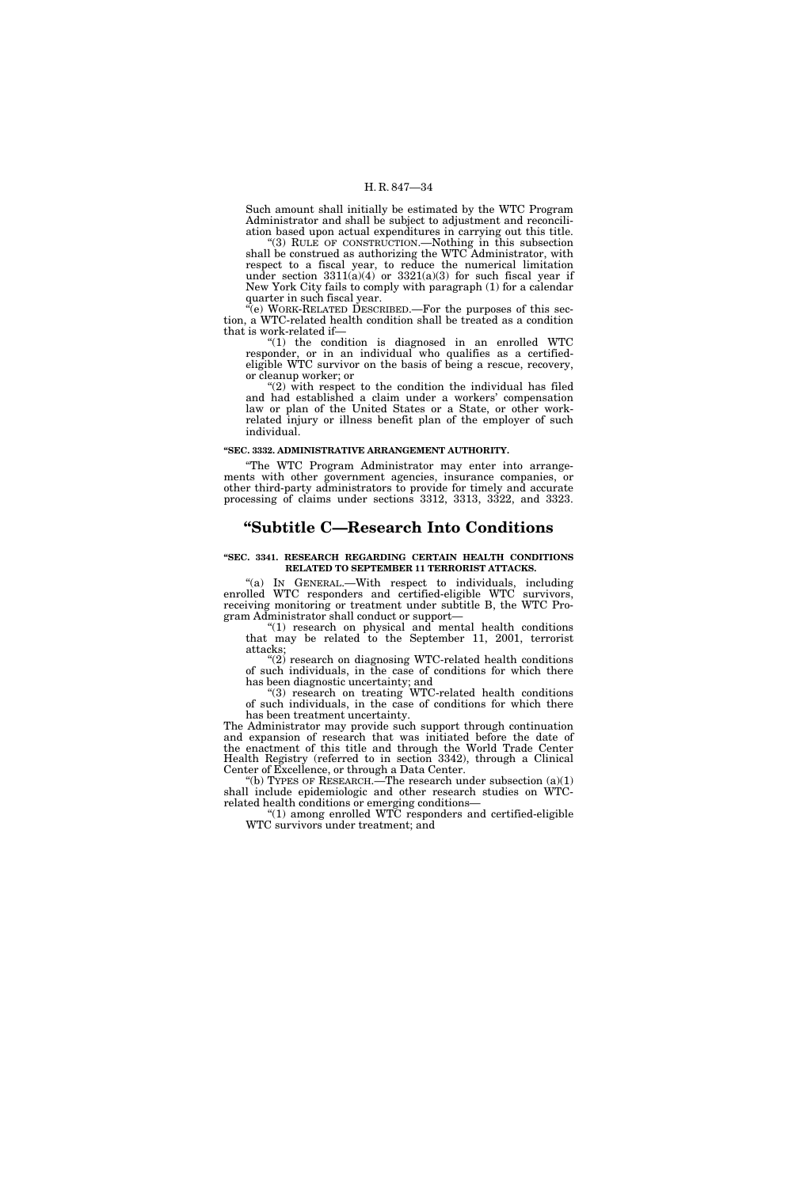Such amount shall initially be estimated by the WTC Program Administrator and shall be subject to adjustment and reconciliation based upon actual expenditures in carrying out this title.

''(3) RULE OF CONSTRUCTION.—Nothing in this subsection shall be construed as authorizing the WTC Administrator, with respect to a fiscal year, to reduce the numerical limitation under section  $3311(a)(4)$  or  $3321(a)(3)$  for such fiscal year if New York City fails to comply with paragraph (1) for a calendar quarter in such fiscal year.

''(e) WORK-RELATED DESCRIBED.—For the purposes of this section, a WTC-related health condition shall be treated as a condition that is work-related if—

 $(1)$  the condition is diagnosed in an enrolled WTC responder, or in an individual who qualifies as a certifiedeligible WTC survivor on the basis of being a rescue, recovery, or cleanup worker; or

 $(2)$  with respect to the condition the individual has filed and had established a claim under a workers' compensation law or plan of the United States or a State, or other workrelated injury or illness benefit plan of the employer of such individual.

#### **''SEC. 3332. ADMINISTRATIVE ARRANGEMENT AUTHORITY.**

''The WTC Program Administrator may enter into arrangements with other government agencies, insurance companies, or other third-party administrators to provide for timely and accurate processing of claims under sections 3312, 3313, 3322, and 3323.

# **''Subtitle C—Research Into Conditions**

#### **''SEC. 3341. RESEARCH REGARDING CERTAIN HEALTH CONDITIONS RELATED TO SEPTEMBER 11 TERRORIST ATTACKS.**

"(a) IN GENERAL.—With respect to individuals, including enrolled WTC responders and certified-eligible WTC survivors, receiving monitoring or treatment under subtitle B, the WTC Program Administrator shall conduct or support—

''(1) research on physical and mental health conditions that may be related to the September 11, 2001, terrorist attacks;

 $(2)$  research on diagnosing WTC-related health conditions of such individuals, in the case of conditions for which there has been diagnostic uncertainty; and

"(3) research on treating WTC-related health conditions of such individuals, in the case of conditions for which there has been treatment uncertainty.

The Administrator may provide such support through continuation and expansion of research that was initiated before the date of the enactment of this title and through the World Trade Center Health Registry (referred to in section 3342), through a Clinical Center of Excellence, or through a Data Center.

"(b) TYPES OF RESEARCH.—The research under subsection  $(a)(1)$ shall include epidemiologic and other research studies on WTCrelated health conditions or emerging conditions—

''(1) among enrolled WTC responders and certified-eligible WTC survivors under treatment; and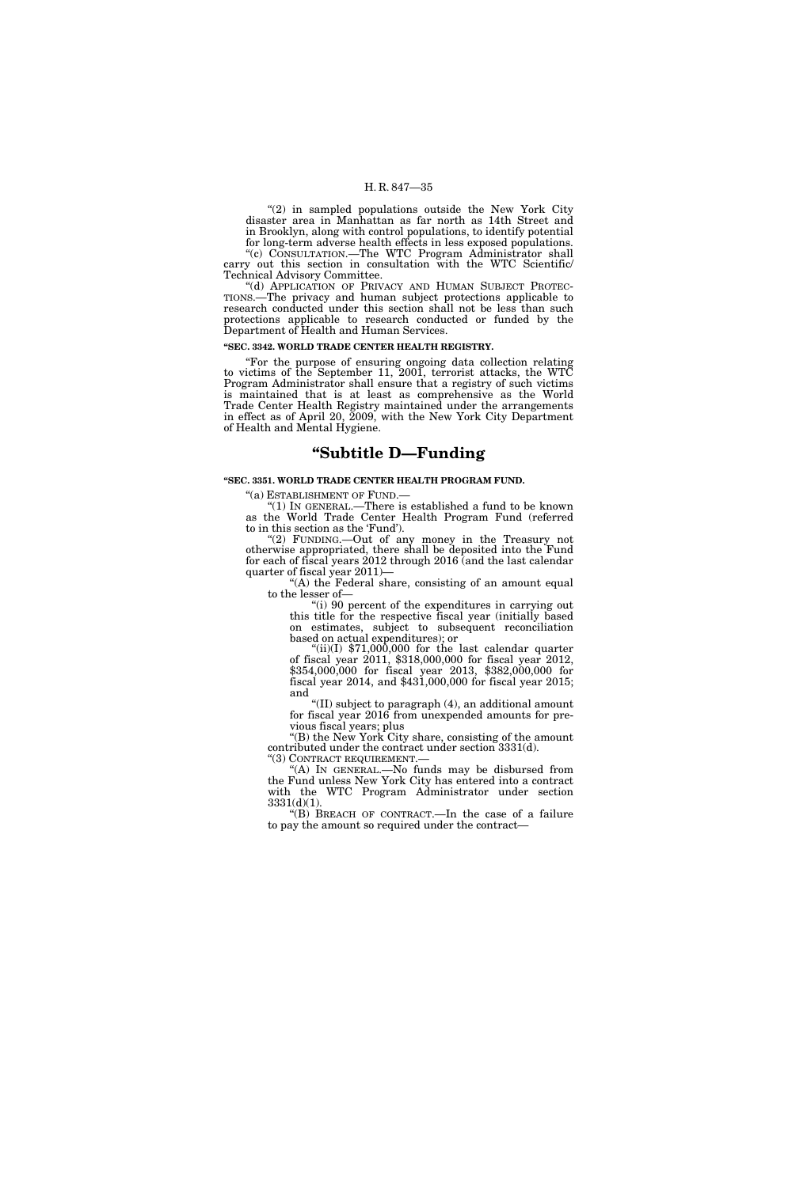"(2) in sampled populations outside the New York City disaster area in Manhattan as far north as 14th Street and in Brooklyn, along with control populations, to identify potential for long-term adverse health effects in less exposed populations.

''(c) CONSULTATION.—The WTC Program Administrator shall carry out this section in consultation with the WTC Scientific/ Technical Advisory Committee.

"(d) APPLICATION OF PRIVACY AND HUMAN SUBJECT PROTEC-TIONS.—The privacy and human subject protections applicable to research conducted under this section shall not be less than such protections applicable to research conducted or funded by the Department of Health and Human Services.

#### **''SEC. 3342. WORLD TRADE CENTER HEALTH REGISTRY.**

''For the purpose of ensuring ongoing data collection relating to victims of the September 11, 2001, terrorist attacks, the WTC Program Administrator shall ensure that a registry of such victims is maintained that is at least as comprehensive as the World Trade Center Health Registry maintained under the arrangements in effect as of April 20, 2009, with the New York City Department of Health and Mental Hygiene.

## **''Subtitle D—Funding**

#### **''SEC. 3351. WORLD TRADE CENTER HEALTH PROGRAM FUND.**

''(a) ESTABLISHMENT OF FUND.— ''(1) IN GENERAL.—There is established a fund to be known as the World Trade Center Health Program Fund (referred to in this section as the 'Fund').

"(2) FUNDING.—Out of any money in the Treasury not otherwise appropriated, there shall be deposited into the Fund for each of fiscal years 2012 through 2016 (and the last calendar quarter of fiscal year 2011)—

"(A) the Federal share, consisting of an amount equal to the lesser of—

''(i) 90 percent of the expenditures in carrying out this title for the respective fiscal year (initially based on estimates, subject to subsequent reconciliation

based on actual expenditures); or<br>"(ii)(I) \$71,000,000 for the last calendar quarter<br>of fiscal year 2011, \$318,000,000 for fiscal year 2012, \$354,000,000 for fiscal year 2013, \$382,000,000 for fiscal year 2014, and \$431,000,000 for fiscal year 2015; and

''(II) subject to paragraph (4), an additional amount for fiscal year 2016 from unexpended amounts for previous fiscal years; plus

''(B) the New York City share, consisting of the amount contributed under the contract under section 3331(d).

''(3) CONTRACT REQUIREMENT.— ''(A) IN GENERAL.—No funds may be disbursed from the Fund unless New York City has entered into a contract with the WTC Program Administrator under section  $3331(d)(1)$ .

''(B) BREACH OF CONTRACT.—In the case of a failure to pay the amount so required under the contract—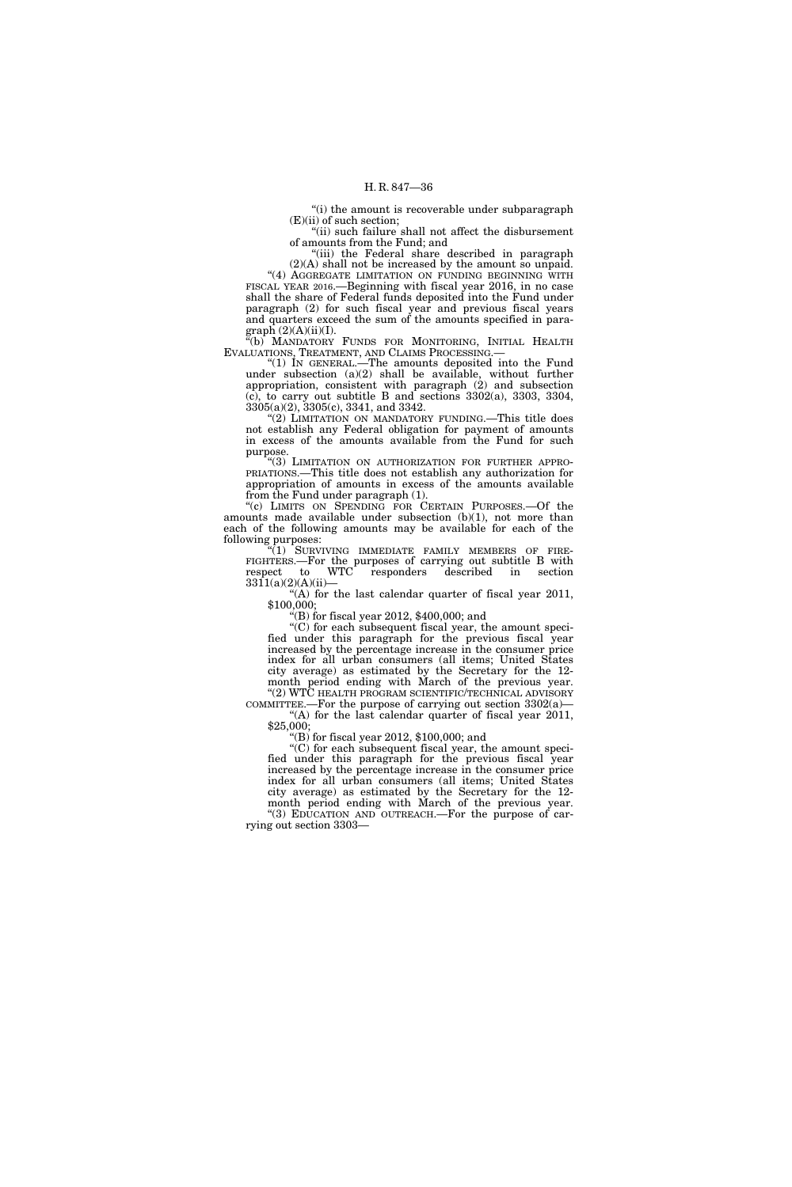''(i) the amount is recoverable under subparagraph (E)(ii) of such section; "(ii) such failure shall not affect the disbursement

of amounts from the Fund; and

''(iii) the Federal share described in paragraph  $(2)(A)$  shall not be increased by the amount so unpaid.

"(4) AGGREGATE LIMITATION ON FUNDING BEGINNING WITH FISCAL YEAR 2016.—Beginning with fiscal year 2016, in no case shall the share of Federal funds deposited into the Fund under paragraph (2) for such fiscal year and previous fiscal years and quarters exceed the sum of the amounts specified in para $graph_2(X)$ (A)(ii)(I).

''(b) MANDATORY FUNDS FOR MONITORING, INITIAL HEALTH EVALUATIONS, TREATMENT, AND CLAIMS PROCESSING.—

"(1) In GENERAL.—The amounts deposited into the Fund under subsection (a)(2) shall be available, without further appropriation, consistent with paragraph (2) and subsection  $(c)$ , to carry out subtitle B and sections  $3302(a)$ ,  $3303$ ,  $3304$ , 3305(a)(2), 3305(c), 3341, and 3342.

"(2) LIMITATION ON MANDATORY FUNDING.—This title does not establish any Federal obligation for payment of amounts in excess of the amounts available from the Fund for such purpose.

''(3) LIMITATION ON AUTHORIZATION FOR FURTHER APPRO-PRIATIONS.—This title does not establish any authorization for appropriation of amounts in excess of the amounts available from the Fund under paragraph (1).

''(c) LIMITS ON SPENDING FOR CERTAIN PURPOSES.—Of the amounts made available under subsection  $(b)(1)$ , not more than each of the following amounts may be available for each of the following purposes:<br>"(1) SURVIVING IMMEDIATE FAMILY MEMBERS OF FIRE-

FIGHTERS.—For the purposes of carrying out subtitle B with<br>respect to WTC responders described in section responders described in section  $3311(a)(2)(A)(ii)$ 

''(A) for the last calendar quarter of fiscal year 2011, \$100,000;

''(B) for fiscal year 2012, \$400,000; and

 $\mathcal{C}(C)$  for each subsequent fiscal year, the amount specified under this paragraph for the previous fiscal year increased by the percentage increase in the consumer price index for all urban consumers (all items; United States city average) as estimated by the Secretary for the 12 month period ending with March of the previous year. ''(2) WTC HEALTH PROGRAM SCIENTIFIC/TECHNICAL ADVISORY

COMMITTEE.—For the purpose of carrying out section  $3302(a)$ — ''(A) for the last calendar quarter of fiscal year 2011, \$25,000;

''(B) for fiscal year 2012, \$100,000; and

''(C) for each subsequent fiscal year, the amount specified under this paragraph for the previous fiscal year increased by the percentage increase in the consumer price index for all urban consumers (all items; United States city average) as estimated by the Secretary for the 12 month period ending with March of the previous year. "(3) EDUCATION AND OUTREACH.—For the purpose of carrying out section 3303—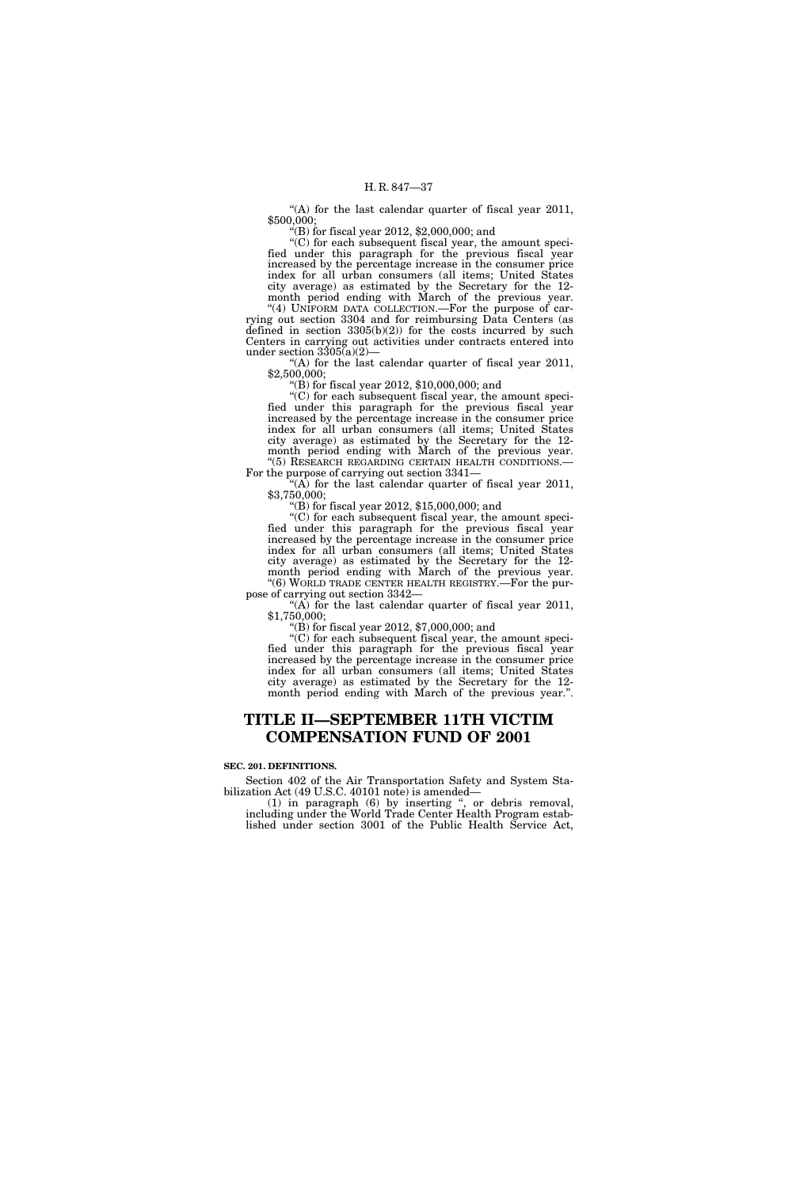"(A) for the last calendar quarter of fiscal year 2011, \$500,000;

 $E(E)$  for fiscal year 2012, \$2,000,000; and

 $\widetilde{C}$ ) for each subsequent fiscal year, the amount specified under this paragraph for the previous fiscal year increased by the percentage increase in the consumer price index for all urban consumers (all items; United States city average) as estimated by the Secretary for the 12 month period ending with March of the previous year.

"(4) UNIFORM DATA COLLECTION.—For the purpose of carrying out section 3304 and for reimbursing Data Centers (as defined in section  $3305(b)(2)$ ) for the costs incurred by such Centers in carrying out activities under contracts entered into under section  $3305(a)(2)$ 

"(A) for the last calendar quarter of fiscal year 2011,  $$2,500,000$ ;

''(B) for fiscal year 2012, \$10,000,000; and

''(C) for each subsequent fiscal year, the amount specified under this paragraph for the previous fiscal year increased by the percentage increase in the consumer price index for all urban consumers (all items; United States city average) as estimated by the Secretary for the 12 month period ending with March of the previous year. ''(5) RESEARCH REGARDING CERTAIN HEALTH CONDITIONS.—

For the purpose of carrying out section 3341—  $\cdot$  "(A) for the last calendar quarter of fiscal year 2011, \$3,750,000;

''(B) for fiscal year 2012, \$15,000,000; and

''(C) for each subsequent fiscal year, the amount specified under this paragraph for the previous fiscal year increased by the percentage increase in the consumer price index for all urban consumers (all items; United States city average) as estimated by the Secretary for the 12 month period ending with March of the previous year.

''(6) WORLD TRADE CENTER HEALTH REGISTRY.—For the purpose of carrying out section 3342—

"(A) for the last calendar quarter of fiscal year 2011,  $$1,750,000$ ;

"(B) for fiscal year 2012, \$7,000,000; and

 $\widetilde{C}$  for each subsequent fiscal year, the amount specified under this paragraph for the previous fiscal year increased by the percentage increase in the consumer price index for all urban consumers (all items; United States city average) as estimated by the Secretary for the 12 month period ending with March of the previous year.''.

## **TITLE II—SEPTEMBER 11TH VICTIM COMPENSATION FUND OF 2001**

#### **SEC. 201. DEFINITIONS.**

Section 402 of the Air Transportation Safety and System Stabilization Act (49 U.S.C. 40101 note) is amended—

(1) in paragraph (6) by inserting '', or debris removal, including under the World Trade Center Health Program established under section 3001 of the Public Health Service Act,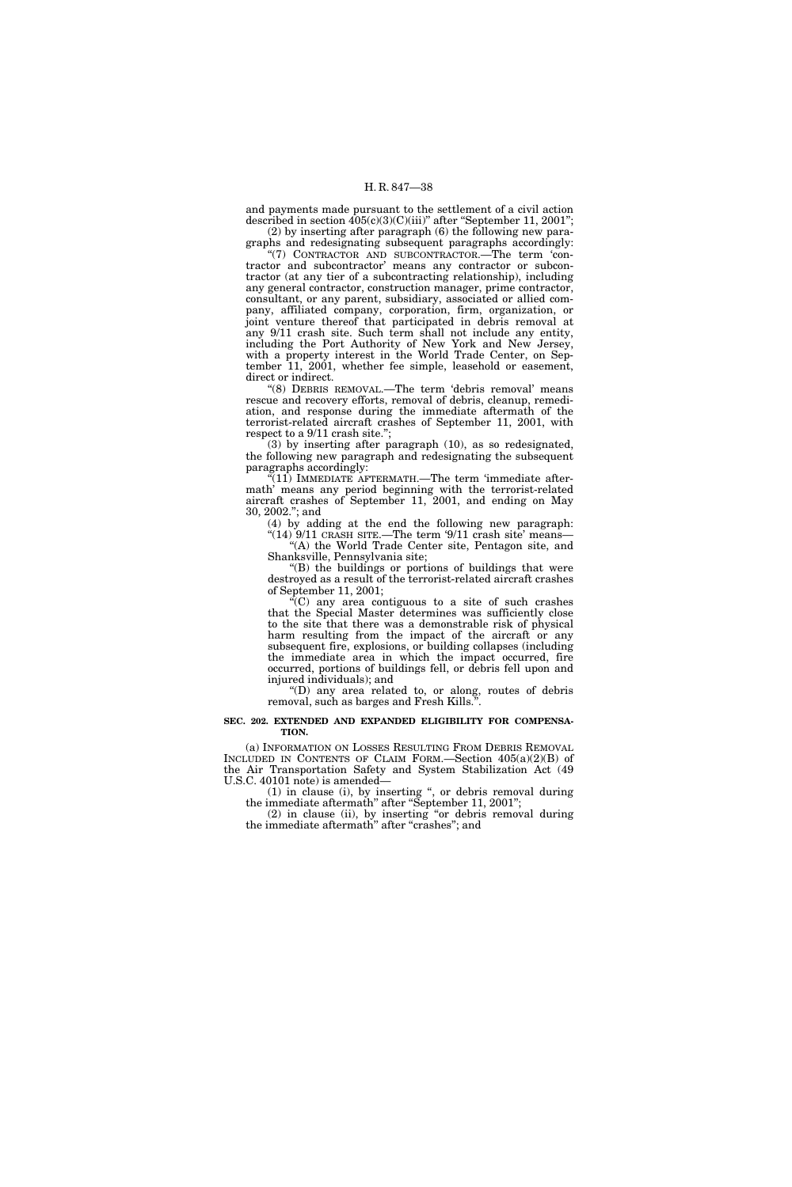and payments made pursuant to the settlement of a civil action described in section  $405(c)(3)(C)(iii)$ " after "September 11, 2001";

(2) by inserting after paragraph (6) the following new paragraphs and redesignating subsequent paragraphs accordingly: ''(7) CONTRACTOR AND SUBCONTRACTOR.—The term 'con-

tractor and subcontractor' means any contractor or subcontractor (at any tier of a subcontracting relationship), including any general contractor, construction manager, prime contractor, consultant, or any parent, subsidiary, associated or allied company, affiliated company, corporation, firm, organization, or joint venture thereof that participated in debris removal at any 9/11 crash site. Such term shall not include any entity, including the Port Authority of New York and New Jersey, with a property interest in the World Trade Center, on September 11, 2001, whether fee simple, leasehold or easement, direct or indirect.

''(8) DEBRIS REMOVAL.—The term 'debris removal' means rescue and recovery efforts, removal of debris, cleanup, remediation, and response during the immediate aftermath of the terrorist-related aircraft crashes of September 11, 2001, with respect to a 9/11 crash site.'';

(3) by inserting after paragraph (10), as so redesignated, the following new paragraph and redesignating the subsequent paragraphs accordingly:

 $(11)$  IMMEDIATE AFTERMATH.—The term 'immediate aftermath' means any period beginning with the terrorist-related aircraft crashes of September 11, 2001, and ending on May 30, 2002.''; and

(4) by adding at the end the following new paragraph: " $(14)$   $9/11$  CRASH SITE.—The term  $9/11$  crash site' means—

''(A) the World Trade Center site, Pentagon site, and Shanksville, Pennsylvania site;

''(B) the buildings or portions of buildings that were destroyed as a result of the terrorist-related aircraft crashes of September 11, 2001;

 $(C)$  any area contiguous to a site of such crashes that the Special Master determines was sufficiently close to the site that there was a demonstrable risk of physical harm resulting from the impact of the aircraft or any subsequent fire, explosions, or building collapses (including the immediate area in which the impact occurred, fire occurred, portions of buildings fell, or debris fell upon and injured individuals); and

''(D) any area related to, or along, routes of debris removal, such as barges and Fresh Kills."

#### **SEC. 202. EXTENDED AND EXPANDED ELIGIBILITY FOR COMPENSA-TION.**

(a) INFORMATION ON LOSSES RESULTING FROM DEBRIS REMOVAL INCLUDED IN CONTENTS OF CLAIM FORM.—Section 405(a)(2)(B) of the Air Transportation Safety and System Stabilization Act (49 U.S.C. 40101 note) is amended—

(1) in clause (i), by inserting '', or debris removal during the immediate aftermath'' after ''September 11, 2001'';

(2) in clause (ii), by inserting ''or debris removal during the immediate aftermath'' after ''crashes''; and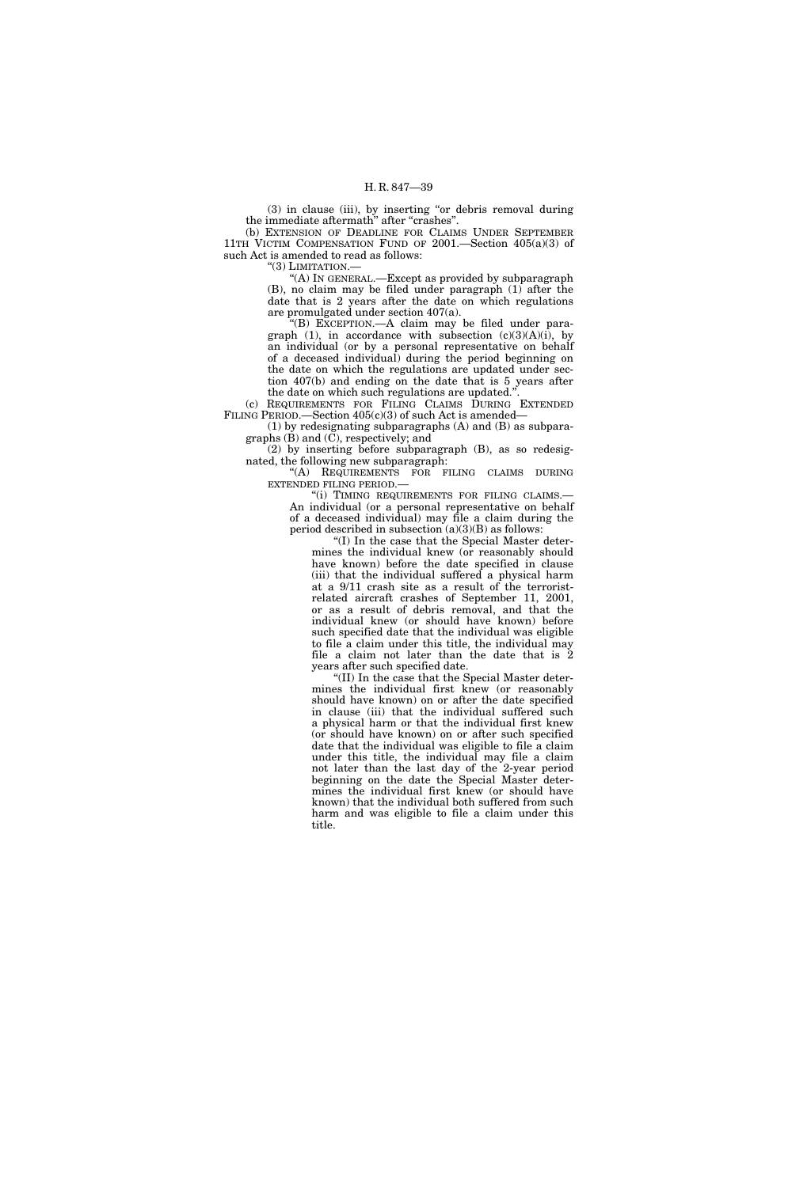(3) in clause (iii), by inserting ''or debris removal during the immediate aftermath'' after ''crashes''. (b) EXTENSION OF DEADLINE FOR CLAIMS UNDER SEPTEMBER

11TH VICTIM COMPENSATION FUND OF 2001.—Section 405(a)(3) of such Act is amended to read as follows:

"(3) LIMITATION.-

''(A) IN GENERAL.—Except as provided by subparagraph (B), no claim may be filed under paragraph (1) after the date that is 2 years after the date on which regulations are promulgated under section 407(a).

''(B) EXCEPTION.—A claim may be filed under paragraph (1), in accordance with subsection  $(c)(3)(A)(i)$ , by an individual (or by a personal representative on behalf of a deceased individual) during the period beginning on the date on which the regulations are updated under section 407(b) and ending on the date that is 5 years after the date on which such regulations are updated."

(c) REQUIREMENTS FOR FILING CLAIMS DURING EXTENDED FILING PERIOD.—Section  $405(c)(3)$  of such Act is amended—

(1) by redesignating subparagraphs (A) and (B) as subparagraphs (B) and (C), respectively; and

(2) by inserting before subparagraph (B), as so redesignated, the following new subparagraph:

"(A) REQUIREMENTS FOR FILING CLAIMS DURING EXTENDED FILING PERIOD.—

''(i) TIMING REQUIREMENTS FOR FILING CLAIMS.— An individual (or a personal representative on behalf of a deceased individual) may file a claim during the period described in subsection  $(a)(3)(B)$  as follows:

''(I) In the case that the Special Master determines the individual knew (or reasonably should have known) before the date specified in clause (iii) that the individual suffered a physical harm at a 9/11 crash site as a result of the terroristrelated aircraft crashes of September 11, 2001, or as a result of debris removal, and that the individual knew (or should have known) before such specified date that the individual was eligible to file a claim under this title, the individual may file a claim not later than the date that is 2 years after such specified date.

''(II) In the case that the Special Master determines the individual first knew (or reasonably should have known) on or after the date specified in clause (iii) that the individual suffered such a physical harm or that the individual first knew (or should have known) on or after such specified date that the individual was eligible to file a claim under this title, the individual may file a claim not later than the last day of the 2-year period beginning on the date the Special Master determines the individual first knew (or should have known) that the individual both suffered from such harm and was eligible to file a claim under this title.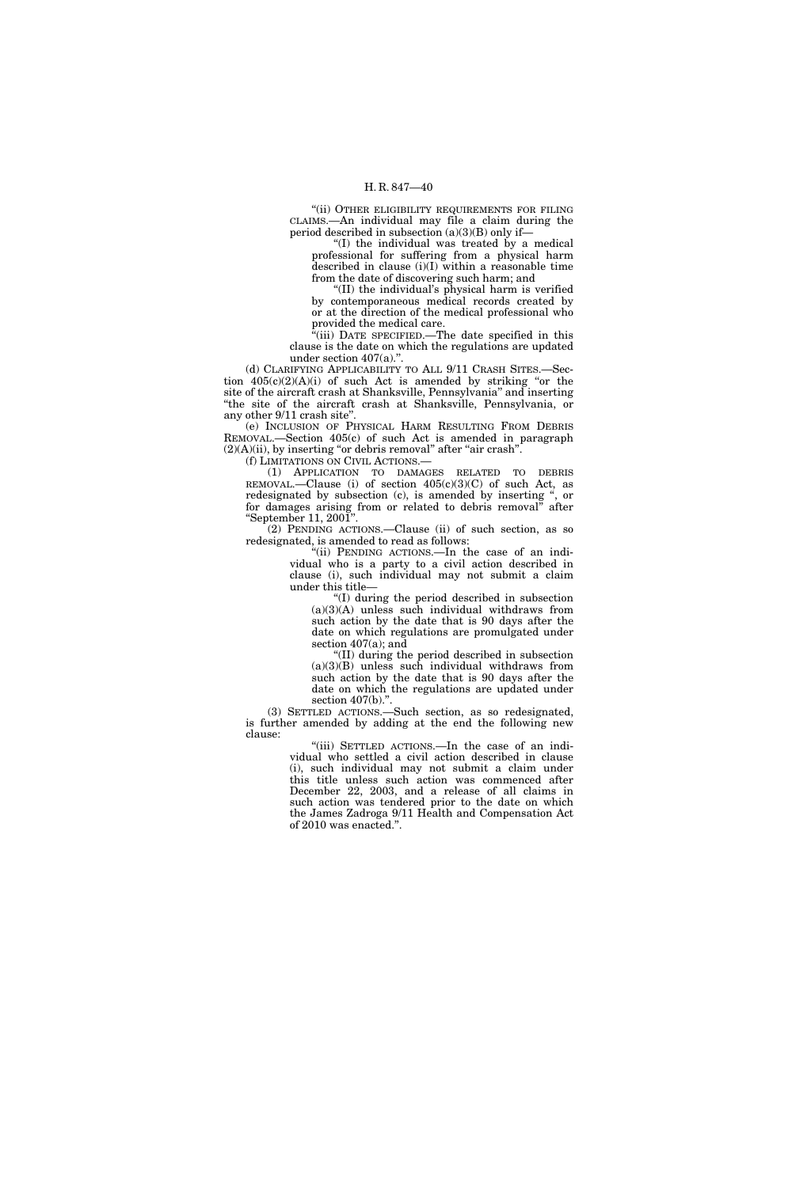"(ii) OTHER ELIGIBILITY REQUIREMENTS FOR FILING CLAIMS.—An individual may file a claim during the period described in subsection (a)(3)(B) only if—

''(I) the individual was treated by a medical professional for suffering from a physical harm described in clause  $(i)(I)$  within a reasonable time from the date of discovering such harm; and

''(II) the individual's physical harm is verified by contemporaneous medical records created by or at the direction of the medical professional who provided the medical care.

''(iii) DATE SPECIFIED.—The date specified in this clause is the date on which the regulations are updated under section  $407(a)$ .".

(d) CLARIFYING APPLICABILITY TO ALL 9/11 CRASH SITES.—Section  $405(c)(2)(A)(i)$  of such Act is amended by striking "or the site of the aircraft crash at Shanksville, Pennsylvania'' and inserting ''the site of the aircraft crash at Shanksville, Pennsylvania, or any other 9/11 crash site''.

(e) INCLUSION OF PHYSICAL HARM RESULTING FROM DEBRIS REMOVAL.—Section 405(c) of such Act is amended in paragraph  $(2)(A)(ii)$ , by inserting "or debris removal" after "air crash".

(f) LIMITATIONS ON CIVIL ACTIONS.—

(1) APPLICATION TO DAMAGES RELATED TO DEBRIS REMOVAL.—Clause (i) of section  $405(c)(3)(C)$  of such Act, as redesignated by subsection (c), is amended by inserting ", or for damages arising from or related to debris removal'' after ''September 11, 2001''.

(2) PENDING ACTIONS.—Clause (ii) of such section, as so redesignated, is amended to read as follows:

''(ii) PENDING ACTIONS.—In the case of an individual who is a party to a civil action described in clause (i), such individual may not submit a claim under this title—

''(I) during the period described in subsection  $(a)(3)(A)$  unless such individual withdraws from such action by the date that is 90 days after the date on which regulations are promulgated under section 407(a); and

''(II) during the period described in subsection  $(a)(3)(B)$  unless such individual withdraws from such action by the date that is 90 days after the date on which the regulations are updated under section 407(b).".

(3) SETTLED ACTIONS.—Such section, as so redesignated, is further amended by adding at the end the following new clause:

> "(iii) SETTLED ACTIONS.—In the case of an individual who settled a civil action described in clause (i), such individual may not submit a claim under this title unless such action was commenced after December 22, 2003, and a release of all claims in such action was tendered prior to the date on which the James Zadroga 9/11 Health and Compensation Act of 2010 was enacted.''.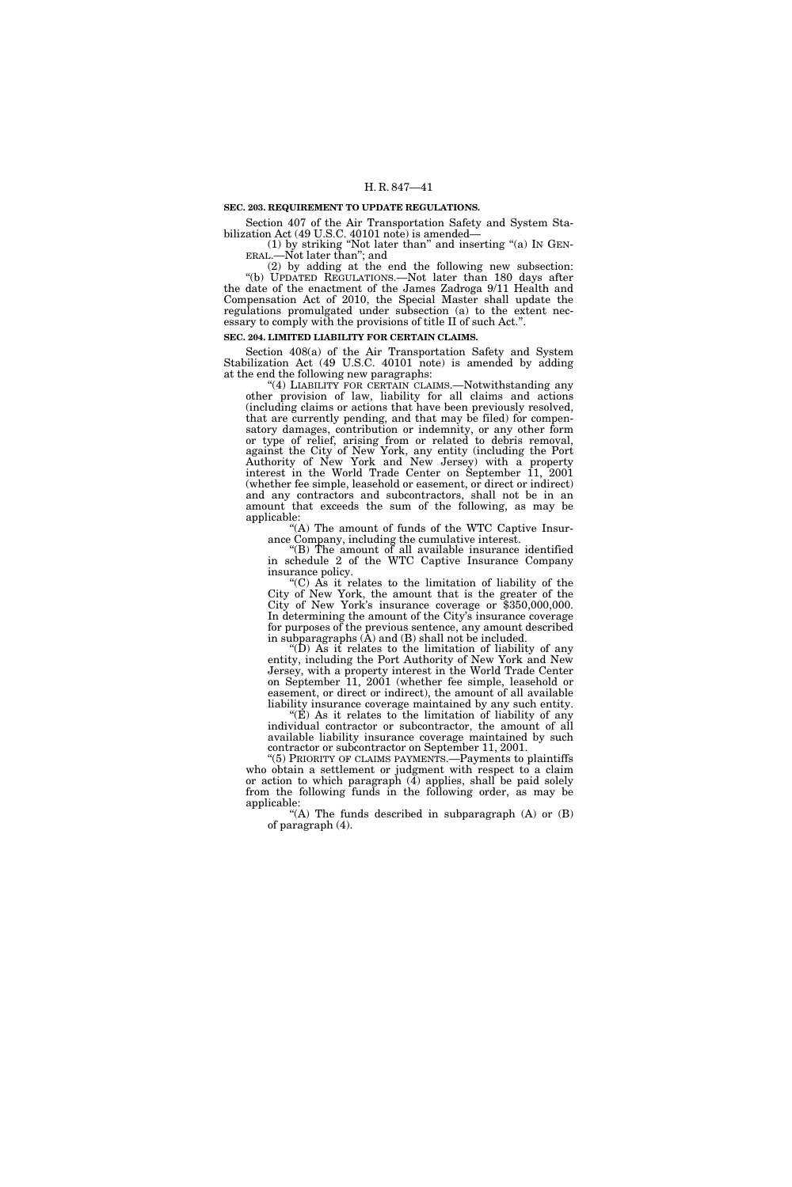#### **SEC. 203. REQUIREMENT TO UPDATE REGULATIONS.**

Section 407 of the Air Transportation Safety and System Stabilization Act (49 U.S.C. 40101 note) is amended—

(1) by striking ''Not later than'' and inserting ''(a) IN GEN-ERAL.—Not later than''; and

(2) by adding at the end the following new subsection: ''(b) UPDATED REGULATIONS.—Not later than 180 days after the date of the enactment of the James Zadroga 9/11 Health and Compensation Act of 2010, the Special Master shall update the regulations promulgated under subsection (a) to the extent necessary to comply with the provisions of title II of such Act.''.

### **SEC. 204. LIMITED LIABILITY FOR CERTAIN CLAIMS.**

Section 408(a) of the Air Transportation Safety and System Stabilization Act (49 U.S.C. 40101 note) is amended by adding at the end the following new paragraphs:

"(4) LIABILITY FOR CERTAIN CLAIMS.—Notwithstanding any other provision of law, liability for all claims and actions (including claims or actions that have been previously resolved, that are currently pending, and that may be filed) for compensatory damages, contribution or indemnity, or any other form or type of relief, arising from or related to debris removal, against the City of New York, any entity (including the Port Authority of New York and New Jersey) with a property interest in the World Trade Center on September 11, 2001 (whether fee simple, leasehold or easement, or direct or indirect) and any contractors and subcontractors, shall not be in an amount that exceeds the sum of the following, as may be applicable:

''(A) The amount of funds of the WTC Captive Insur-

ance Company, including the cumulative interest. ''(B) The amount of all available insurance identified in schedule 2 of the WTC Captive Insurance Company insurance policy.

" $(C)$  As it relates to the limitation of liability of the City of New York, the amount that is the greater of the City of New York's insurance coverage or \$350,000,000. In determining the amount of the City's insurance coverage for purposes of the previous sentence, any amount described in subparagraphs (A) and (B) shall not be included.

"(D) As it relates to the limitation of liability of any entity, including the Port Authority of New York and New Jersey, with a property interest in the World Trade Center on September 11, 2001 (whether fee simple, leasehold or easement, or direct or indirect), the amount of all available liability insurance coverage maintained by any such entity.

" $(E)$  As it relates to the limitation of liability of any individual contractor or subcontractor, the amount of all available liability insurance coverage maintained by such contractor or subcontractor on September 11, 2001.

''(5) PRIORITY OF CLAIMS PAYMENTS.—Payments to plaintiffs who obtain a settlement or judgment with respect to a claim or action to which paragraph  $(4)$  applies, shall be paid solely from the following funds in the following order, as may be applicable:

"(A) The funds described in subparagraph (A) or (B) of paragraph (4).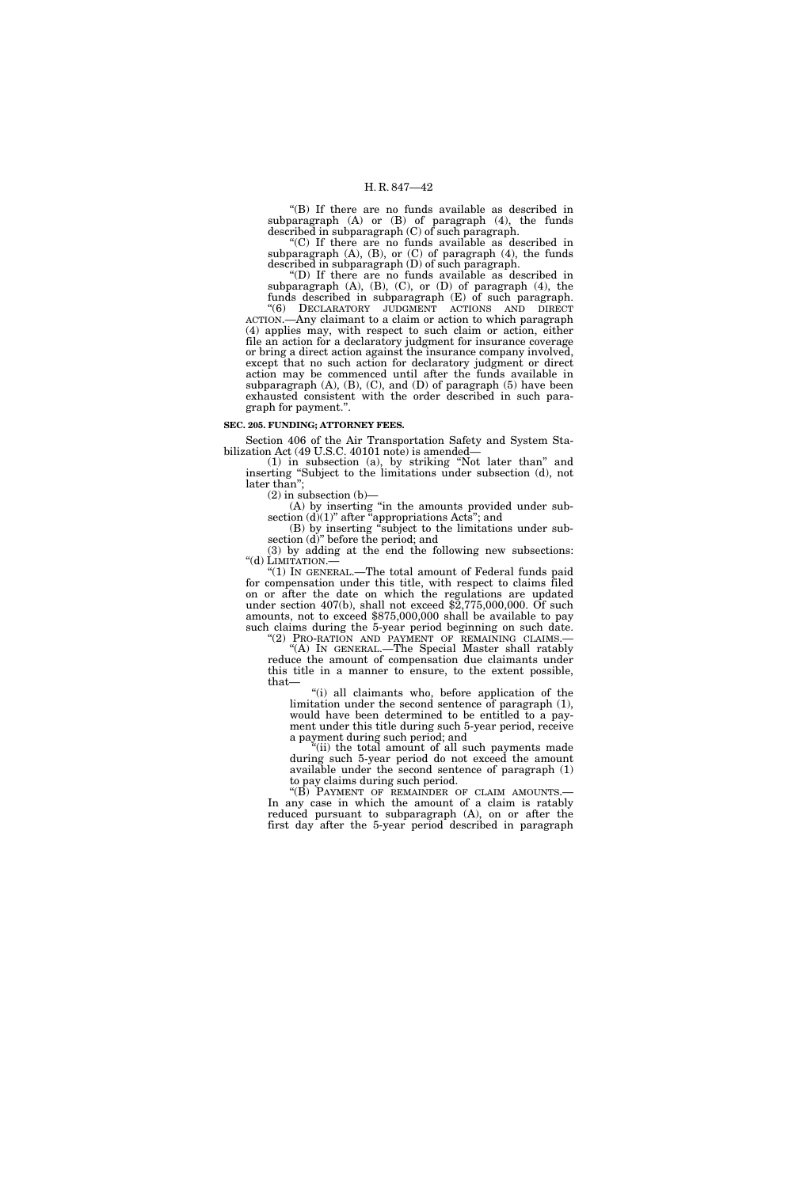''(B) If there are no funds available as described in subparagraph (A) or (B) of paragraph (4), the funds described in subparagraph (C) of such paragraph.

''(C) If there are no funds available as described in subparagraph  $(A)$ ,  $(B)$ , or  $(C)$  of paragraph  $(4)$ , the funds described in subparagraph (D) of such paragraph.

''(D) If there are no funds available as described in subparagraph  $(A)$ ,  $(B)$ ,  $(C)$ ,  $or$   $(D)$  of paragraph  $(4)$ , the funds described in subparagraph (E) of such paragraph.

''(6) DECLARATORY JUDGMENT ACTIONS AND DIRECT ACTION.—Any claimant to a claim or action to which paragraph (4) applies may, with respect to such claim or action, either file an action for a declaratory judgment for insurance coverage or bring a direct action against the insurance company involved, except that no such action for declaratory judgment or direct action may be commenced until after the funds available in subparagraph  $(A)$ ,  $(B)$ ,  $(C)$ , and  $(D)$  of paragraph  $(5)$  have been exhausted consistent with the order described in such paragraph for payment.''.

#### **SEC. 205. FUNDING; ATTORNEY FEES.**

Section 406 of the Air Transportation Safety and System Stabilization Act (49 U.S.C. 40101 note) is amended—

(1) in subsection (a), by striking ''Not later than'' and inserting "Subject to the limitations under subsection (d), not later than'';

(2) in subsection (b)—

(A) by inserting ''in the amounts provided under subsection (d)(1)" after "appropriations Acts"; and

(B) by inserting ''subject to the limitations under subsection (d)'' before the period; and

(3) by adding at the end the following new subsections: "(d) LIMITATION.—

"(1) IN GENERAL.—The total amount of Federal funds paid for compensation under this title, with respect to claims filed on or after the date on which the regulations are updated under section 407(b), shall not exceed \$2,775,000,000. Of such amounts, not to exceed \$875,000,000 shall be available to pay such claims during the 5-year period beginning on such date.

"(2) PRO-RATION AND PAYMENT OF REMAINING CLAIMS.-''(A) IN GENERAL.—The Special Master shall ratably reduce the amount of compensation due claimants under this title in a manner to ensure, to the extent possible,

that— "(i) all claimants who, before application of the limitation under the second sentence of paragraph (1), would have been determined to be entitled to a payment under this title during such 5-year period, receive

a payment during such period; and "(ii) the total amount of all such payments made during such 5-year period do not exceed the amount available under the second sentence of paragraph (1) to pay claims during such period.

''(B) PAYMENT OF REMAINDER OF CLAIM AMOUNTS.— In any case in which the amount of a claim is ratably reduced pursuant to subparagraph (A), on or after the first day after the 5-year period described in paragraph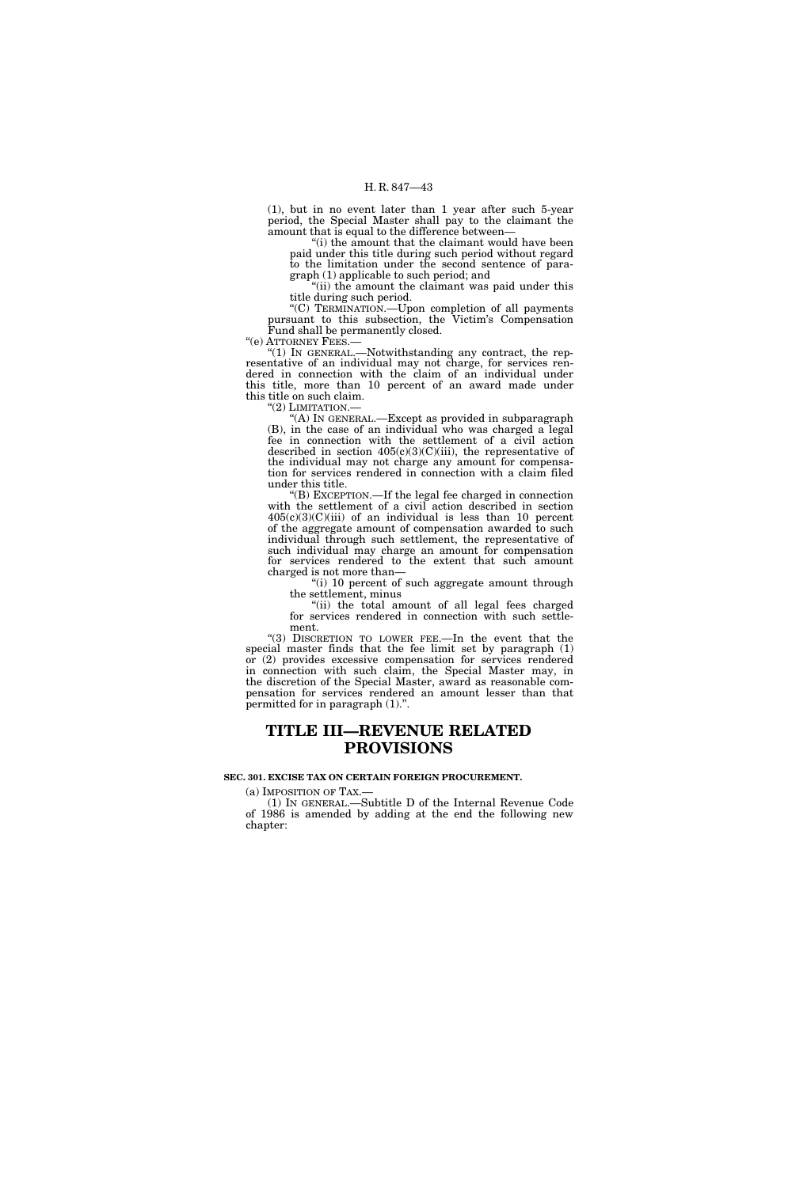(1), but in no event later than 1 year after such 5-year period, the Special Master shall pay to the claimant the amount that is equal to the difference between—

''(i) the amount that the claimant would have been paid under this title during such period without regard to the limitation under the second sentence of paragraph (1) applicable to such period; and

"(ii) the amount the claimant was paid under this title during such period.

''(C) TERMINATION.—Upon completion of all payments pursuant to this subsection, the Victim's Compensation Fund shall be permanently closed.

"(e) ATTORNEY FEES .-

" $(1)$  In GENERAL.—Notwithstanding any contract, the representative of an individual may not charge, for services rendered in connection with the claim of an individual under this title, more than 10 percent of an award made under this title on such claim.

''(2) LIMITATION.—

''(A) IN GENERAL.—Except as provided in subparagraph (B), in the case of an individual who was charged a legal fee in connection with the settlement of a civil action described in section  $405(c)(3)(C)(iii)$ , the representative of the individual may not charge any amount for compensation for services rendered in connection with a claim filed under this title.

''(B) EXCEPTION.—If the legal fee charged in connection with the settlement of a civil action described in section  $405(c)(3)(C)(iii)$  of an individual is less than 10 percent of the aggregate amount of compensation awarded to such individual through such settlement, the representative of such individual may charge an amount for compensation for services rendered to the extent that such amount charged is not more than—

"(i) 10 percent of such aggregate amount through the settlement, minus

"(ii) the total amount of all legal fees charged for services rendered in connection with such settlement.

''(3) DISCRETION TO LOWER FEE.—In the event that the special master finds that the fee limit set by paragraph (1) or (2) provides excessive compensation for services rendered in connection with such claim, the Special Master may, in the discretion of the Special Master, award as reasonable compensation for services rendered an amount lesser than that permitted for in paragraph (1).''.

# **TITLE III—REVENUE RELATED PROVISIONS**

#### **SEC. 301. EXCISE TAX ON CERTAIN FOREIGN PROCUREMENT.**

(a) IMPOSITION OF TAX.— (1) IN GENERAL.—Subtitle D of the Internal Revenue Code of 1986 is amended by adding at the end the following new chapter: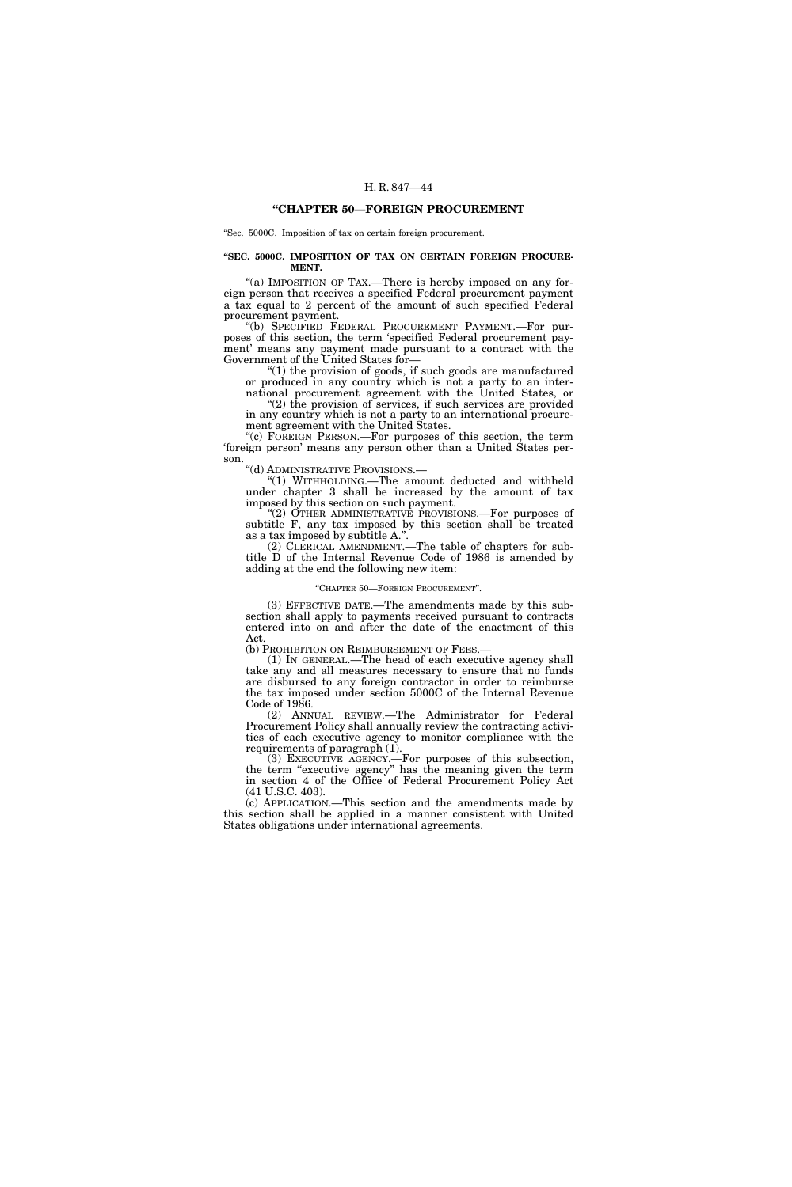#### **''CHAPTER 50—FOREIGN PROCUREMENT**

''Sec. 5000C. Imposition of tax on certain foreign procurement.

#### **''SEC. 5000C. IMPOSITION OF TAX ON CERTAIN FOREIGN PROCURE-MENT.**

"(a) IMPOSITION OF TAX.—There is hereby imposed on any foreign person that receives a specified Federal procurement payment a tax equal to 2 percent of the amount of such specified Federal procurement payment.

''(b) SPECIFIED FEDERAL PROCUREMENT PAYMENT.—For purposes of this section, the term 'specified Federal procurement payment' means any payment made pursuant to a contract with the Government of the United States for—

''(1) the provision of goods, if such goods are manufactured or produced in any country which is not a party to an international procurement agreement with the United States, or

"(2) the provision of services, if such services are provided in any country which is not a party to an international procurement agreement with the United States.

''(c) FOREIGN PERSON.—For purposes of this section, the term 'foreign person' means any person other than a United States per-

son.<br>"(d) ADMINISTRATIVE PROVISIONS.—

''(d) ADMINISTRATIVE PROVISIONS.— ''(1) WITHHOLDING.—The amount deducted and withheld under chapter 3 shall be increased by the amount of tax imposed by this section on such payment.

"(2) OTHER ADMINISTRATIVE PROVISIONS.—For purposes of subtitle F, any tax imposed by this section shall be treated as a tax imposed by subtitle A.''.

(2) CLERICAL AMENDMENT.—The table of chapters for subtitle D of the Internal Revenue Code of 1986 is amended by adding at the end the following new item:

#### ''CHAPTER 50—FOREIGN PROCUREMENT''.

(3) EFFECTIVE DATE.—The amendments made by this subsection shall apply to payments received pursuant to contracts entered into on and after the date of the enactment of this Act.

(b) PROHIBITION ON REIMBURSEMENT OF FEES.—

(1) IN GENERAL.—The head of each executive agency shall take any and all measures necessary to ensure that no funds are disbursed to any foreign contractor in order to reimburse the tax imposed under section 5000C of the Internal Revenue Code of 1986.

(2) ANNUAL REVIEW.—The Administrator for Federal Procurement Policy shall annually review the contracting activities of each executive agency to monitor compliance with the requirements of paragraph (1).

(3) EXECUTIVE AGENCY.—For purposes of this subsection, the term ''executive agency'' has the meaning given the term in section 4 of the Office of Federal Procurement Policy Act (41 U.S.C. 403).

(c) APPLICATION.—This section and the amendments made by this section shall be applied in a manner consistent with United States obligations under international agreements.